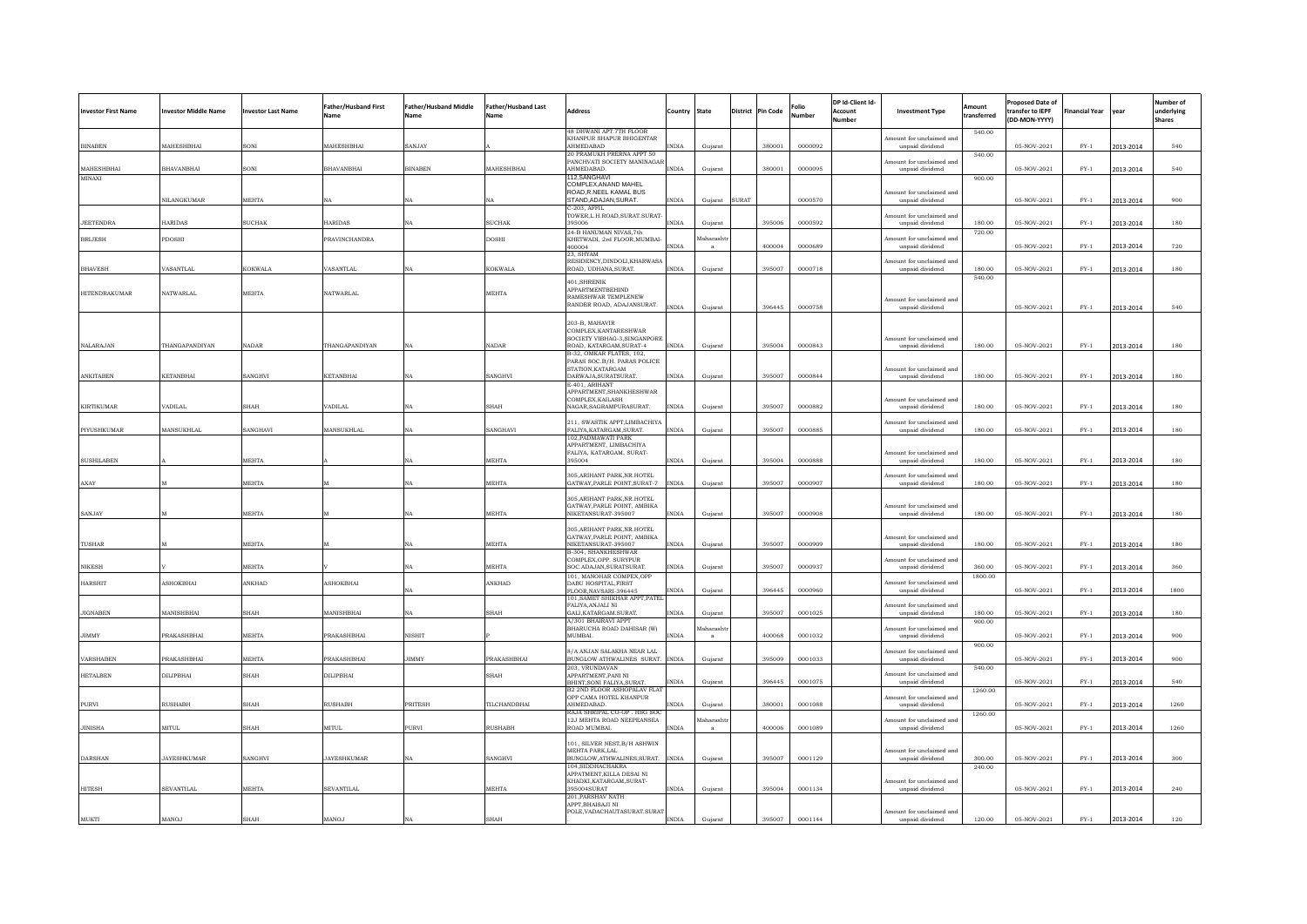| <b>Investor First Name</b> | <b>Investor Middle Name</b> | nvestor Last Name | Father/Husband First<br>Vame | Father/Husband Middle<br>Name | <b>Father/Husband Last</b><br>Vame | <b>Address</b>                                                | Country      | State      |       | <b>District</b> Pin Code | Folio<br>lumbe | DP Id-Client Id-<br>Account<br>lumber | <b>Investment Type</b>                      | Amount<br>ransferred | <b>Proposed Date of</b><br>transfer to IEPF<br>(DD-MON-YYYY) | inancial Year | vear      | Number of<br>underlying<br><b>Shares</b> |
|----------------------------|-----------------------------|-------------------|------------------------------|-------------------------------|------------------------------------|---------------------------------------------------------------|--------------|------------|-------|--------------------------|----------------|---------------------------------------|---------------------------------------------|----------------------|--------------------------------------------------------------|---------------|-----------|------------------------------------------|
|                            |                             |                   |                              |                               |                                    | 48 DHWANI APT 7TH FLOOR<br>KHANPUR SHAPUR BHIGENTAR           |              |            |       |                          |                |                                       | mount for unclaimed and                     | 540.00               |                                                              |               |           |                                          |
| <b>BINAREN</b>             | MAHESHBHAI                  | <b>SONT</b>       | <b>MAHESHRHAI</b>            | SANJAY                        |                                    | <b>AHMEDARAD</b><br>20 PRAMUKH PRERNA APPT 50                 | <b>NDIA</b>  | Gujarat    |       | 380001                   | 0000092        |                                       | unpaid dividend                             | 540.00               | 05-NOV-2021                                                  | $FY-1$        | 2013-2014 | 540                                      |
| MAHESHBHAI                 | BHAVANBHAI                  | <b>SONI</b>       | <b>BHAVANBHAI</b>            | <b>BINABEN</b>                | MAHESHBHAI                         | PANCHVATI SOCIETY MANINAGAI<br>AHMEDABAD.                     | <b>INDIA</b> | Gujarat    |       | 380001                   | 0000095        |                                       | mount for unclaimed and<br>unpaid dividend  |                      | 05-NOV-2021                                                  | $FY-1$        | 2013-2014 | 540                                      |
| MINAXI                     |                             |                   |                              |                               |                                    | 112, SANGHAVI                                                 |              |            |       |                          |                |                                       |                                             | 900.00               |                                                              |               |           |                                          |
|                            |                             |                   |                              |                               |                                    | COMPLEX, ANAND MAHEL<br>ROAD, R.NEEL KAMAL BUS                |              |            |       |                          |                |                                       | Amount for unclaimed and                    |                      |                                                              |               |           |                                          |
|                            | <b>NILANGKUMAR</b>          | <b>MEHTA</b>      | NΑ                           | NA.                           |                                    | STAND ADAJAN SURAT.<br>C-203, AFFIL                           | <b>INDIA</b> | Gujarat    | SURAT |                          | 0000570        |                                       | unpaid dividend                             |                      | 05-NOV-2021                                                  | $FY-1$        | 2013-2014 | 900                                      |
| <b>JEETENDRA</b>           | <b>HARIDAS</b>              | <b>SUCHAK</b>     | <b>HARIDAS</b>               | NA                            | <b>SUCHAK</b>                      | TOWER, L.H.ROAD, SURAT. SURAT<br>395006                       | <b>INDIA</b> | Gujarat    |       | 395006                   | 0000592        |                                       | tount for unclaimed and<br>unpaid dividend  | 180.00               | 05-NOV-2021                                                  | $FY-1$        | 2013-2014 | 180                                      |
|                            |                             |                   |                              |                               |                                    | 24-B HANUMAN NIVAS 7th                                        |              | faharasht  |       |                          |                |                                       | mount for unclaimed and                     | 720.00               |                                                              |               |           |                                          |
| <b>BRIJESH</b>             | PDOSHI                      |                   | PRAVINCHANDRA                |                               | <b>DOSHI</b>                       | KHETWADI, 2rd FLOOR, MUMBAI<br>400004                         | <b>INDIA</b> |            |       | 400004                   | 0000689        |                                       | unpaid dividend                             |                      | 05-NOV-2021                                                  | $FY-1$        | 2013-2014 | 720                                      |
|                            |                             |                   |                              |                               |                                    | 23 SHYAM<br>RESIDENCY DINDOLI KHARWAS                         |              |            |       |                          |                |                                       | mount for unclaimed and                     |                      |                                                              |               |           |                                          |
| <b>RHAVESH</b>             | VASANTLAI                   | <b>KOKWALA</b>    | <b>VASANTLAI</b>             | <b>NA</b>                     | KOKWALA                            | ROAD UDHANA SURAT                                             | <b>INDIA</b> | Gujarat    |       | 395007                   | 0000718        |                                       | unpaid dividend                             | 180.00<br>540.00     | 05-NOV-2021                                                  | $FY-1$        | 2013-2014 | 180                                      |
| <b>HITENDRAKUMAR</b>       | NATWARLAL                   | <b>MEHTA</b>      | NATWARLAL                    |                               | <b>MEHTA</b>                       | 401.SHRENIK<br><b>APPARTMENTBEHIND</b>                        |              |            |       |                          |                |                                       |                                             |                      |                                                              |               |           |                                          |
|                            |                             |                   |                              |                               |                                    | RAMESHWAR TEMPLENEW<br>RANDER ROAD, ADAJANSURAT.              | <b>INDIA</b> | Gujarat    |       | 396445                   | 0000758        |                                       | Amount for unclaimed and<br>unpaid dividend |                      | 05-NOV-2021                                                  | $FY-1$        | 2013-2014 | 540                                      |
|                            |                             |                   |                              |                               |                                    |                                                               |              |            |       |                          |                |                                       |                                             |                      |                                                              |               |           |                                          |
|                            |                             |                   |                              |                               |                                    | 203-B, MAHAVIR<br>COMPLEX, KANTARESHWAR                       |              |            |       |                          |                |                                       |                                             |                      |                                                              |               |           |                                          |
| <b>NALARAJAN</b>           | THANGAPANDIYAN              | NADAR             | THANGAPANDIYAN               |                               | NADAR                              | SOCIETY VIBHAG-3.SINGANPORI<br>ROAD, KATARGAM, SURAT-4        | <b>INDIA</b> | Gujarat    |       | 395004                   | 0000843        |                                       | mount for unclaimed and<br>unpaid dividend  | 180.00               | 05-NOV-2021                                                  | $FY-1$        | 2013-2014 | 180                                      |
|                            |                             |                   |                              |                               |                                    | B-32, OMKAR FLATES, 102,<br>PARAS SOC.B/H. PARAS POLICE       |              |            |       |                          |                |                                       |                                             |                      |                                                              |               |           |                                          |
| ANKITABEN                  | <b>KETANBHAI</b>            | SANGHVI           | <b>KETANBHAI</b>             | NA                            | SANGHVI                            | STATION.KATARGAM<br>DARWAJA.SURATSURAT.                       | <b>INDIA</b> | Gujarat    |       | 395007                   | 0000844        |                                       | Amount for unclaimed and<br>unpaid dividend | 180.00               | 05-NOV-2021                                                  | $FY-1$        | 2013-2014 | 180                                      |
|                            |                             |                   |                              |                               |                                    | E-401, ARIHANT                                                |              |            |       |                          |                |                                       |                                             |                      |                                                              |               |           |                                          |
|                            |                             |                   |                              |                               |                                    | APPARTMENT, SHANKHESHWAR<br>COMPLEX KAILASH                   |              |            |       |                          |                |                                       | mount for unclaimed and                     |                      |                                                              |               |           |                                          |
| <b>KIRTIKUMAR</b>          | <b>ADILAL</b>               | SHAH              | VADILAL                      | NA                            | SHAH                               | NAGAR, SAGRAMPURASURAT.                                       | <b>INDIA</b> | Gujarat    |       | 395007                   | 0000882        |                                       | unpaid dividend                             | 180.00               | 05-NOV-2021                                                  | ${\rm FY-1}$  | 2013-2014 | 180                                      |
| PIYUSHKUMAR                | MANSUKHLAL                  | SANGHAVI          | MANSUKHLAL                   | NA.                           | SANGHAVI                           | 211, SWASTIK APPT,LIMBACHIYA<br>FALIYA, KATARGAM, SURAT.      | <b>INDIA</b> | Guiarat    |       | 395007                   | 0000885        |                                       | mount for unclaimed and<br>unpaid dividend  | 180.00               | 05-NOV-2021                                                  | $FY-1$        | 2013-2014 | 180                                      |
|                            |                             |                   |                              |                               |                                    | <b>102 PADMAWATI PARK</b><br>APPARTMENT LIMBACHIYA            |              |            |       |                          |                |                                       |                                             |                      |                                                              |               |           |                                          |
|                            |                             |                   |                              |                               |                                    | FALIYA, KATARGAM, SURAT-                                      |              |            |       |                          |                |                                       | Amount for unclaimed and                    |                      |                                                              |               |           |                                          |
| <b>SUSHILABEN</b>          |                             | MEHTA             |                              |                               | MEHTA                              | 395004                                                        | <b>INDIA</b> | Gujarat    |       | 395004                   | 0000888        |                                       | unpaid dividend                             | 180.00               | 05-NOV-2021                                                  | $FY-1$        | 2013-2014 | 180                                      |
| AXAY                       |                             | MEHTA             |                              |                               | MEHTA                              | 305, ARIHANT PARK, NR. HOTEL<br>GATWAY.PARLE POINT.SURAT-7    | <b>INDIA</b> | Gujarat    |       | 395007                   | 0000907        |                                       | mount for unclaimed and<br>unpaid dividend  | 180.00               | 05-NOV-2021                                                  | $FY-1$        | 2013-2014 | 180                                      |
|                            |                             |                   |                              |                               |                                    | 305.ARIHANT PARK.NR.HOTEL                                     |              |            |       |                          |                |                                       |                                             |                      |                                                              |               |           |                                          |
| SANJAY                     |                             | MEHTA             |                              |                               | <b>MEHTA</b>                       | GATWAY, PARLE POINT, AMBIKA<br>NIKETANSURAT-395007            | <b>INDIA</b> | Gujarat    |       | 395007                   | 0000908        |                                       | Amount for unclaimed and<br>unpaid dividend | 180.00               | 05-NOV-2021                                                  | $FY-1$        | 2013-2014 | 180                                      |
|                            |                             |                   |                              |                               |                                    | 305.ARIHANT PARK.NR.HOTEL                                     |              |            |       |                          |                |                                       |                                             |                      |                                                              |               |           |                                          |
|                            |                             |                   |                              |                               |                                    | GATWAY, PARLE POINT, AMBIKA                                   |              |            |       |                          |                |                                       | mount for unclaimed and                     |                      |                                                              |               |           |                                          |
| TUSHAR                     |                             | MEHTA             |                              | NA                            | MEHTA                              | NIKETANSURAT-395007<br>B-304, SHANKHESHWAR                    | <b>INDIA</b> | Gujarat    |       | 395007                   | 0000909        |                                       | unpaid dividend                             | 180.00               | 05-NOV-2021                                                  | $FY-1$        | 2013-2014 | 180                                      |
| <b>NIKESH</b>              |                             | MEHTA             |                              | NΑ                            | MEHTA                              | COMPLEX, OPP. SURYPUR<br>SOC.ADAJAN.SURATSURAT                | <b>NDIA</b>  | Guiarat    |       | 395007                   | 0000937        |                                       | mount for unclaimed and<br>unpaid dividend  | 360.00               | 05-NOV-2021                                                  | $FY-1$        | 2013-2014 | 360                                      |
| <b>HARSHIT</b>             | ASHOKBHAI                   | ANKHAD            | ASHOKBHAI                    |                               | ANKHAD                             | 101, MANOHAR COMPEX, OPP<br>DABU HOSPITAL, FIRST              |              |            |       |                          |                |                                       | Amount for unclaimed and                    | 1800.00              |                                                              |               |           |                                          |
|                            |                             |                   |                              | <b>NA</b>                     |                                    | FLOOR, NAVSARI-396445<br>101, SAMET SHIKHAR APPT, PATEI       | <b>INDIA</b> | Gujarat    |       | 396445                   | 0000960        |                                       | unpaid dividend                             |                      | 05-NOV-2021                                                  | $FY-1$        | 2013-2014 | 1800                                     |
|                            |                             |                   |                              |                               |                                    | FALIYA, ANJALI NI                                             |              |            |       |                          |                |                                       | nount for unclaimed and                     |                      |                                                              |               |           |                                          |
| <b>JIGNABEN</b>            | MANISHBHAI                  | SHAH              | MANISHBHAI                   | NA                            | SHAH                               | GALI, KATARGAM. SURAT.<br>A/301 BHAIRAVI APPT                 | <b>INDIA</b> | Gujarat    |       | 395007                   | 0001025        |                                       | unpaid dividend                             | 180.00<br>900.00     | 05-NOV-2021                                                  | $FY-1$        | 2013-2014 | 180                                      |
| <b>JIMMY</b>               | PRAKASHBHAI                 | MEHTA             | PRAKASHBHAI                  | NISHIT                        |                                    | BHARUCHA ROAD DAHISAR (W)<br>MUMBAI.                          | <b>INDIA</b> | Aaharasht  |       | 400068                   | 0001032        |                                       | mount for unclaimed and<br>unpaid dividend  |                      | 05-NOV-2021                                                  | $FY-1$        | 2013-2014 | 900                                      |
|                            |                             |                   |                              |                               |                                    | 8/A ANJAN SALAKHA NEAR LAL                                    |              |            |       |                          |                |                                       | mount for unclaimed and                     | 900.00               |                                                              |               |           |                                          |
| VARSHABEN                  | PRAKASHBHA                  | MEHTA             | PRAKASHBHAI                  | JIMMY                         | <b>PRAKASHBHA</b>                  | BUNGLOW ATHWALINES SURAT.<br>203. VRUNDAVAN                   | <b>INDIA</b> | Gujarat    |       | 395009                   | 0001033        |                                       | unpaid dividend                             | 540.00               | 05-NOV-2021                                                  | ${\rm FY-1}$  | 2013-2014 | 900                                      |
| <b>HETALBEN</b>            | DILIPBHAI                   | SHAH              | DILIPBHAI                    |                               | <b>SHAH</b>                        | APPARTMENT.PANI NI                                            |              |            |       | 396445                   |                |                                       | nount for unclaimed and                     |                      |                                                              |               |           | 540                                      |
|                            |                             |                   |                              |                               |                                    | BHINT.SONI FALIYA.SURAT<br><b>B2 2ND FLOOR ASHOPALAV FLAT</b> | <b>INDIA</b> | Gujarat    |       |                          | 0001075        |                                       | unpaid dividend                             | 1260.00              | 05-NOV-2021                                                  | $FY-1$        | 2013-2014 |                                          |
| PURVI                      | <b>RUSHABH</b>              | <b>SHAH</b>       | RUSHABH                      | PRITESH                       | TILCHANDBHAI                       | OPP CAMA HOTEL KHANPUR<br>AHMEDABAD.                          | <b>NDIA</b>  | Guiarat    |       | 380001                   | 0001088        |                                       | mount for unclaimed and<br>unpaid dividend  |                      | 05-NOV-2021                                                  | $FY-1$        | 2013-2014 | 1260                                     |
|                            |                             |                   |                              |                               |                                    | RAJA SHRIPAL CO-OP. HSG SO<br>12J MEHTA ROAD NEEPEANSEA       |              | faharashtı |       |                          |                |                                       | mount for unclaimed and                     | 1260.00              |                                                              |               |           |                                          |
| <b>JINISHA</b>             | <b>MITUL</b>                | SHAH              | <b>MITUL</b>                 | PURVI                         | <b>RUSHABH</b>                     | ROAD MUMBAL                                                   | <b>INDIA</b> |            |       | 400006                   | 0001089        |                                       | unpaid dividend                             |                      | 05-NOV-2021                                                  | ${\rm FY-1}$  | 2013-2014 | 1260                                     |
|                            |                             |                   |                              |                               |                                    | 101, SILVER NEST, B/H ASHWIN<br>MEHTA PARK, LAL               |              |            |       |                          |                |                                       | Amount for unclaimed and                    |                      |                                                              |               |           |                                          |
| DARSHAN                    | <b>JAYESHKUMAR</b>          | SANGHVI           | <b>JAYESHKUMAR</b>           |                               | SANGHVI                            | BUNGLOW, ATHWALINES, SURAT.                                   | <b>INDIA</b> | Gujarat    |       | 395007                   | 0001129        |                                       | unpaid dividend                             | 300.00               | 05-NOV-2021                                                  | $FY-1$        | 2013-2014 | 300                                      |
|                            |                             |                   |                              |                               |                                    | 104 SIDDHACHAKRA<br>APPATMENT KILLA DESAI NI                  |              |            |       |                          |                |                                       |                                             | 240.00               |                                                              |               |           |                                          |
| <b>HITESH</b>              | <b>SEVANTILAL</b>           | MEHTA             | <b>SEVANTILAL</b>            |                               | <b>MEHTA</b>                       | KHADKI, KATARGAM, SURAT-<br>305004SUPAT                       | <b>INDIA</b> | Gujarat    |       | 395004                   | 0001134        |                                       | Amount for unclaimed and<br>unpaid dividend |                      | 05-NOV-2021                                                  | $FY-1$        | 2013-2014 | 240                                      |
|                            |                             |                   |                              |                               |                                    | 201, PARSHAV NATH<br>APPT.BHAISAJI NI                         |              |            |       |                          |                |                                       |                                             |                      |                                                              |               |           |                                          |
| MUKTI                      | MANOJ                       | SHAH              | MANOJ                        | NA                            | SHAH                               | POLE, VADACHAUTASURAT. SURA'                                  | <b>INDIA</b> | Gujarat    |       | 395007                   | 0001144        |                                       | Amount for unclaimed and<br>unpaid dividend | 120.00               | 05-NOV-2021                                                  | $FY-1$        | 2013-2014 | 120                                      |
|                            |                             |                   |                              |                               |                                    |                                                               |              |            |       |                          |                |                                       |                                             |                      |                                                              |               |           |                                          |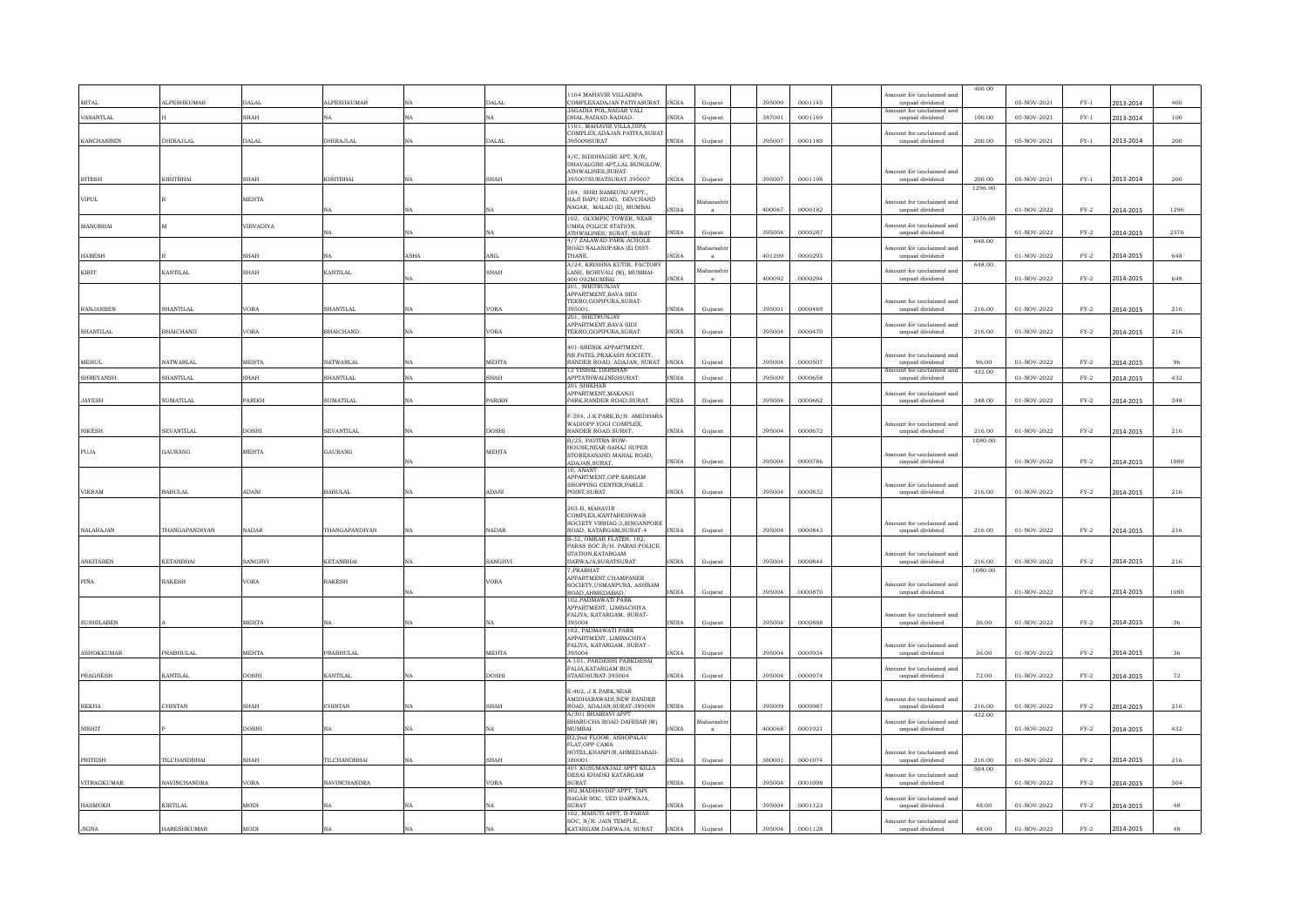|                    |                       |              |                     |           |               |                                                                      |                  |        |         |                                             | 400.00            |             |              |           |              |
|--------------------|-----------------------|--------------|---------------------|-----------|---------------|----------------------------------------------------------------------|------------------|--------|---------|---------------------------------------------|-------------------|-------------|--------------|-----------|--------------|
| MITAL              | ALPESHKUMAR           | DALAL        | <b>ALPESHKUMAR</b>  |           | DALAL         | 1104 MAHAVIR VILLADIPA<br>COMPLEXADAJAN PATIYASURAT.<br><b>INDIA</b> |                  | 395009 | 0001145 | mount for unclaimed and<br>unpaid dividend  |                   | 05-NOV-2021 | $FY-1$       |           | 400          |
|                    |                       |              |                     |           |               | JAGADIA POL.NAGAR VALI                                               | Gujarat          |        |         | mount for unclaimed and                     |                   |             |              | 2013-2014 |              |
| VASANTLAL          |                       | SHAH         | NΔ                  | NA        | NA            | DHAL NADIAD NADIAD<br><b>INDIA</b><br>1101. MAHAVIR VILLA.DIP.       | Gujarat          | 387001 | 0001169 | unpaid dividend                             | 100.00            | 05-NOV-2021 | $FY-1$       | 2013-2014 | 100          |
|                    |                       |              |                     |           |               | COMPLEX, ADAJAN PATIYA, SURAT                                        |                  |        |         | mount for unclaimed and                     |                   |             |              |           |              |
| <b>KANCHANBEN</b>  | <b>DHIRAJLAL</b>      | DALAI        | <b>DHIRAJLAL</b>    |           | DALAL         | 395009SURAT<br><b>INDIA</b>                                          | Gujarat          | 395007 | 0001180 | unpaid dividend                             | 200.00            | 05-NOV-2021 | ${\rm FY-1}$ | 2013-2014 | $\bf 200$    |
|                    |                       |              |                     |           |               | 4/C, SIDDHAGIRI APT, N/R,<br>DHAVALGIRI APT, LAL BUNGLOW             |                  |        |         |                                             |                   |             |              |           |              |
|                    |                       |              |                     |           |               | ATHWALINES, SURAT-                                                   |                  |        |         | mount for unclaimed and                     |                   |             |              |           |              |
| <b>RITESH</b>      | KIRITBHAI             | SHAH         | KIRITBHAI           | <b>NA</b> | SHAH          | 395007SURATSURAT-395007<br><b>INDIA</b>                              | Gujarat          | 395007 | 0001198 | unpaid dividend                             | 200.00<br>1296.00 | 05-NOV-2021 | $FY-1$       | 2013-2014 | 200          |
| <b>VIPUL</b>       |                       | MEHTA        |                     |           |               | 104, SHRI RAMKUNJ APPT.,<br>HAJI BAPU ROAD. DEVCHAND                 | faharasht        |        |         | mount for unclaimed and                     |                   |             |              |           |              |
|                    |                       |              | NA                  | NA        | NA            | NAGAR, MALAD [E], MUMBAI<br>$\text{INDIA}$                           | a                | 400067 | 0000182 | unpaid dividend                             |                   | 01-NOV-2022 | $FY-2$       | 2014-2015 | 1296         |
| MANUBHAI           |                       | VIRVADIYA    |                     |           |               | 102. OLYMPIC TOWER, NEAR<br>UMRA POLICE STATION,                     |                  |        |         | mount for unclaimed and                     | 2376.00           |             |              |           |              |
|                    |                       |              | NA                  | NA.       | NA            | <b>INDIA</b><br>ATHWALINES, SURAT, SURAT<br>4/7 ZALAWAD PARK ACHOLE  | Gujarat          | 395004 | 0000287 | unpaid dividend                             | 648.00            | 01-NOV-2022 | $FY-2$       | 2014-2015 | 2376         |
|                    |                       | <b>SHAH</b>  |                     |           | ANIL          | ROAD NALASOPARA (E) DIST-<br><b>NDIA</b><br>THANE.                   | <b>faharasht</b> |        |         | mount for unclaimed and<br>unpaid dividend  |                   |             | $FY-2$       | 2014-2015 | 648          |
| <b>HARESH</b>      |                       |              | NA                  | ASHA      |               | A/24, KRISHNA KUTIR, FACTORY                                         | $\mathbf{a}$     | 401209 | 0000293 |                                             | 648.00            | 01-NOV-2022 |              |           |              |
| KIRIT              | KANTILAL              | SHAH         | KANTILAL            | NΔ        | SHAH          | LANE, BORIVALI (W), MUMBAI-<br><b>INDIA</b><br>400.092MUMBAL         | Maharasht<br>a   | 400092 | 0000294 | mount for unclaimed and<br>unpaid dividend  |                   | 01-NOV-2022 | $FY-2$       | 2014-2015 | 648          |
|                    |                       |              |                     |           |               | 201 SHETRUNJAY<br><b>APPARTMENT BAVA SIDI</b>                        |                  |        |         |                                             |                   |             |              |           |              |
|                    |                       |              |                     |           |               | TEKRO GOPIPURA SURAT-                                                |                  |        |         | Amount for unclaimed and                    |                   |             |              |           |              |
| <b>RANJANBEN</b>   | SHANTILAI             | VORA         | SHANTILAI           | NA        | <b>VORA</b>   | 395001<br><b>NDIA</b><br>201. SHETRUNJAY                             | Gujarat          | 395001 | 0000469 | unpaid dividend                             | 216.00            | 01-NOV-2022 | $FY-2$       | 2014-2015 | 216          |
|                    | <b>RHAICHAND</b>      | VORA         | <b>BHAICHAND</b>    | NA        | <b>VORA</b>   | APPARTMENT.BAVA SIDI<br>TEKRO.GOPIPURA.SURAT.<br><b>INDIA</b>        |                  | 395004 | 0000470 | mount for unclaimed and                     |                   |             | $FY-2$       |           |              |
| <b>SHANTILAL</b>   |                       |              |                     |           |               |                                                                      | Gujarat          |        |         | unpaid dividend                             | 216.00            | 01-NOV-2022 |              | 2014-2015 | $2\sqrt{16}$ |
|                    |                       |              |                     |           |               | 401-SRENIK APPARTMENT.<br>NR.PATEL PRAKASH SOCIETY.                  |                  |        |         | Amount for unclaimed and                    |                   |             |              |           |              |
| <b>MEHUL</b>       | NATWARLAL             | MEHTA        | <b>NATWARLAI</b>    |           | MEHTA         | RANDER ROAD, ADAJAN, SURAT<br><b>INDIA</b><br>12 VISHAL DARSHAN      | Gujarat          | 395004 | 0000507 | unpaid dividend<br>unt for unclaimed        | 96.00<br>432.00   | 01-NOV-2022 | $FY-2$       | 2014-2015 | 96           |
| <b>SHREYANSH</b>   | <b>SHANTILAI</b>      | <b>SHAH</b>  | SHANTILAI           | NA        | <b>SHAH</b>   | APPTATHWALINESSURAT.<br><b>INDIA</b>                                 | Gujarat          | 395009 | 0000658 | unpaid dividend                             |                   | 01-NOV-2022 | $FY-2$       | 2014-2015 | 432          |
|                    |                       |              |                     |           |               | 201 SHIKHAF<br>APPARTMENT, MAKANJI                                   |                  |        |         | nount for unclaimed and                     |                   |             |              |           |              |
| <b>JAYESH</b>      | <b>SUMATILAL</b>      | PARIKH       | <b>SUMATILAL</b>    | NA        | <b>PARIKH</b> | PARK, RANDER ROAD, SURAT.<br><b>INDIA</b>                            | Gujarat          | 395004 | 0000662 | unpaid dividend                             | 348.00            | 01-NOV-2022 | $FY-2$       | 2014-2015 | 348          |
|                    |                       |              |                     |           |               | F-304, J.K.PARK, B/H. AMIDHARA                                       |                  |        |         |                                             |                   |             |              |           |              |
| <b>NIKESH</b>      | SEVANTILAL            | DOSHI        | <b>SEVANTILAL</b>   | NA        | <b>DOSHI</b>  | WADIOPP.YOGI COMPLEX,<br>RANDER ROAD.SURAT.<br><b>INDIA</b>          | Gujarat          | 395004 | 0000672 | mount for unclaimed and<br>unpaid dividend  | 216.00            | 01-NOV-2022 | $FY-2$       | 2014-2015 | 216          |
|                    |                       |              |                     |           |               | <b>B/25 PAVITRA ROW-</b><br>HOUSE NEAR SAHAJ SUPER                   |                  |        |         |                                             | 1080.00           |             |              |           |              |
| PUJA               | GAURANG               | MEHTA        | GAURANG             |           | <b>MEHTA</b>  | STORESANAND MAHAL ROAD,<br><b>INDIA</b>                              | Guiarat          | 395004 | 0000786 | mount for unclaimed and<br>unpaid dividend  |                   | 01-NOV-2022 | $FY-2$       | 2014-2015 | 1080         |
|                    |                       |              |                     | NA        |               | ADAJAN.SURAT.<br>10 ANANT                                            |                  |        |         |                                             |                   |             |              |           |              |
|                    |                       |              |                     |           |               | APPARTMENT OPP SARGAM<br>SHOPPING CENTER.PARLE                       |                  |        |         | mount for unclaimed and                     |                   |             |              |           |              |
| <b>VIKRAM</b>      | <b>BABULAL</b>        | ADANI        | <b>BABULAL</b>      | NA        | ADANI         | POINT.SURAT.<br><b>INDIA</b>                                         | Guiarat          | 395004 | 0000832 | unpaid dividend                             | 216.00            | 01-NOV-2022 | $FY-2$       | 2014-2015 | 216          |
|                    |                       |              |                     |           |               | 203-B, MAHAVIR                                                       |                  |        |         |                                             |                   |             |              |           |              |
|                    |                       |              |                     |           |               | COMPLEX KANTARESHWAR<br>SOCIETY VIBHAG-3.SINGANPORE                  |                  |        |         | Amount for unclaimed and                    |                   |             |              |           |              |
| <b>NALARAJAN</b>   | <b>THANGAPANDIYAN</b> | NADAR        | THANGAPANDIYAN      | NA        | <b>NADAR</b>  | ROAD KATARGAM SURAT-4<br><b>INDIA</b><br>B-32. OMKAR FLATES, 102.    | Gujarat          | 395004 | 0000843 | unpaid dividend                             | 216.00            | 01-NOV-2022 | $FY-2$       | 2014-2015 | 216          |
|                    |                       |              |                     |           |               | PARAS SOC.B/H. PARAS POLICE                                          |                  |        |         |                                             |                   |             |              |           |              |
| ANKITABEN          | <b>KETANBHAI</b>      | SANGHVI      | KETANBHAI           | NA        | SANGHVI       | STATION.KATARGAM<br>DARWAJA, SURATSURAT.<br><b>INDIA</b>             | Gujarat          | 395004 | 0000844 | mount for unclaimed and<br>unpaid dividend  | 216.00            | 01-NOV-2022 | $FY-2$       | 2014-2015 | 216          |
|                    |                       |              |                     |           |               | 7 PRABHAT<br>APPARTMENT, CHAMPANER                                   |                  |        |         |                                             | 1080.00           |             |              |           |              |
| PINA               | <b>RAKESH</b>         | VORA         | <b>RAKESH</b>       | NA        | <b>VORA</b>   | SOCIETY, USMANPURA, ASHRAM<br>$\text{INDIA}$                         | Gujarat          | 395004 | 0000870 | mount for unclaimed and<br>unpaid dividend  |                   | 01-NOV-2022 | $FY-2$       | 2014-2015 | 1080         |
|                    |                       |              |                     |           |               | ROAD, AHMEDABAD.<br>102, PADMAWATI PARK                              |                  |        |         |                                             |                   |             |              |           |              |
|                    |                       |              |                     |           |               | APPARTMENT, LIMBACHIYA<br>FALIYA, KATARGAM, SURAT-                   |                  |        |         | mount for unclaimed and                     |                   |             |              |           |              |
| <b>SUSHILABEN</b>  |                       | <b>MEHTA</b> | NA                  |           | NA            | 395004<br>$\text{INDIA}$<br>102. PADMAWATI PARK                      | Gujarat          | 395004 | 0000888 | unpaid dividend                             | 36.00             | 01-NOV-2022 | $FY-2$       | 2014-2015 | 36           |
|                    |                       |              |                     |           |               | APPARTMENT, LIMBACHIYA                                               |                  |        |         |                                             |                   |             |              |           |              |
| <b>ASHOKKUMAR</b>  | PRABHULAL             | <b>MEHTA</b> | PRABHULAL           |           | <b>MEHTA</b>  | FALIYA, KATARGAM, SURAT -<br>395004<br>INDIA                         | Gujarat          | 395004 | 0000934 | mount for unclaimed and<br>unpaid dividend  | 36.00             | 01-NOV-2022 | $FY-2$       | 2014-2015 | 36           |
|                    |                       |              |                     |           |               | A-101. PARDESHI PARKDESAI<br>FALIA.KATARGAM BUS                      |                  |        |         | mount for unclaimed and                     |                   |             |              |           |              |
| <b>PRAGNESH</b>    | KANTILAL              | DOSHI        | KANTILAL            |           | <b>DOSHI</b>  | STANDSURAT-395004<br><b>INDIA</b>                                    | Guiarat          | 395004 | 0000974 | unpaid dividend                             | 72.00             | 01-NOV-2022 | $FY-2$       | 2014-2015 | 72           |
|                    |                       |              |                     |           |               | E-402 J K PARK NEAR                                                  |                  |        |         |                                             |                   |             |              |           |              |
| <b>REKHA</b>       | CHINTAN               | SHAH         | CHINTAN             |           | <b>SHAH</b>   | AMIDHARAWADI.NEW RANDER<br>ROAD, ADAJAN.SURAT-395009<br><b>INDIA</b> | Guiarat          | 395009 | 0000987 | Amount for unclaimed and<br>unpaid dividend | 216.00            | 01-NOV-2022 | $FY-2$       | 2014-2015 | 216          |
|                    |                       |              |                     |           |               | A/301 BHAIRAVI APPT<br>BHARUCHA ROAD DAHISAR (W)                     | faharasht        |        |         | mount for unclaimed and                     | 432.00            |             |              |           |              |
| <b>NISHIT</b>      |                       | <b>DOSHI</b> | N <sub>A</sub>      |           | NA            | <b>MUMBAL</b><br><b>INDIA</b>                                        |                  | 400068 | 0001021 | unpaid dividend                             |                   | 01-NOV-2022 | $FY-2$       | 2014-2015 | 432          |
|                    |                       |              |                     |           |               | B2,2nd FLOOR, ASHOPALAV<br>FLAT OPP CAMA                             |                  |        |         |                                             |                   |             |              |           |              |
| <b>PRITESH</b>     | TILCHANDBHAI          | <b>SHAH</b>  | TILCHANDBHAI        |           | <b>SHAH</b>   | HOTEL.KHANPUR.AHMEDABAD-<br>380001<br><b>INDIA</b>                   | Gujarat          | 380001 | 0001074 | mount for unclaimed and<br>unpaid dividend  | 216.00            | 01-NOV-2022 | $FY-2$       | 2014-2015 | 216          |
|                    |                       |              |                     |           |               | 401 KUSUMANJALI APPT KILLA                                           |                  |        |         |                                             | 504.00            |             |              |           |              |
| <b>VITRAGKUMAR</b> | NAVINCHANDRA          | VORA         | <b>NAVINCHANDRA</b> |           | <b>VORA</b>   | DESAI KHADKI KATARGAM<br><b>SURAT</b><br><b>NDIA</b>                 | Gujarat          | 395004 | 0001098 | tount for unclaimed and<br>unpaid dividend  |                   | 01-NOV-2022 | $FY-2$       | 2014-2015 | 504          |
|                    |                       |              |                     |           |               | 302. MADHAVDIP APPT. TAP<br>NAGAR SOC, VED DARWAJA,                  |                  |        |         | nount for unclaimed and                     |                   |             |              |           |              |
| <b>HASMUKH</b>     | KIRTILAL              | MODI         |                     |           | NA            | <b>SURAT</b><br>INDIA                                                | Gujarat          | 395004 | 0001123 | unpaid dividend                             | 48.00             | 01-NOV-2022 | $FY-2$       | 2014-2015 | 48           |
|                    |                       |              |                     |           |               | 102, MARUTI APPT, B-PARAS<br>SOC, N/R. JAIN TEMPLE,                  |                  |        |         | mount for unclaimed and                     |                   |             |              |           |              |
| $_{\rm JIGNA}$     | <b>HARESHKUMAR</b>    | MODI         |                     |           |               | KATARGAM DARWAJA, SURAT<br><b>INDIA</b>                              | Gujarat          | 395004 | 0001128 | unpaid dividend                             | 48.00             | 01-NOV-2022 | $FY-2$       | 2014-2015 | 48           |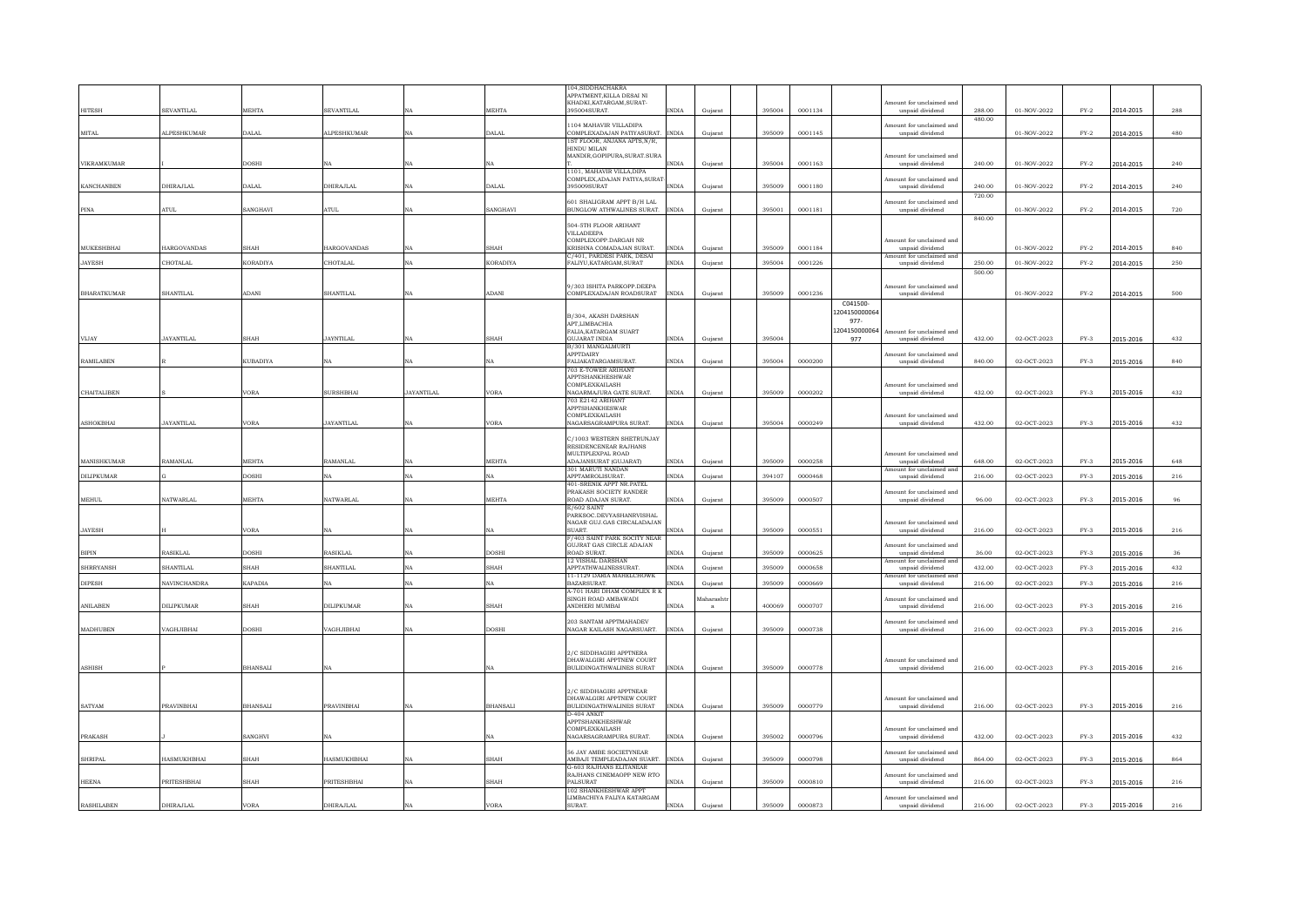|                         |                    |                 |                    |                   |                | 04.SIDDHACHAKRA                                                             |         |        |         |                       |                                             |        |                             |               |           |              |
|-------------------------|--------------------|-----------------|--------------------|-------------------|----------------|-----------------------------------------------------------------------------|---------|--------|---------|-----------------------|---------------------------------------------|--------|-----------------------------|---------------|-----------|--------------|
|                         |                    |                 |                    |                   |                | APPATMENT, KILLA DESAI NI                                                   |         |        |         |                       |                                             |        |                             |               |           |              |
| HITESH                  | SEVANTILAL         | <b>MEHTA</b>    | <b>SEVANTILAL</b>  | NA                | MEHTA          | KHADKI, KATARGAM, SURAT-<br>95004SURAT.<br>NDIA                             | Gujarat | 395004 | 0001134 |                       | Amount for unclaimed and<br>unpaid dividend | 288.00 | $01\mbox{-}N\mbox{OV-}2022$ | $FY-2$        | 2014-2015 | 288          |
|                         |                    |                 |                    |                   |                |                                                                             |         |        |         |                       |                                             | 480.00 |                             |               |           |              |
|                         |                    |                 |                    |                   |                | 104 MAHAVIR VILLADIPA                                                       |         |        |         |                       | Amount for unclaimed and                    |        |                             |               |           |              |
| MITAL.                  | <b>ALPESHKUMAR</b> | DALAL           | <b>ALPESHKUMAR</b> | <b>NA</b>         | DALAL.         | COMPLEXADA JAN PATIYASURAT<br><b>INDIA</b>                                  | Guiarat | 395009 | 0001145 |                       | unpaid dividend                             |        | 01-NOV-2022                 | $FY-2$        | 2014-2015 | 480          |
|                         |                    |                 |                    |                   |                | IST FLOOR, ANJANA APTS, N/R,<br>HINDU MILAN                                 |         |        |         |                       |                                             |        |                             |               |           |              |
|                         |                    |                 |                    |                   |                | MANDIR, GOPIPURA, SURAT. SURA                                               |         |        |         |                       | Amount for unclaimed and                    |        |                             |               |           |              |
| VIKRAMKUMAR             |                    | <b>DOSHI</b>    | NA                 | NA                |                | <b>NDIA</b>                                                                 | Gujara  | 395004 | 0001163 |                       | unpaid dividend                             | 240.00 | 01-NOV-2022                 | $FY-2$        | 2014-2015 | 240          |
|                         |                    |                 |                    |                   |                | 1101, MAHAVIR VILLA, DIPA                                                   |         |        |         |                       |                                             |        |                             |               |           |              |
| <b>KANCHANREN</b>       | DHIRAJLAL          | <b>DALAI</b>    | DHIRA ILAI         | <b>NA</b>         | DALAL          | COMPLEX.ADAJAN PATIYA.SURA'<br><b>INDIA</b><br>395009SURAT                  | Guiarat | 395009 | 0001180 |                       | Amount for unclaimed and<br>unnaid dividend | 240.00 | 01-NOV-2022                 | $FY-2$        | 2014-2015 | 240          |
|                         |                    |                 |                    |                   |                |                                                                             |         |        |         |                       |                                             | 720.00 |                             |               |           |              |
|                         |                    |                 |                    |                   |                | 601 SHALIGRAM APPT B/H LAL                                                  |         |        |         |                       | Amount for unclaimed and                    |        |                             |               |           |              |
| $\rm PINA$              | ATUL.              | SANGHAVI        | <b>ATUL</b>        | NA                | SANGHAVI       | BUNGLOW ATHWALINES SURAT.<br>INDIA                                          | Gujarat | 395001 | 0001181 |                       | unpaid dividend                             |        | 01-NOV-2022                 | $FY-2$        | 2014-2015 | 720          |
|                         |                    |                 |                    |                   |                | 504-5TH FLOOR ARIHANT                                                       |         |        |         |                       |                                             | 840.00 |                             |               |           |              |
|                         |                    |                 |                    |                   |                | VILLADEEPA                                                                  |         |        |         |                       |                                             |        |                             |               |           |              |
|                         |                    |                 |                    |                   |                | COMPLEXOPP.DARGAH NR                                                        |         |        |         |                       | Amount for unclaimed and                    |        |                             |               |           |              |
| <b>MUKESHBHAI</b>       | <b>HARGOVANDAS</b> | <b>SHAH</b>     | <b>HARGOVANDAS</b> | <b>NA</b>         | SHAH           | KRISHNA COMADAJAN SURAT.<br><b>INDIA</b>                                    | Gujarat | 395009 | 0001184 |                       | unpaid dividend                             |        | 01-NOV-2022                 | $FY-2$        | 2014-2015 | 840          |
| <b>JAYESH</b>           | CHOTALAL           | <b>KORADIYA</b> | CHOTALAL           | <b>NA</b>         | KORADIYA       | 1/401 PARDESI PARK DESAI<br><b>INDIA</b><br>FALIYU.KATARGAM.SURAT           | Gujarat | 395004 | 0001226 |                       | Amount for unclaimed and<br>unpaid dividend | 250.00 | 01-NOV-2022                 | $FY-2$        | 2014-2015 | 250          |
|                         |                    |                 |                    |                   |                |                                                                             |         |        |         |                       |                                             | 500.00 |                             |               |           |              |
|                         |                    |                 |                    |                   |                |                                                                             |         |        |         |                       |                                             |        |                             |               |           |              |
|                         |                    |                 |                    |                   |                | /303 ISHITA PARKOPP.DEEPA                                                   |         |        |         |                       | mount for unclaimed and                     |        |                             |               |           |              |
| <b>BHARATKUMAR</b>      | SHANTILAL          | ADANI           | SHANTILAL          | <b>NA</b>         | <b>ADANI</b>   | OMPLEXADAJAN ROADSURAT<br><b>INDIA</b>                                      | Guiarat | 395009 | 0001236 |                       | unpaid dividend                             |        | 01-NOV-2022                 | $FY-2$        | 2014-2015 | 500          |
|                         |                    |                 |                    |                   |                |                                                                             |         |        |         | C041500               |                                             |        |                             |               |           |              |
|                         |                    |                 |                    |                   |                | <b>B/304 AKASH DARSHAN</b>                                                  |         |        |         | 1204150000064<br>977- |                                             |        |                             |               |           |              |
|                         |                    |                 |                    |                   |                | APT LIMBACHIA                                                               |         |        |         | 1204150000064         |                                             |        |                             |               |           |              |
| VIJAY                   | <b>JAYANTILAL</b>  | <b>SHAH</b>     | <b>JAYNTILAI</b>   | NA                | SHAH           | FALIA.KATARGAM SUART<br>GUJARAT INDIA<br><b>NDIA</b>                        | Guiarat | 395004 |         | 977                   | Amount for unclaimed and<br>unpaid dividend | 432.00 | 02-OCT-2023                 | $FY-3$        | 2015-2016 | 432          |
|                         |                    |                 |                    |                   |                | B/301 MANGALMURTI                                                           |         |        |         |                       |                                             |        |                             |               |           |              |
|                         |                    |                 |                    |                   |                | APPTDAIRY                                                                   |         |        |         |                       | nount for unclaimed and                     |        |                             |               |           |              |
| <b>RAMILABEN</b>        |                    | <b>KUBADIYA</b> | NA                 | $_{\rm NA}$       | NA             | FALIAKATARGAMSURAT.<br><b>INDIA</b>                                         | Gujarat | 395004 | 0000200 |                       | unpaid dividend                             | 840.00 | 02-OCT-2023                 | $FY-3$        | 2015-2016 | 840          |
|                         |                    |                 |                    |                   |                | <b>703 E-TOWER ARIHANT</b><br><b>APPTSHANKHESHWAR</b>                       |         |        |         |                       |                                             |        |                             |               |           |              |
|                         |                    |                 |                    |                   |                | COMPLEXKAILASH                                                              |         |        |         |                       | Amount for unclaimed and                    |        |                             |               |           |              |
| CHAITALIBEN             |                    | <b>VORA</b>     | <b>SURSHBHAI</b>   | <b>JAYANTILAI</b> | VORA           | NAGARMAJURA GATE SURAT.<br><b>INDIA</b>                                     | Gujarat | 395009 | 0000202 |                       | unpaid dividend                             | 432.00 | 02-OCT-2023                 | $FY-3$        | 2015-2016 | 432          |
|                         |                    |                 |                    |                   |                | 703 E2142 ARIHANT                                                           |         |        |         |                       |                                             |        |                             |               |           |              |
|                         |                    |                 |                    |                   |                | APPTSHANKHESWAR<br>COMPLEXKAILASH                                           |         |        |         |                       | mount for unclaimed and                     |        |                             |               |           |              |
| ASHOKBHAI               | <b>JAYANTILAL</b>  | <b>VORA</b>     | <b>JAYANTILAL</b>  | NA                | VORA           | <b>NAGARSAGRAMPURA SURAT.</b><br><b>INDIA</b>                               | Gujarat | 395004 | 0000249 |                       | unpaid dividend                             | 432.00 | 02-OCT-2023                 | $FY-3$        | 2015-2016 | 432          |
|                         |                    |                 |                    |                   |                |                                                                             |         |        |         |                       |                                             |        |                             |               |           |              |
|                         |                    |                 |                    |                   |                | C/1003 WESTERN SHETRUNJAY                                                   |         |        |         |                       |                                             |        |                             |               |           |              |
|                         |                    |                 |                    |                   |                | <b>RESIDENCENEAR RAJHANS</b><br>MULTIPLEXPAL ROAD                           |         |        |         |                       | Amount for unclaimed and                    |        |                             |               |           |              |
| MANISHKUMAR             | RAMANLAL           | <b>MEHTA</b>    | RAMANLAI           | NA                | MEHTA          | <b>ADAJANSURAT (GILIARAT)</b><br><b>INDIA</b>                               | Gujarat | 395009 | 0000258 |                       | unpaid dividend                             | 648.00 | 02-OCT-2023                 | $FY-3$        | 2015-2016 | 648          |
|                         |                    |                 |                    |                   |                | 301 MARUTI NANDAN                                                           |         |        |         |                       | ount for unclaimed ar                       |        |                             |               |           |              |
| <b>DILIPKUMAR</b>       |                    | <b>DOSHI</b>    | NA                 | $_{\rm NA}$       | NA             | APPTAMROLISURAT.<br><b>INDIA</b>                                            | Gujarat | 394107 | 0000468 |                       | unpaid dividend                             | 216.00 | 02-OCT-2023                 | $FY-3$        | 2015-2016 | 216          |
|                         |                    |                 |                    |                   |                | 401-SRENIK APPT NR.PATEL                                                    |         |        |         |                       |                                             |        |                             |               |           |              |
| $\textsf{MEML}{}$       | <b>NATWARLAL</b>   | <b>MEHTA</b>    | <b>NATWARLAL</b>   | $_{\rm NA}$       | MEHTA          | PRAKASH SOCIETY RANDER<br>ROAD ADAJAN SURAT.<br><b>INDIA</b>                | Gujarat | 395009 | 0000507 |                       | Amount for unclaimed and<br>unpaid dividend | 96.00  | 02-OCT-2023                 | $FY-3$        | 2015-2016 | 96           |
|                         |                    |                 |                    |                   |                | E/602 SAINT                                                                 |         |        |         |                       |                                             |        |                             |               |           |              |
|                         |                    |                 |                    |                   |                | PARKSOC.DEVYASHANRVISHAL                                                    |         |        |         |                       |                                             |        |                             |               |           |              |
|                         |                    |                 |                    |                   |                | NAGAR GUJ.GAS CIRCALADAJAN<br>SUART.<br>INDIA                               |         |        |         |                       | Amount for unclaimed and                    |        |                             |               |           |              |
| <b>JAYESH</b>           |                    | <b>VORA</b>     | NA                 | NA                |                | F/403 SAINT PARK SOCITY NEAR                                                | Gujarat | 395009 | 0000551 |                       | unpaid dividend                             | 216.00 | 02-OCT-2023                 | $FY-3$        | 2015-2016 | 216          |
|                         |                    |                 |                    |                   |                | GUJRAT GAS CIRCLE ADAJAN                                                    |         |        |         |                       | mount for unclaimed and                     |        |                             |               |           |              |
| $\mathbb{BIPIN}$        | RASIKLAL           | <b>DOSHI</b>    | <b>RASIKLAL</b>    | $_{\rm NA}$       | DOSHI          | ROAD SURAT.<br><b>INDIA</b>                                                 | Gujarat | 395009 | 0000625 |                       | unpaid dividend                             | 36.00  | 02-OCT-2023                 | $FY-3$        | 2015-2016 | 36           |
| <b>SHRRYANSH</b>        | SHANTILAI.         | <b>SHAH</b>     | SHANTILAL          | <b>NA</b>         | SHAH           | 12 VISHAL DARSHAN<br>APPTATHWALINESSURAT<br><b>INDIA</b>                    |         | 395009 | 0000658 |                       | Amount for unclaimed and<br>unnaid dividend | 432.00 | 02-OCT-2023                 | $FY-3$        | 2015-2016 | 432          |
|                         |                    |                 |                    |                   |                | 11-1129 DARIA MAHELCHOWK                                                    | Guiarat |        |         |                       | mount for unclaimed and                     |        |                             |               |           |              |
| <b>DIPESH</b>           | NAVINCHANDRA       | <b>KAPADIA</b>  | $N\Delta$          | <b>NA</b>         | NΔ             | RAZARSHRAT<br><b>INDIA</b>                                                  | Gujarat | 395009 | 0000669 |                       | unpaid dividend                             | 216.00 | 02-OCT-2023                 | $_{\rm FY-3}$ | 2015-2016 | $2\sqrt{16}$ |
|                         |                    |                 |                    |                   |                | A-701 HARI DHAM COMPLEX R K                                                 |         |        |         |                       |                                             |        |                             |               |           |              |
| <b>ANILABEN</b>         | DILIPKUMAR         | <b>SHAH</b>     | DILIPKUMAR         | NA                | <b>SHAH</b>    | SINGH ROAD AMBAWADI<br>ANDHERI MUMBAI<br><b>INDIA</b>                       | aharash | 400069 | 0000707 |                       | mount for unclaimed and                     | 216.00 | 02-OCT-2023                 | $FY-3$        |           | 216          |
|                         |                    |                 |                    |                   |                |                                                                             | a       |        |         |                       | unpaid dividend                             |        |                             |               | 2015-2016 |              |
|                         |                    |                 |                    |                   |                | 203 SANTAM APPTMAHADEV                                                      |         |        |         |                       | Amount for unclaimed and                    |        |                             |               |           |              |
| <b>MADHUREN</b>         | VAGH.IIRHAI        | <b>DOSHI</b>    | VAGH.IIRHAI        | <b>NA</b>         | DOSHI          | NAGAR KAILASH NAGARSUART<br><b>INDIA</b>                                    | Gujarat | 395009 | 0000738 |                       | unpaid dividend                             | 216.00 | 02-OCT-2023                 | $FY-3$        | 2015-2016 | 216          |
|                         |                    |                 |                    |                   |                |                                                                             |         |        |         |                       |                                             |        |                             |               |           |              |
|                         |                    |                 |                    |                   |                | 2/C SIDDHAGIRI APPTNERA                                                     |         |        |         |                       |                                             |        |                             |               |           |              |
|                         |                    |                 |                    |                   |                | DHAWALGIRI APPTNEW COURT                                                    |         |        |         |                       | Amount for unclaimed and                    |        |                             |               |           |              |
| $\operatorname{ASHISH}$ |                    | <b>BHANSALI</b> | NA                 |                   |                | <b>BULIDINGATHWALINES SURAT</b><br><b>INDIA</b>                             | Gujarat | 395009 | 0000778 |                       | unpaid dividend                             | 216.00 | 02-OCT-2023                 | $_{\rm FY-3}$ | 2015-2016 | 216          |
|                         |                    |                 |                    |                   |                |                                                                             |         |        |         |                       |                                             |        |                             |               |           |              |
|                         |                    |                 |                    |                   |                | 2/C SIDDHAGIRI APPTNEAR                                                     |         |        |         |                       |                                             |        |                             |               |           |              |
|                         |                    |                 |                    |                   |                | DHAWALGIRI APPTNEW COURT                                                    |         |        |         |                       | Amount for unclaimed and                    |        |                             |               |           |              |
| SATYAM                  | PRAVINBHAI         | <b>BHANSALI</b> | PRAVINBHAI         | NA                | <b>HANSALI</b> | BULIDINGATHWALINES SURAT<br><b>INDIA</b>                                    | Gujarat | 395009 | 0000779 |                       | unpaid dividend                             | 216.00 | 02-OCT-2023                 | $FY-3$        | 2015-2016 | 216          |
|                         |                    |                 |                    |                   |                | D-404 ANKIT                                                                 |         |        |         |                       |                                             |        |                             |               |           |              |
|                         |                    |                 |                    |                   |                | <b>APPTSHANKHESHWAR</b><br>COMPLEXKAILASH                                   |         |        |         |                       | Amount for unclaimed and                    |        |                             |               |           |              |
| <b>PRAKASH</b>          |                    | SANGHVI         | NA                 |                   |                | NAGARSAGRAMPURA SURAT.<br><b>INDIA</b>                                      | Guiarat | 395002 | 0000796 |                       | unpaid dividend                             | 432.00 | 02-OCT-2023                 | $FY-3$        | 2015-2016 | 432          |
|                         |                    |                 |                    |                   |                |                                                                             |         |        |         |                       |                                             |        |                             |               |           |              |
| SHRIPAL                 | <b>HASMUKHRHAI</b> | <b>SHAH</b>     | <b>HASMUKHRHAI</b> | NA                | <b>SHAH</b>    | <b>56 JAY AMBE SOCIETYNEAR</b><br>AMBAJI TEMPLEADAJAN SUART<br><b>INDIA</b> | Guiarat | 395009 | 0000798 |                       | mount for unclaimed and                     | 864.00 | 02-OCT-2023                 | $FY-3$        |           | 864          |
|                         |                    |                 |                    |                   |                | <b>3-603 RAJHANS ELITANEA</b>                                               |         |        |         |                       | unpaid dividend                             |        |                             |               | 2015-2016 |              |
|                         |                    |                 |                    |                   |                | RAJHANS CINEMAOPP NEW RTO                                                   |         |        |         |                       | nount for unclaimed and                     |        |                             |               |           |              |
| <b>HEENA</b>            | PRITESHBHAI        | SHAH            | PRITESHBHAI        | $_{\rm NA}$       | SHAH           | PALSURAT<br><b>NDIA</b>                                                     | Gujarat | 395009 | 0000810 |                       | unpaid dividend                             | 216.00 | 02-OCT-2023                 | $FY-3$        | 2015-2016 | 216          |
|                         |                    |                 |                    |                   |                | <b>102 SHANKHESHWAR APPT</b><br>LIMBACHIYA FALIYA KATARGAM                  |         |        |         |                       | Amount for unclaimed and                    |        |                             |               |           |              |
| <b>RASHILABEN</b>       | DHIRAJLAL          | VORA            | <b>DHIRAJLAL</b>   | NA                | VORA           | SURAT.<br><b>INDIA</b>                                                      | Guiarat | 395009 | 0000873 |                       | unpaid dividend                             | 216.00 | 02-OCT-2023                 | $FY-3$        | 2015-2016 | 216          |
|                         |                    |                 |                    |                   |                |                                                                             |         |        |         |                       |                                             |        |                             |               |           |              |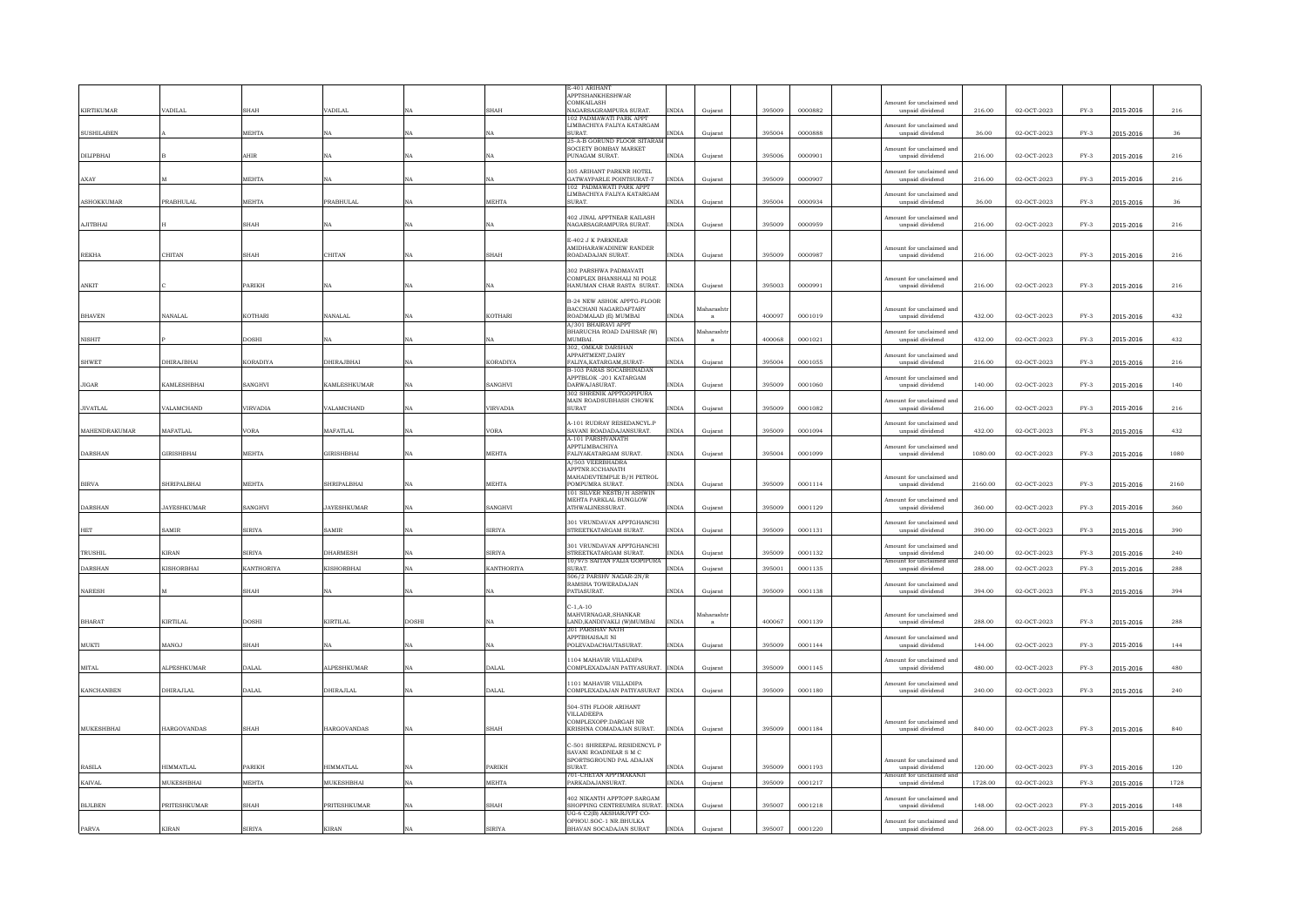| <b>KIRTIKUMAR</b>         | <b>ADILAL</b>                     | SHAH            | VADILAI                      |             | <b>SHAH</b>       | E-401 ARIHANT<br><b>APPTSHANKHESHWAR</b><br>COMKAILASH<br>NAGARSAGRAMPURA SURAT   | <b>INDIA</b>                 | Gujarat   | 395009           | 0000882 | mount for unclaimed and<br>$\bf{unpaid}$ $\bf{dividend}$ | 216.00           | 02-OCT-2023 | $FY-3$ | 2015-2016 | $_{\rm 216}$ |
|---------------------------|-----------------------------------|-----------------|------------------------------|-------------|-------------------|-----------------------------------------------------------------------------------|------------------------------|-----------|------------------|---------|----------------------------------------------------------|------------------|-------------|--------|-----------|--------------|
|                           |                                   |                 |                              |             |                   | 102 PADMAWATI PARK APPT<br>LIMBACHIYA FALIYA KATARGAM<br>SURAT.                   |                              |           |                  |         | mount for unclaimed and                                  |                  |             |        |           |              |
| <b>SUSHILABEN</b>         |                                   | MEHTA           | NA                           | NA          |                   | 25-A-B GORUND FLOOR SITARAM<br>SOCIETY BOMBAY MARKET                              | <b>INDIA</b>                 | Gujarat   | 395004           | 0000888 | unpaid dividend<br>mount for unclaimed and               | 36.00            | 02-OCT-2023 | $FY-3$ | 2015-2016 | 36           |
| DILIPBHAI                 |                                   | AHIR            | ŃΑ                           |             | NA                | PUNAGAM SURAT.<br>305 ARIHANT PARKNR HOTEL                                        | INDIA                        | Gujarat   | 395006           | 0000901 | unpaid dividend<br>mount for unclaimed and               | 216.00           | 02-OCT-2023 | $FY-3$ | 2015-2016 | 216          |
| AXAY                      |                                   | <b>MEHTA</b>    | NA                           | NA          | NA                | GATWAYPARLE POINTSURAT-7<br>102 PADMAWATI PARK APPT<br>LIMBACHIYA FALIYA KATARGAM | <b>INDIA</b>                 | Gujarat   | 395009           | 0000907 | unpaid dividend<br>Amount for unclaimed and              | 216.00           | 02-OCT-2023 | $FY-3$ | 2015-2016 | 216          |
| <b>ASHOKKUMAR</b>         | PRABHULAL                         | MEHTA           | PRABHULAL                    |             | MEHTA             | SURAT.<br>402 JINAL APPTNEAR KAILASH                                              | <b>INDIA</b>                 | Gujarat   | 395004           | 0000934 | unpaid dividend                                          | 36.00            | 02-OCT-2023 | $FY-3$ | 2015-2016 | 36           |
| AJITBHAI                  |                                   | HAH             | NA                           | NA          | NA                | NAGARSAGRAMPURA SURAT.                                                            | $\text{INDIA}$               | Gujarat   | 395009           | 0000959 | Amount for unclaimed and<br>unpaid dividend              | 216.00           | 02-OCT-2023 | $FY-3$ | 2015-2016 | 216          |
| <b>REKHA</b>              | CHITAN                            | SHAH            | CHITAN                       | NA          | <b>SHAH</b>       | E-402 J K PARKNEAR<br>AMIDHARAWADINEW RANDER<br>ROADADAJAN SURAT.                 | <b>INDIA</b>                 | Guiarat   | 395009           | 0000987 | Amount for unclaimed and<br>unpaid dividend              | 216.00           | 02-OCT-2023 | $FY-3$ | 2015-2016 | 216          |
|                           |                                   |                 |                              |             |                   | 302 PARSHWA PADMAVATI<br>COMPLEX BHANSHALI NI POLE                                |                              |           |                  |         | Amount for unclaimed and                                 |                  |             |        |           |              |
| ANKIT                     |                                   | PARIKH          | NA                           | NA          | NA                | HANUMAN CHAR RASTA SURAT.<br><b>B-24 NEW ASHOK APPTG-FLOOR</b>                    | <b>INDIA</b>                 | Guiarat   | 395003           | 0000991 | unpaid dividend                                          | 216.00           | 02-OCT-2023 | $FY-3$ | 2015-2016 | 216          |
| <b>BHAVEN</b>             | <b>NANALAL</b>                    | KOTHARI         | NANALAI                      |             | <b>KOTHARI</b>    | BACCHANI NAGARDAFTARY<br>ROADMALAD (E) MUMBAI                                     | <b>INDIA</b>                 | faharasht | 400097           | 0001019 | Amount for unclaimed and<br>unpaid dividend              | 432.00           | 02-OCT-2023 | $FY-3$ | 2015-2016 | $432\,$      |
| <b>NISHIT</b>             |                                   | <b>DOSHI</b>    | NA                           |             |                   | A/301 BHAIRAVI APPT<br>BHARUCHA ROAD DAHISAR (W)<br><b>MUMBAL</b>                 | INDIA                        | aharash   | 400068           | 0001021 | mount for unclaimed and<br>unpaid dividend               | 432.00           | 02-OCT-2023 | $FY-3$ | 2015-2016 | 432          |
| <b>SHWET</b>              | DHIRAJBHAI                        | KORADIYA        | DHIRAJBHAI                   |             | KORADIYA          | 302, OMKAR DARSHAN<br>APPARTMENT, DAIRY<br>FALIYA, KATARGAM, SURAT-               | INDIA                        | Gujarat   | 395004           | 0001055 | mount for unclaimed and<br>unpaid dividend               | 216.00           | 02-OCT-2023 | $FY-3$ | 2015-2016 | $_{\rm 216}$ |
| JIGAR                     | <b>KAMLESHBHAI</b>                | SANGHVI         | <b>KAMLESHKUMAR</b>          | $_{\rm NA}$ | SANGHVI           | B-103 PARAS SOCABHINADAN<br>APPTBLOK -201 KATARGAM<br>DARWAJASURAT.               | INDIA                        | Gujarat   | 395009           | 0001060 | nount for unclaimed and<br>unpaid dividend               | 140.00           | 02-OCT-2023 | $FY-3$ | 2015-2016 | 140          |
| <b>JIVATLAL</b>           | VALAMCHAND                        | <b>/IRVADIA</b> | VALAMCHAND                   | $_{\rm NA}$ | VIRVADIA          | 302 SHRENIK APPTGOPIPURA<br>MAIN ROADSUBHASH CHOWK<br><b>SURAT</b>                | INDIA                        | Gujarat   | 395009           | 0001082 | Amount for unclaimed and<br>unpaid dividend              | 216.00           | 02-OCT-2023 | $FY-3$ | 2015-2016 | 216          |
| MAHENDRAKUMAR             | <b>MAFATLAL</b>                   | /ORA            | <b>MAFATLAL</b>              | NA          | <b>VORA</b>       | A-101 RUDRAY RESEDANCYL.P<br>SAVANI ROADADAJANSURAT.                              | $\text{INDIA}$               | Gujarat   | 395009           | 0001094 | Amount for unclaimed and<br>unpaid dividend              | 432.00           | 02-OCT-2023 | $FY-3$ | 2015-2016 | 432          |
| <b>DARSHAN</b>            | <b>GIRISHBHAI</b>                 | <b>MEHTA</b>    | GIRISHBHAI                   |             | MEHTA             | A-101 PARSHVANATH<br>APPTLIMBACHIYA<br>FALIYAKATARGAM SURAT.                      | INDIA                        | Gujarat   | 395004           | 0001099 | Amount for unclaimed and<br>unpaid dividend              | 1080.00          | 02-OCT-2023 | $FY-3$ | 2015-2016 | 1080         |
|                           |                                   |                 |                              |             |                   | A/503 VEERBHADRA<br>APPTNR.ICCHANATH<br>MAHADEVTEMPLE B/H PETROL                  |                              |           |                  |         | Amount for unclaimed and                                 |                  |             |        |           |              |
| <b>BIRVA</b>              | SHRIPALBHA                        | <b>MEHTA</b>    | SHRIPALBHAI                  |             | <b>MEHTA</b>      | POMPUMRA SURAT.<br>101 SILVER NESTB/H ASHWIN<br><b>MEHTA PARKLAL BUNGLOW</b>      | <b>INDIA</b>                 | Gujarat   | 395009           | 0001114 | unpaid dividend<br>Amount for unclaimed and              | 2160.00          | 02-OCT-2023 | $FY-3$ | 2015-2016 | 2160         |
| <b>DARSHAN</b>            | <b>JAYESHKUMAR</b>                | SANGHVI         | <b>JAYESHKUMAR</b>           | NA          | SANGHVI           | ATHWALINESSURAT.<br>301 VRUNDAVAN APPTGHANCHI                                     | <b>INDIA</b>                 | Guiarat   | 395009           | 0001129 | unpaid dividend<br>Amount for unclaimed and              | 360.00           | 02-OCT-2023 | $FY-3$ | 2015-2016 | 360          |
| HET                       | SAMIR                             | SIRIYA          | SAMIR                        | NA          | <b>SIRIYA</b>     | STREETKATARGAM SURAT.<br>301 VRUNDAVAN APPTGHANCHI                                | <b>INDIA</b>                 | Gujarat   | 395009           | 0001131 | unpaid dividend<br>Amount for unclaimed and              | 390.00           | 02-OCT-2023 | $FY-3$ | 2015-2016 | 390          |
| TRUSHIL<br><b>DARSHAN</b> | <b>KIRAN</b><br><b>KISHORBHAI</b> | SIRIYA          | <b>DHARMESH</b><br>KISHORBHA | NA<br>NA    | <b>SIRIYA</b>     | STREETKATARGAM SURAT.<br>10/975 SAITAN FALIA GOPIPURA<br>SURAT.                   | <b>INDIA</b><br><b>INDIA</b> | Gujarat   | 395009<br>395001 | 0001132 | unpaid dividend<br>ount for unclaimed ar                 | 240.00<br>288.00 | 02-OCT-2023 | $FY-3$ | 2015-2016 | 240          |
|                           |                                   | KANTHORIYA      |                              |             | <b>KANTHORIYA</b> | 506/2 PARSHV NAGAR-2N/R                                                           |                              | Gujarat   |                  | 0001135 | unpaid dividend                                          |                  | 02-OCT-2023 | $FY-3$ | 2015-2016 | 288          |
| <b>NARESH</b>             |                                   | HAH             | $_{\rm NA}$                  | $_{\rm NA}$ |                   | RAMSHA TOWERADAJAN<br>PATIASURAT.                                                 | <b>INDIA</b>                 | Gujarat   | 395009           | 0001138 | mount for unclaimed and<br>unpaid dividend               | 394.00           | 02-OCT-2023 | $FY-3$ | 2015-2016 | 394          |
| <b>BHARAT</b>             | <b>KIRTILAL</b>                   | OOSHI           | KIRTILAL                     | DOSHI       |                   | $C-1, A-10$<br>MAHVIRNAGAR, SHANKAR<br>LAND, KANDIVAKLI (W) MUMBAI                | <b>INDIA</b>                 | aharash   | 400067           | 0001139 | mount for unclaimed and<br>unpaid dividend               | 288.00           | 02-OCT-2023 | $FY-3$ | 2015-2016 | 288          |
| MUKTI                     | MANOJ                             | HAH             | NA                           |             | NA                | 201 PARSHAV NATH<br>APPTBHAISAJI NI<br>POLEVADACHAUTASURAT.                       | <b>INDIA</b>                 | Gujarat   | 395009           | 0001144 | Amount for unclaimed and<br>unpaid dividend              | 144.00           | 02-OCT-2023 | $FY-3$ | 2015-2016 | 144          |
| <b>MITAL</b>              | <b>ALPESHKUMAR</b>                | <b>DALAL</b>    | <b>ALPESHKUMAR</b>           | NA          | DALAL             | 1104 MAHAVIR VILLADIPA<br>COMPLEXADAJAN PATIYASURAT. INDIA                        |                              | Gujarat   | 395009           | 0001145 | mount for unclaimed and<br>unpaid dividend               | 480.00           | 02-OCT-2023 | $FY-3$ | 2015-2016 | 480          |
| <b>KANCHANBEN</b>         | DHIRAJLAL                         | <b>JALAL</b>    | <b>HIRAJLAL</b>              | NA          | <b>DALAL</b>      | 1101 MAHAVIR VILLADIPA<br>COMPLEXADAJAN PATIYASURAT                               | <b>INDIA</b>                 | Gujarat   | 395009           | 0001180 | Amount for unclaimed and<br>unpaid dividend              | 240.00           | 02-OCT-2023 | $FY-3$ | 2015-2016 | 240          |
|                           |                                   |                 |                              |             |                   | 504-5TH FLOOR ARIHANT<br><b>VILLADEEPA</b>                                        |                              |           |                  |         |                                                          |                  |             |        |           |              |
| <b>MUKESHBHAI</b>         | <b>HARGOVANDAS</b>                | SHAH            | <b>HARGOVANDAS</b>           | NA          | <b>SHAH</b>       | COMPLEXOPP.DARGAH NR<br>KRISHNA COMADAJAN SURAT.                                  | <b>INDIA</b>                 | Guiarat   | 395009           | 0001184 | Amount for unclaimed and<br>unpaid dividend              | 840.00           | 02-OCT-2023 | $FY-3$ | 2015-2016 | 840          |
|                           |                                   |                 |                              |             |                   | C-501 SHREEPAL RESIDENCYL F<br>SAVANI ROADNEAR S M C                              |                              |           |                  |         |                                                          |                  |             |        |           |              |
| RASILA                    | HIMMATLAL                         | <b>ARIKH</b>    | <b>HIMMATLAL</b>             |             | <b>PARIKH</b>     | SPORTSGROUND PAL ADAJAN<br><b>SURAT</b>                                           | <b>INDIA</b>                 | Gujarat   | 395009           | 0001193 | Amount for unclaimed and<br>unpaid dividend              | 120.00           | 02-OCT-2023 | $FY-3$ | 2015-2016 | 120          |
| <b>KAIVAL</b>             | <b>MUKESHRHAI</b>                 | <b>MEHTA</b>    | <b>MUKESHRHAI</b>            | NA          | <b>MEHTA</b>      | 701-CHETAN APPTMAKANJI<br>PARKADAJANSURAT.                                        | <b>INDIA</b>                 | Gujarat   | 395009           | 0001217 | nount for unclaimed and<br>$\bf{unpaid}$ $\bf{dividend}$ | 1728.00          | 02-OCT-2023 | $FY-3$ | 2015-2016 | 1728         |
| <b>BIJLBEN</b>            | PRITESHKUMAR                      | HAH             | PRITESHKUMAR                 |             | <b>SHAH</b>       | 402 NIKANTH APPTOPP.SARGAM<br>SHOPPING CENTREUMRA SURAT. INDIA                    |                              | Gujarat   | 395007           | 0001218 | mount for unclaimed and<br>unpaid dividend               | 148.00           | 02-OCT-2023 | $FY-3$ | 2015-2016 | 148          |
|                           | <b>KIRAN</b>                      | SIRIYA          | KIRAN                        |             | <b>SIRIYA</b>     | UG-6 C2(B) AKSHARJYPT CO-<br>OPHOU.SOC-1 NR.BHULKA<br>BHAVAN SOCADAJAN SURAT      | $\text{INDIA}$               |           | 395007           | 0001220 | mount for unclaimed and                                  | 268.00           | 02-OCT-2023 | $FY-3$ |           | 268          |
| PARVA                     |                                   |                 |                              |             |                   |                                                                                   |                              | Gujarat   |                  |         | unpaid dividend                                          |                  |             |        | 2015-2016 |              |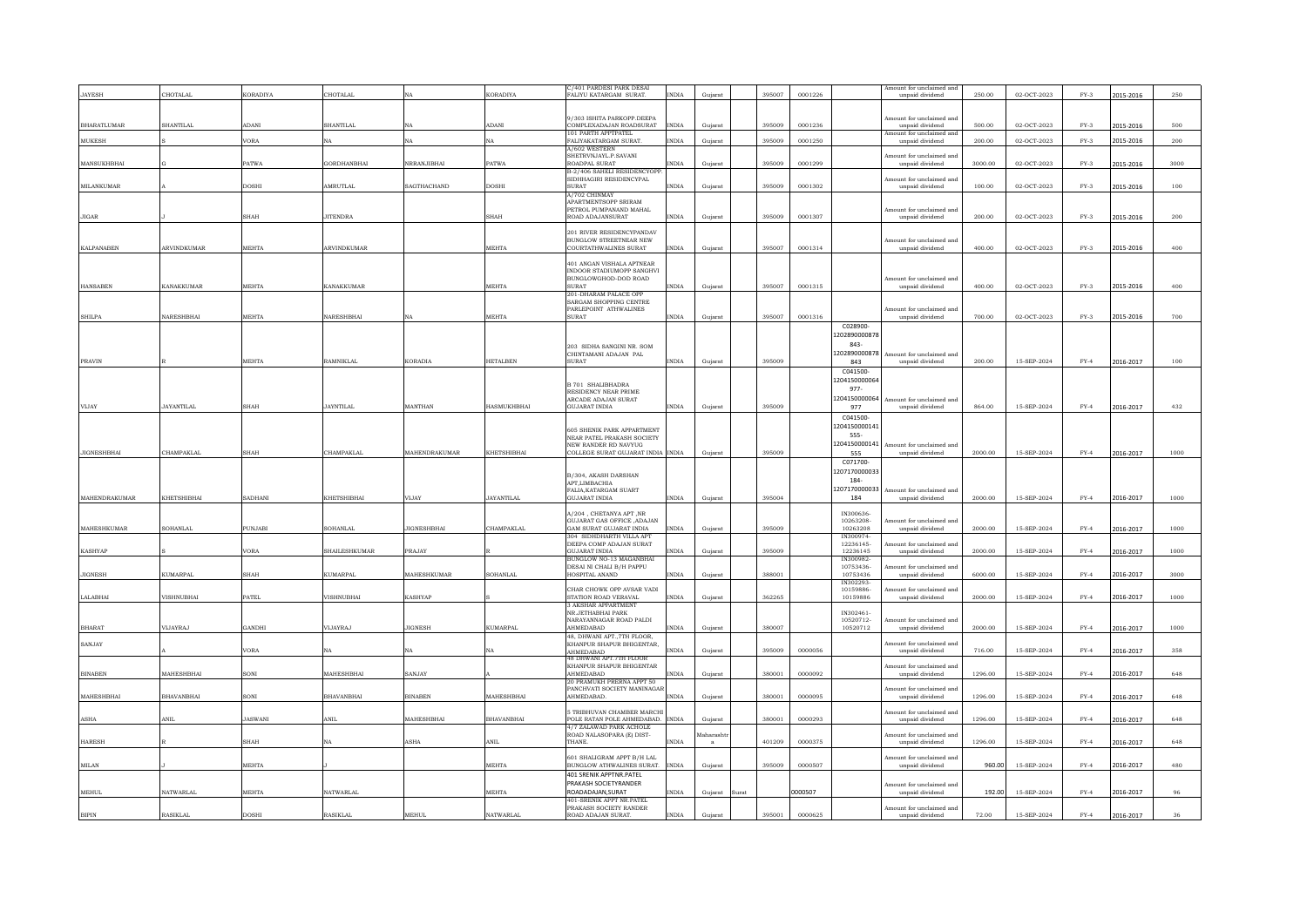|                    |                   |                |                    |                    |                    | /401 PARDESI PARK DESA                                      |              |           |       |        |         |                        |                                             |         |             |        |           |      |
|--------------------|-------------------|----------------|--------------------|--------------------|--------------------|-------------------------------------------------------------|--------------|-----------|-------|--------|---------|------------------------|---------------------------------------------|---------|-------------|--------|-----------|------|
| <b>JAYESH</b>      | CHOTALAL          | KORADIYA       | CHOTALAL           |                    | <b>KORADIYA</b>    | FALIYU KATARGAM SURAT.                                      | <b>INDIA</b> | Gujarat   |       | 395007 | 0001226 |                        | unpaid dividend                             | 250.00  | 02-OCT-2023 | $FY-3$ | 2015-2016 | 250  |
|                    |                   |                |                    |                    |                    |                                                             |              |           |       |        |         |                        |                                             |         |             |        |           |      |
|                    |                   |                |                    |                    |                    | 9/303 ISHITA PARKOPP.DEEPA                                  |              |           |       |        |         |                        | Amount for unclaimed and                    |         |             |        |           |      |
| <b>BHARATLUMAR</b> | <b>SHANTILAL</b>  | <b>IDANI</b>   | SHANTILAL          |                    | ADANI              | COMPLEXADAJAN ROADSURAT                                     | <b>INDIA</b> | Guiarat   |       | 395009 | 0001236 |                        | unpaid dividend                             | 500.00  | 02-OCT-2023 | $FY-3$ | 2015-2016 | 500  |
|                    |                   |                |                    |                    |                    | 101 PARTH APPTPATEL                                         |              |           |       |        |         |                        | Amount for unclaimed an                     |         |             |        |           |      |
| <b>MUKESH</b>      |                   | /ORA           | VА.                |                    | NA                 | FALIYAKATARGAM SURAT.                                       | <b>INDIA</b> | Guiarat   |       | 395009 | 0001250 |                        | unpaid dividend                             | 200.00  | 02-OCT-2023 | $FY-3$ | 2015-2016 | 200  |
|                    |                   |                |                    |                    |                    | A/602 WESTERN<br>SHETRVNJAYL P SAVANI                       |              |           |       |        |         |                        | Amount for unclaimed and                    |         |             |        |           |      |
| MANSUKHRHAI        |                   | PATWA          | <b>GORDHANRHAI</b> | NRRAN.IIRHAI       | <b>PATWA</b>       | ROADPAL SURAT                                               | <b>INDIA</b> | Guiarat   |       | 395009 | 0001299 |                        | unpaid dividend                             | 3000.00 | 02-OCT-2023 | $FY-3$ | 2015-2016 | 3000 |
|                    |                   |                |                    |                    |                    | B-2/406 SAHELI RESIDENCYOPF                                 |              |           |       |        |         |                        |                                             |         |             |        |           |      |
|                    |                   |                |                    |                    |                    | SIDHHAGIRI RESIDENCYPAL                                     |              |           |       |        |         |                        | nount for unclaimed and                     |         |             |        |           |      |
| <b>MILANKUMAR</b>  |                   | DOSHI          | AMRUTLAL           | SAGTHACHAND        | <b>DOSHI</b>       | <b>SURAT</b><br>A/702 CHINMAY                               | INDIA        | Gujarat   |       | 395009 | 0001302 |                        | unpaid dividend                             | 100.00  | 02-OCT-2023 | $FY-3$ | 2015-2016 | 100  |
|                    |                   |                |                    |                    |                    | APARTMENTSOPP SRIRAM                                        |              |           |       |        |         |                        |                                             |         |             |        |           |      |
|                    |                   |                |                    |                    |                    | PETROL PUMPANAND MAHAL                                      |              |           |       |        |         |                        | Amount for unclaimed and                    |         |             |        |           |      |
| <b>JIGAR</b>       |                   | SHAH           | <b>JITENDRA</b>    |                    | SHAH               | ROAD ADAJANSURAT                                            | <b>INDIA</b> | Gujarat   |       | 395009 | 0001307 |                        | unpaid dividend                             | 200.00  | 02-OCT-2023 | $FY-3$ | 2015-2016 | 200  |
|                    |                   |                |                    |                    |                    | 201 RIVER RESIDENCYPANDAV                                   |              |           |       |        |         |                        |                                             |         |             |        |           |      |
|                    |                   |                |                    |                    |                    | <b>BUNGLOW STREETNEAR NEW</b>                               |              |           |       |        |         |                        | Amount for unclaimed and                    |         |             |        |           |      |
| <b>KALPANABEN</b>  | ARVINDKUMAR       | <b>MEHTA</b>   | ARVINDKUMAR        |                    | <b>MEHTA</b>       | COURTATHWALINES SURAT                                       | <b>INDIA</b> | Gujarat   |       | 395007 | 0001314 |                        | unpaid dividend                             | 400.00  | 02-OCT-2023 | $FY-3$ | 2015-2016 | 400  |
|                    |                   |                |                    |                    |                    |                                                             |              |           |       |        |         |                        |                                             |         |             |        |           |      |
|                    |                   |                |                    |                    |                    | 401 ANGAN VISHALA APTNEAR<br>INDOOR STADIUMOPP SANGHVI      |              |           |       |        |         |                        |                                             |         |             |        |           |      |
|                    |                   |                |                    |                    |                    | BUNGLOWGHOD-DOD ROAD                                        |              |           |       |        |         |                        | Amount for unclaimed and                    |         |             |        |           |      |
| <b>HANSABEN</b>    | <b>KANAKKUMAR</b> | <b>MEHTA</b>   | <b>KANAKKUMAR</b>  |                    | MEHTA              | <b>SURAT</b>                                                | <b>INDIA</b> | Gujarat   |       | 395007 | 0001315 |                        | unpaid dividend                             | 400.00  | 02-OCT-2023 | $FY-3$ | 2015-2016 | 400  |
|                    |                   |                |                    |                    |                    | 201-DHARAM PALACE OPP<br>SARGAM SHOPPING CENTRE             |              |           |       |        |         |                        |                                             |         |             |        |           |      |
|                    |                   |                |                    |                    |                    | PARLEPOINT ATHWALINES                                       |              |           |       |        |         |                        | Amount for unclaimed and                    |         |             |        |           |      |
| <b>SHILPA</b>      | NARESHBHAI        | <b>MEHTA</b>   | NARESHBHAI         | NA                 | MEHTA              | <b>SURAT</b>                                                | <b>INDIA</b> | Guiarat   |       | 395007 | 0001316 |                        | unpaid dividend                             | 700.00  | 02-OCT-2023 | $FY-3$ | 2015-2016 | 700  |
|                    |                   |                |                    |                    |                    |                                                             |              |           |       |        |         | C028900                |                                             |         |             |        |           |      |
|                    |                   |                |                    |                    |                    |                                                             |              |           |       |        |         | 1202890000878          |                                             |         |             |        |           |      |
|                    |                   |                |                    |                    |                    | 203 SIDHA SANGINI NR SOM                                    |              |           |       |        |         | 843-                   |                                             |         |             |        |           |      |
|                    |                   |                |                    |                    |                    | CHINTAMANI ADAJAN PAL                                       |              |           |       |        |         | 1202890000878          | Amount for unclaimed and                    |         |             |        |           |      |
| PRAVIN             |                   | MEHTA          | <b>RAMNIKLAL</b>   | <b>KORADIA</b>     | <b>HETALBEN</b>    | <b>TASHIP</b>                                               | <b>INDIA</b> | Gujarat   |       | 395009 |         | 843                    | unpaid dividend                             | 200.00  | 15-SEP-2024 | $FY-4$ | 2016-2017 | 100  |
|                    |                   |                |                    |                    |                    |                                                             |              |           |       |        |         | C041500                |                                             |         |             |        |           |      |
|                    |                   |                |                    |                    |                    | <b>B 701 SHALIBHADRA</b>                                    |              |           |       |        |         | 1204150000064          |                                             |         |             |        |           |      |
|                    |                   |                |                    |                    |                    | RESIDENCY NEAR PRIME                                        |              |           |       |        |         | 977-                   |                                             |         |             |        |           |      |
|                    |                   |                |                    |                    |                    | ARCADE ADAJAN SURAT                                         |              |           |       |        |         | 1204150000064          | Amount for unclaimed and                    |         |             |        |           |      |
| VIJAY              | <b>JAYANTILAL</b> | SHAH           | <b>JAYNTILAL</b>   | MANTHAN            | <b>HASMUKHBHAI</b> | <b>GUJARAT INDIA</b>                                        | <b>INDIA</b> | Gujarat   |       | 395009 |         | 977                    | unpaid dividend                             | 864.00  | 15-SEP-2024 | $FY-4$ | 2016-2017 | 432  |
|                    |                   |                |                    |                    |                    |                                                             |              |           |       |        |         | C041500-               |                                             |         |             |        |           |      |
|                    |                   |                |                    |                    |                    | <b>605 SHENIK PARK APPARTMENT</b>                           |              |           |       |        |         | 1204150000141          |                                             |         |             |        |           |      |
|                    |                   |                |                    |                    |                    | NEAR PATEL PRAKASH SOCIETY                                  |              |           |       |        |         | 555-                   |                                             |         |             |        |           |      |
| <b>JIGNESHBHAI</b> | CHAMPAKLAL        | SHAH           | CHAMPAKLAL         | MAHENDRAKUMAR      | KHETSHIBHAI        | NEW RANDER RD NAVYUG<br>COLLEGE SURAT GUJARAT INDIA INDIA   |              | Gujarat   |       | 395009 |         | 1204150000141<br>555   | Amount for unclaimed and<br>unpaid dividend | 2000.00 | 15-SEP-2024 | $FY-4$ | 2016-2017 | 1000 |
|                    |                   |                |                    |                    |                    |                                                             |              |           |       |        |         | C071700                |                                             |         |             |        |           |      |
|                    |                   |                |                    |                    |                    |                                                             |              |           |       |        |         | 1207170000033          |                                             |         |             |        |           |      |
|                    |                   |                |                    |                    |                    | B/304. AKASH DARSHAN                                        |              |           |       |        |         | 184-                   |                                             |         |             |        |           |      |
|                    |                   |                |                    |                    |                    | APT LIMBACHIA<br>FALIA, KATARGAM SUART                      |              |           |       |        |         | 1207170000033          | Amount for unclaimed and                    |         |             |        |           |      |
| MAHENDRAKUMAR      | KHETSHIBHAI       | SADHANI        | KHETSHIBHAI        | VIJAY              | <b>JAYANTILAL</b>  | GUJARAT INDIA                                               | INDIA        | Gujarat   |       | 395004 |         | 184                    | unpaid dividend                             | 2000.00 | 15-SEP-2024 | $FY-4$ | 2016-2017 | 1000 |
|                    |                   |                |                    |                    |                    |                                                             |              |           |       |        |         |                        |                                             |         |             |        |           |      |
|                    |                   |                |                    |                    |                    | A/204 . CHETANYA APT .NR                                    |              |           |       |        |         | IN300636-              |                                             |         |             |        |           |      |
| <b>MAHESHKUMAR</b> | SOHANLAL          | <b>UNJABI</b>  | SOHANLAL           | <b>JIGNESHBHAI</b> | CHAMPAKLAL         | GUJARAT GAS OFFICE , ADAJAN<br>GAM SURAT GUJARAT INDIA      | <b>INDIA</b> | Gujarat   |       | 395009 |         | 10263208-<br>10263208  | nount for unclaimed and<br>unpaid dividend  | 2000.00 | 15-SEP-2024 | $FY-4$ | 2016-2017 | 1000 |
|                    |                   |                |                    |                    |                    | 304 SIDHDHARTH VILLA APT                                    |              |           |       |        |         | IN300974-              |                                             |         |             |        |           |      |
|                    |                   |                |                    |                    |                    | DEEPA COMP ADAJAN SURAT                                     |              |           |       |        |         | 12236145               | mount for unclaimed and                     |         |             |        |           |      |
| <b>KASHYAP</b>     |                   | /ORA           | SHAILESHKUMAR      | <b>PRAJAY</b>      |                    | <b>GUJARAT INDIA</b>                                        | <b>INDIA</b> | Guiarat   |       | 395009 |         | 12236145               | unpaid dividend                             | 2000.00 | 15-SEP-2024 | $FY-4$ | 2016-2017 | 1000 |
|                    |                   |                |                    |                    |                    | BUNGLOW NO-13 MAGANBHA<br>DESAI NI CHALI B/H PAPPU          |              |           |       |        |         | IN300982-<br>10753436- | mount for unclaimed and                     |         |             |        |           |      |
| <b>JIGNESH</b>     | KUMARPAL          | <b>SHAH</b>    | KUMARPAI           | <b>MAHESHKUMAR</b> | SOHANLAL           | HOSPITAL ANAND                                              | <b>INDIA</b> | Guiarat   |       | 388001 |         | 10753436               | unpaid dividend                             | 6000.00 | 15-SEP-2024 | $FY-4$ | 2016-2017 | 3000 |
|                    |                   |                |                    |                    |                    |                                                             |              |           |       |        |         | IN302293-              |                                             |         |             |        |           |      |
|                    |                   |                |                    |                    |                    | CHAR CHOWK OPP AVSAR VADI                                   |              |           |       |        |         | 10159886-              | ount for unclaimed and                      |         |             |        |           |      |
| LALABHAI           | VISHNURHAI        | <b>ATEL</b>    | <b>VISHNURHAI</b>  | <b>KASHYAP</b>     |                    | STATION ROAD VERAVAL                                        | <b>INDIA</b> | Gujarat   |       | 362265 |         | 10159886               | $\it unpaid$ $\it dividend$                 | 2000.00 | 15-SEP-2024 | $FY-4$ | 2016-2017 | 1000 |
|                    |                   |                |                    |                    |                    | 3 AKSHAR APPARTMENT<br>NR.JETHABHAI PARK                    |              |           |       |        |         | IN302461-              |                                             |         |             |        |           |      |
|                    |                   |                |                    |                    |                    | NARAYANNAGAR ROAD PALDI                                     |              |           |       |        |         | 10520712-              | nount for unclaimed and                     |         |             |        |           |      |
| <b>BHARAT</b>      | VIJAYRAJ          | HCANG          | VIJAYRAJ           | <b>JIGNESH</b>     | <b>KUMARPAL</b>    | AHMEDABAD                                                   | INDIA        | Gujarat   |       | 380007 |         | 10520712               | unpaid dividend                             | 2000.00 | 15-SEP-2024 | $FY-4$ | 2016-2017 | 1000 |
|                    |                   |                |                    |                    |                    | 48, DHWANI APT., 7TH FLOOR,                                 |              |           |       |        |         |                        |                                             |         |             |        |           |      |
| SANJAY             |                   | /ORA           | NA                 | NA.                | NA                 | KHANPUR SHAPUR BHIGENTAR,<br><b>AHMEDARAD</b>               | <b>INDIA</b> | Guiarat   |       | 395009 | 0000056 |                        | mount for unclaimed and<br>unpaid dividend  | 716.00  | 15-SEP-2024 | $FY-4$ | 2016-2017 | 358  |
|                    |                   |                |                    |                    |                    | 48 DHWANI APT.7TH FLOOR                                     |              |           |       |        |         |                        |                                             |         |             |        |           |      |
|                    |                   |                |                    |                    |                    | KHANPUR SHAPUR BHIGENTAR                                    |              |           |       |        |         |                        | Amount for unclaimed and                    |         |             |        |           |      |
| <b>BINABEN</b>     | <b>MAHESHBHA</b>  | SONI           | <b>MAHESHRHAI</b>  | SANJAY             |                    | <b>AHMEDARAD</b>                                            | INDIA        | Gujarat   |       | 380001 | 0000092 |                        | unpaid dividend                             | 1296.00 | 15-SEP-2024 | $FY-4$ | 2016-2017 | 648  |
|                    |                   |                |                    |                    |                    | 20 PRAMUKH PRERNA APPT 50<br>PANCHVATI SOCIETY MANINAGAI    |              |           |       |        |         |                        | mount for unclaimed and                     |         |             |        |           |      |
| MAHESHBHAI         | <b>BHAVANBHAI</b> | SONI           | BHAVANBHAI         | <b>BINABEN</b>     | MAHESHBHAI         | AHMEDABAD.                                                  | INDIA        | Gujarat   |       | 380001 | 0000095 |                        | unpaid dividend                             | 1296.00 | 15-SEP-2024 | $FY-4$ | 2016-2017 | 648  |
|                    |                   |                |                    |                    |                    |                                                             |              |           |       |        |         |                        |                                             |         |             |        |           |      |
|                    |                   |                |                    |                    |                    | 5 TRIBHUVAN CHAMBER MARCHI                                  |              |           |       |        |         |                        | Amount for unclaimed and                    |         |             |        |           |      |
| ASHA               | ANIL              | <b>JASWANI</b> | WIL.               | MAHESHBHAI         | <b>BHAVANBHAI</b>  | POLE RATAN POLE AHMEDABAD. INDIA<br>4/7 ZALAWAD PARK ACHOLE |              | Guiarat   |       | 380001 | 0000293 |                        | unpaid dividend                             | 1296.00 | 15-SEP-2024 | $FY-4$ | 2016-2017 | 648  |
|                    |                   |                |                    |                    |                    | ROAD NALASOPARA (E) DIST                                    |              | faharasht |       |        |         |                        | Amount for unclaimed and                    |         |             |        |           |      |
| <b>HARESH</b>      |                   | SHAH           | NA                 | <b>ASHA</b>        | ANII.              | <b>THANE</b>                                                | <b>INDIA</b> |           |       | 401209 | 0000375 |                        | unpaid dividend                             | 1296.00 | 15-SEP-2024 | $FY-4$ | 2016-2017 | 648  |
|                    |                   |                |                    |                    |                    |                                                             |              |           |       |        |         |                        |                                             |         |             |        |           |      |
| $\text{MILAN}$     |                   | MEHTA          |                    |                    | MEHTA              | 601 SHALIGRAM APPT B/H LAL<br>BUNGLOW ATHWALINES SURAT.     | <b>INDIA</b> | Gujarat   |       | 395009 | 0000507 |                        | mount for unclaimed and<br>unpaid dividend  | 960.00  | 15-SEP-2024 | $FY-4$ |           | 480  |
|                    |                   |                |                    |                    |                    | 401 SRENIK APPTNR PATEL                                     |              |           |       |        |         |                        |                                             |         |             |        | 2016-2017 |      |
|                    |                   |                |                    |                    |                    | PRAKASH SOCIETYRANDER                                       |              |           |       |        |         |                        | Amount for unclaimed and                    |         |             |        |           |      |
| MEHUL              | NATWARLAI         | MEHTA          | <b>NATWARLAL</b>   |                    | <b>MEHTA</b>       | ROADADAJAN, SURAT                                           | INDIA        | Gujarat   | Surat |        | 0000507 |                        | unpaid dividend                             | 192.00  | 15-SEP-2024 | $FY-4$ | 2016-2017 | 96   |
|                    |                   |                |                    |                    |                    |                                                             |              |           |       |        |         |                        |                                             |         |             |        |           |      |
|                    |                   |                |                    |                    |                    | 401-SRENIK APPT NR.PATEL                                    |              |           |       |        |         |                        |                                             |         |             |        |           |      |
| $\mathbf{BIPIN}$   | RASIKLAL          | <b>DOSHI</b>   | <b>RASIKLAL</b>    | <b>MEHUL</b>       | <b>NATWARLAL</b>   | PRAKASH SOCIETY RANDER<br>ROAD ADAJAN SURAT                 | <b>INDIA</b> | Gujarat   |       | 395001 | 0000625 |                        | Amount for unclaimed and<br>unpaid dividend | 72.00   | 15-SEP-2024 | $FY-4$ | 2016-2017 | 36   |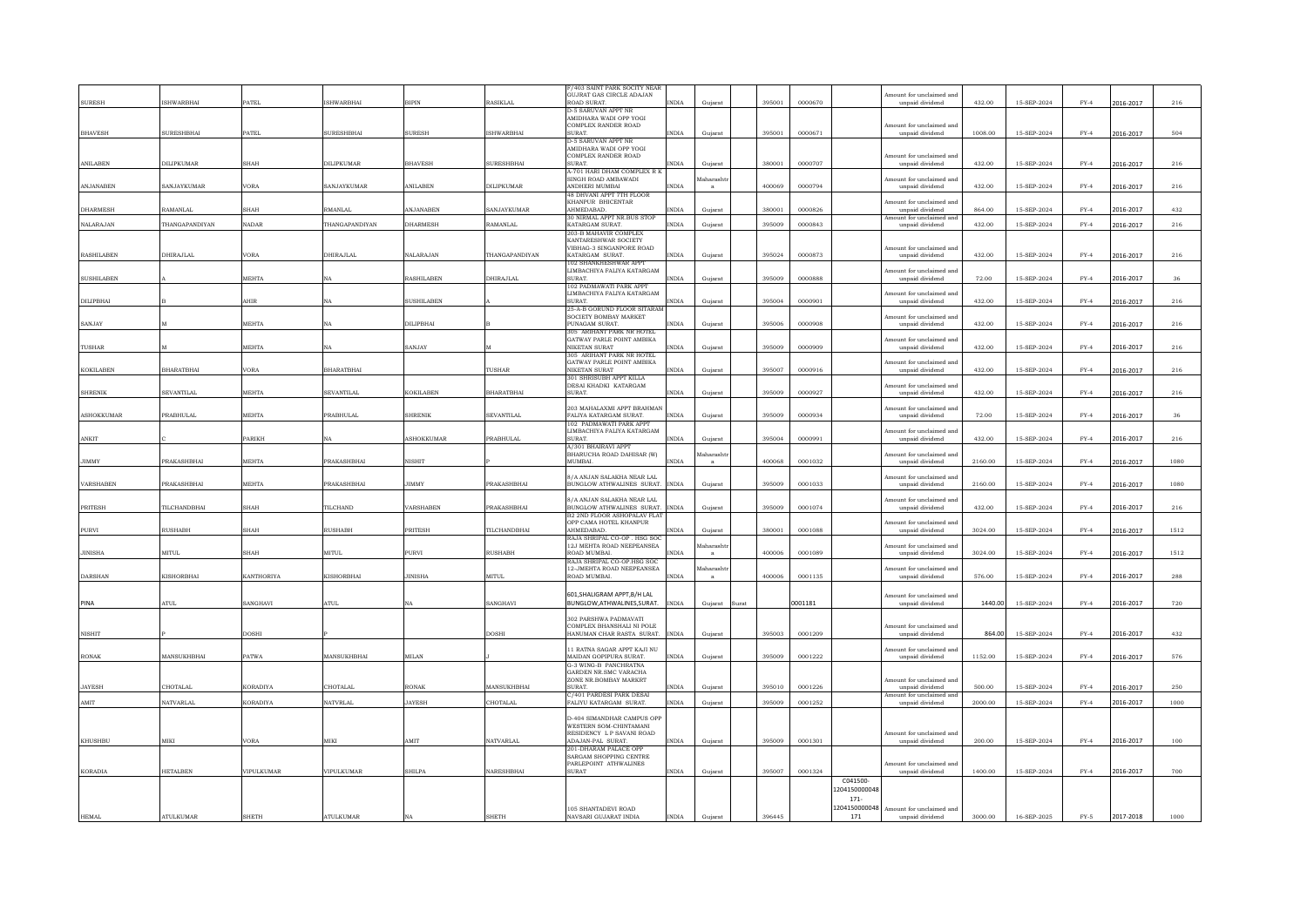|                   |                   |                 |                    |                   |                   | 7403 SAINT PARK SOCITY NEAR                              |              |           |        |         |                           |                                             |         |             |        |           |              |
|-------------------|-------------------|-----------------|--------------------|-------------------|-------------------|----------------------------------------------------------|--------------|-----------|--------|---------|---------------------------|---------------------------------------------|---------|-------------|--------|-----------|--------------|
|                   |                   |                 |                    |                   |                   | <b>GUJRAT GAS CIRCLE ADAJAN</b>                          |              |           |        |         |                           | mount for unclaimed and                     |         |             |        |           |              |
| <b>SURESH</b>     | <b>SHWARBHAI</b>  | ATEL            | <b>ISHWARBHAI</b>  | BIPIN             | RASIKLAL          | ROAD SURAT.<br><b>D-5 SARUVAN APPT NR</b>                | <b>INDIA</b> | Guiarat   | 395001 | 0000670 |                           | unpaid dividend                             | 432.00  | 15-SEP-2024 | $FY-4$ | 2016-2017 | 216          |
|                   |                   |                 |                    |                   |                   | AMIDHARA WADI OPP YOGI                                   |              |           |        |         |                           |                                             |         |             |        |           |              |
| <b>BHAVESH</b>    | SURESHBHAI        | PATEL           | <b>SURESHBHAI</b>  | <b>SURESH</b>     | <b>ISHWARBHAI</b> | COMPLEX RANDER ROAD<br><b>SURAT</b>                      | <b>INDIA</b> |           | 395001 | 0000671 |                           | mount for unclaimed and<br>unpaid dividend  | 1008.00 | 15-SEP-2024 | $FY-4$ |           | 504          |
|                   |                   |                 |                    |                   |                   | D-5 SARUVAN APPT NR                                      |              | Gujarat   |        |         |                           |                                             |         |             |        | 2016-2017 |              |
|                   |                   |                 |                    |                   |                   | AMIDHARA WADI OPP YOGI<br>COMPLEX RANDER ROAD            |              |           |        |         |                           |                                             |         |             |        |           |              |
| ANILABEN          | DILIPKUMAR        | SHAH            | DILIPKUMAR         | <b>BHAVESH</b>    | SURESHBHAI        | SURAT.                                                   | <b>INDIA</b> | Gujarat   | 380001 | 0000707 |                           | mount for unclaimed and<br>unpaid dividend  | 432.00  | 15-SEP-2024 | $FY-4$ | 2016-2017 | 216          |
|                   |                   |                 |                    |                   |                   | A-701 HARI DHAM COMPLEX R I                              |              |           |        |         |                           |                                             |         |             |        |           |              |
| <b>ANJANABEN</b>  | SANJAYKUMAR       | VORA            | <b>SANJAYKUMAR</b> | <b>ANILAREN</b>   | DILIPKUMAR        | SINGH ROAD AMBAWADI<br>ANDHERI MUMBAI                    | <b>INDIA</b> | daharasht | 400069 | 0000794 |                           | mount for unclaimed and<br>unpaid dividend  | 432.00  | 15-SEP-2024 | $FY-4$ | 2016-2017 | 216          |
|                   |                   |                 |                    |                   |                   | <b>48 DHVANI APPT 7TH FLOOR</b>                          |              |           |        |         |                           |                                             |         |             |        |           |              |
| DHARMESH          | RAMANLAI          | SHAH            | <b>RMANLAI</b>     | ANJANABEN         | SANJAYKUMAR       | KHANPUR BHICENTAR<br><b>AHMEDARAD</b>                    | <b>INDIA</b> | Gujara    | 380001 | 0000826 |                           | Amount for unclaimed and<br>unpaid dividend | 864.00  | 15-SEP-2024 | $FY-4$ | 2016-2017 | 432          |
|                   |                   |                 |                    |                   |                   | 30 NIRMAL APPT NR.BUS STOP                               |              |           |        |         |                           | mount for unclaimed and                     |         |             |        |           |              |
| <b>NALARAJAN</b>  | THANGAPANDIYAN    | <b>NADAR</b>    | THANGAPANDIYAN     | DHARMESH          | RAMANLAL          | KATARGAM SURAT.<br>203-B MAHAVIR COMPLEX                 | <b>INDIA</b> | Gujarat   | 395009 | 0000843 |                           | unpaid dividend                             | 432.00  | 15-SEP-2024 | $FY-4$ | 2016-2017 | 216          |
|                   |                   |                 |                    |                   |                   | KANTARESHWAR SOCIETY                                     |              |           |        |         |                           |                                             |         |             |        |           |              |
| <b>RASHILABEN</b> | DHIRAJLAL         | VORA            | DHIRAJLAI          | NALARAJAN         | THANGAPANDIYAN    | VIBHAG-3 SINGANPORE ROAD<br>KATARGAM SURAT.              | <b>INDIA</b> | Guiarat   | 395024 | 0000873 |                           | Amount for unclaimed and<br>unpaid dividend | 432.00  | 15-SEP-2024 | $FY-4$ | 2016-2017 | 216          |
|                   |                   |                 |                    |                   |                   | 102 SHANKHESHWAR APPT                                    |              |           |        |         |                           |                                             |         |             |        |           |              |
| <b>SUSHILABEN</b> |                   | <b>MEHTA</b>    | NA                 | <b>RASHILAREN</b> | DHIRA ILAI        | LIMBACHIYA FALIYA KATARGAM<br><b>SURAT</b>               | <b>NDIA</b>  | Gujarat   | 395009 | 0000888 |                           | Amount for unclaimed and<br>unpaid dividend | 72.00   | 15-SEP-2024 | $FY-4$ | 2016-2017 | 36           |
|                   |                   |                 |                    |                   |                   | 102 PADMAWATI PARK APPT                                  |              |           |        |         |                           |                                             |         |             |        |           |              |
| DILIPBHAI         |                   | AHIR            | NA                 | <b>SUSHILABEN</b> |                   | LIMBACHIYA FALIYA KATARGAM<br>SURAT.                     | <b>INDIA</b> | Gujarat   | 395004 | 0000901 |                           | nount for unclaimed and<br>unpaid dividend  | 432.00  | 15-SEP-2024 | $FY-4$ | 2016-2017 | 216          |
|                   |                   |                 |                    |                   |                   | 25-A-B GORUND FLOOR SITARAM                              |              |           |        |         |                           |                                             |         |             |        |           |              |
| SANJAY            |                   | MEHTA           | NA                 | DILIPBHAI         |                   | SOCIETY BOMBAY MARKET<br>PUNAGAM SURAT.                  | <b>NDIA</b>  | Gujarat   | 395006 | 0000908 |                           | mount for unclaimed and<br>unpaid dividend  | 432.00  | 15-SEP-2024 | $FY-4$ | 2016-2017 | 216          |
|                   |                   |                 |                    |                   |                   | 305 ARIHANT PARK NR HOTEL                                |              |           |        |         |                           |                                             |         |             |        |           |              |
| <b>TUSHAR</b>     |                   | <b>MEHTA</b>    | <b>NA</b>          | SANJAY            |                   | <b>GATWAY PARLE POINT AMBIKA</b><br><b>NIKETAN SURAT</b> | <b>INDIA</b> | Guiarat   | 395009 | 0000909 |                           | Amount for unclaimed and<br>unpaid dividend | 432.00  | 15-SEP-2024 | $FY-4$ | 2016-2017 | 216          |
|                   |                   |                 |                    |                   |                   | 305 ARIHANT PARK NR HOTEL                                |              |           |        |         |                           |                                             |         |             |        |           |              |
|                   |                   |                 |                    |                   | TUSHAR            | GATWAY PARLE POINT AMBIKA<br>NIKETAN SURAT               |              |           | 395007 |         |                           | smount for unclaimed and                    |         |             |        |           |              |
| <b>KOKILABEN</b>  | <b>BHARATBHAI</b> | VORA            | <b>BHARATBHAI</b>  |                   |                   | 301 SHRISUBH APPT KILLA                                  | <b>INDIA</b> | Gujarat   |        | 0000916 |                           | unpaid dividend                             | 432.00  | 15-SEP-2024 | $FY-4$ | 2016-2017 | 216          |
|                   |                   |                 |                    |                   |                   | DESAI KHADKI KATARGAM                                    |              |           |        |         |                           | nount for unclaimed and                     |         |             |        |           |              |
| <b>SHRENIK</b>    | SEVANTILAL        | MEHTA           | <b>SEVANTILAL</b>  | <b>KOKILABEN</b>  | <b>BHARATBHAI</b> | SURAT.                                                   | INDIA        | Guiarat   | 395009 | 0000927 |                           | unpaid dividend                             | 432.00  | 15-SEP-2024 | $FY-4$ | 2016-2017 | $_{\rm 216}$ |
|                   |                   |                 |                    |                   |                   | 203 MAHALAXMI APPT BRAHMAN                               |              |           |        |         |                           | mount for unclaimed and                     |         |             |        |           |              |
| <b>ASHOKKUMAR</b> | PRABHULAL         | <b>MEHTA</b>    | <b>PRABHULAL</b>   | <b>SHRENIK</b>    | SEVANTILAI        | FALIYA KATARGAM SURAT.<br>102 PADMAWATI PARK APPT        | <b>INDIA</b> | Guiarat   | 395009 | 0000934 |                           | unpaid dividend                             | 72.00   | 15-SEP-2024 | $FY-4$ | 2016-2017 | 36           |
|                   |                   |                 |                    |                   |                   | LIMBACHIYA FALIYA KATARGAM                               |              |           |        |         |                           | Amount for unclaimed and                    |         |             |        |           |              |
| ANKIT             |                   | PARIKH          | NA                 | <b>ASHOKKUMAF</b> | <b>PRABHULAL</b>  | SURAT<br>A/301 BHAIRAVI APPT                             | <b>NDIA</b>  | Gujarat   | 395004 | 0000991 |                           | unpaid dividend                             | 432.00  | 15-SEP-2024 | $FY-4$ | 2016-2017 | 216          |
|                   |                   |                 |                    |                   |                   | BHARUCHA ROAD DAHISAR (W)                                |              | aharash   |        |         |                           | nount for unclaimed and                     |         |             |        |           |              |
| JIMMY             | PRAKASHBHAI       | MEHTA           | PRAKASHBHAI        | NISHIT            |                   | MUMBAI.                                                  | INDIA        |           | 400068 | 0001032 |                           | unpaid dividend                             | 2160.00 | 15-SEP-2024 | $FY-4$ | 2016-2017 | 1080         |
|                   |                   |                 |                    |                   |                   | 8/A ANJAN SALAKHA NEAR LAL                               |              |           |        |         |                           | mount for unclaimed and                     |         |             |        |           |              |
| VARSHABEN         | PRAKASHBHAI       | MEHTA           | PRAKASHBHAI        | <b>JIMMY</b>      | PRAKASHBHAI       | BUNGLOW ATHWALINES SURAT. INDIA                          |              | Guiarat   | 395009 | 0001033 |                           | unpaid dividend                             | 2160.00 | 15-SEP-2024 | $FY-4$ | 2016-2017 | 1080         |
|                   |                   |                 |                    |                   |                   | 8/A ANJAN SALAKHA NEAR LAL                               |              |           |        |         |                           | Amount for unclaimed and                    |         |             |        |           |              |
| <b>PRITESH</b>    | TILCHANDBHA       | <b>SHAH</b>     | TILCHAND           | VARSHABEN         | PRAKASHBHAI       | BUNGLOW ATHWALINES SURAT.<br>B2 2ND FLOOR ASHOPALAV FLAY | <b>INDIA</b> | Gujarat   | 395009 | 0001074 |                           | unpaid dividend                             | 432.00  | 15-SEP-2024 | $FY-4$ | 2016-2017 | 216          |
|                   |                   |                 |                    |                   |                   | OPP CAMA HOTEL KHANPUR                                   |              |           |        |         |                           | mount for unclaimed and                     |         |             |        |           |              |
| PURVI             | <b>RUSHABH</b>    | SHAH            | <b>RUSHABH</b>     | PRITESH           | TILCHANDBHAI      | AHMEDABAD.<br>RAJA SHRIPAL CO-OP . HSG SO                | <b>INDIA</b> | Gujara    | 380001 | 0001088 |                           | unpaid dividend                             | 3024.00 | 15-SEP-2024 | $FY-4$ | 2016-2017 | 1512         |
|                   |                   |                 |                    |                   |                   | 12J MEHTA ROAD NEEPEANSEA                                |              | [aharash  |        |         |                           | nount for unclaimed and                     |         |             |        |           |              |
| <b>JINISHA</b>    | MITUL             | SHAH            | <b>MITUL</b>       | PURVI             | <b>RUSHABH</b>    | ROAD MUMBAL<br>RAJA SHRIPAL CO-OP.HSG SOC                | <b>INDIA</b> |           | 400006 | 0001089 |                           | unpaid dividend                             | 3024.00 | 15-SEP-2024 | $FY-4$ | 2016-2017 | 1512         |
|                   |                   |                 |                    |                   |                   | 12-JMEHTA ROAD NEEPEANSEA                                |              | faharasht |        |         |                           | mount for unclaimed and                     |         |             |        |           |              |
| <b>DARSHAN</b>    | KISHORBHAI        | KANTHORIYA      | KISHORBHAI         | <b>INISHA</b>     | <b>MITUL</b>      | ROAD MUMBAL                                              | <b>INDIA</b> |           | 400006 | 0001135 |                           | unpaid dividend                             | 576.00  | 15-SEP-2024 | $FY-4$ | 2016-2017 | 288          |
|                   |                   |                 |                    |                   |                   | 601.SHALIGRAM APPT.B/H LAI                               |              |           |        |         |                           | mount for unclaimed and                     |         |             |        |           |              |
| PINA              | <b>ATUL</b>       | SANGHAVI        | <b>ATUL</b>        | <b>NA</b>         | SANGHAVI          | <b>BUNGLOW ATHWALINES SURAT.</b>                         | <b>INDIA</b> | Guiarat   | Surat  | 0001181 |                           | unpaid dividend                             | 1440.00 | 15-SEP-2024 | $FY-4$ | 2016-2017 | 720          |
|                   |                   |                 |                    |                   |                   | 302 PARSHWA PADMAVATI                                    |              |           |        |         |                           |                                             |         |             |        |           |              |
|                   |                   |                 |                    |                   |                   | COMPLEX BHANSHALL NI POLE                                |              |           |        |         |                           | Amount for unclaimed and                    |         |             |        |           |              |
| <b>NISHIT</b>     |                   | DOSHI           |                    |                   | <b>DOSHI</b>      | HANUMAN CHAR RASTA SURAT.                                | <b>INDIA</b> | Gujarat   | 395003 | 0001209 |                           | unpaid dividend                             | 864.00  | 15-SEP-2024 | $FY-4$ | 2016-2017 | 432          |
|                   |                   |                 |                    |                   |                   | 11 RATNA SAGAR APPT KAJI NU                              |              |           |        |         |                           | nount for unclaimed and                     |         |             |        |           |              |
| <b>RONAK</b>      | MANSUKHBHAI       | PATWA           | MANSUKHBHAI        | MILAN             |                   | MAIDAN GOPIPURA SURAT.<br><b>G-3 WING-B PANCHRATNA</b>   | <b>INDIA</b> | Gujarat   | 395009 | 0001222 |                           | unpaid dividend                             | 1152.00 | 15-SEP-2024 | $FY-4$ | 2016-2017 | 576          |
|                   |                   |                 |                    |                   |                   | GARDEN NR. SMC VARACHA                                   |              |           |        |         |                           |                                             |         |             |        |           |              |
| <b>JAYESH</b>     | CHOTALAL          | KORADIYA        | CHOTALAL           | RONAK             | MANSUKHBHAI       | ZONE NR.BOMBAY MARKRT<br><b>SURAT</b>                    | <b>INDIA</b> | Guiarat   | 395010 | 0001226 |                           | mount for unclaimed and<br>unpaid dividend  | 500.00  | 15-SEP-2024 | $FY-4$ | 2016-2017 | 250          |
|                   |                   |                 |                    |                   |                   | C/401 PARDESI PARK DESAI                                 |              |           |        |         |                           | mount for unclaimed and                     |         |             |        |           |              |
| AMIT              | NATVARLAL         | <b>KORADIYA</b> | <b>NATVRLAL</b>    | <b>JAYESH</b>     | CHOTALAL          | FALIYU KATARGAM SURAT.                                   | <b>INDIA</b> | Guiarat   | 395009 | 0001252 |                           | unpaid dividend                             | 2000.00 | 15-SEP-2024 | $FY-4$ | 2016-2017 | 1000         |
|                   |                   |                 |                    |                   |                   | D-404 SIMANDHAR CAMPUS OPF                               |              |           |        |         |                           |                                             |         |             |        |           |              |
|                   |                   |                 |                    |                   |                   | WESTERN SOM-CHINTAMANI<br>RESIDENCY L P SAVANI ROAD      |              |           |        |         |                           | mount for unclaimed and                     |         |             |        |           |              |
| KHUSHBU           | MIKI              | VORA            | MIKI               | AMIT              | <b>NATVARLAL</b>  | ADAJAN-PAL SURAT.                                        | <b>INDIA</b> | Gujarat   | 395009 | 0001301 |                           | unpaid dividend                             | 200.00  | 15-SEP-2024 | $FY-4$ | 2016-2017 | 100          |
|                   |                   |                 |                    |                   |                   | 201-DHARAM PALACE OPE<br>SARGAM SHOPPING CENTRE          |              |           |        |         |                           |                                             |         |             |        |           |              |
|                   |                   |                 |                    |                   |                   | PARLEPOINT ATHWALINES                                    |              |           |        |         |                           | mount for unclaimed and                     |         |             |        |           |              |
| <b>KORADIA</b>    | <b>HETALBEN</b>   | VIPULKUMAR      | VIPULKUMAR         | <b>SHILPA</b>     | NARESHBHAI        | <b>SURAT</b>                                             | <b>INDIA</b> | Guiarat   | 395007 | 0001324 |                           | unpaid dividend                             | 1400.00 | 15-SEP-2024 | $FY-4$ | 2016-2017 | 700          |
|                   |                   |                 |                    |                   |                   |                                                          |              |           |        |         | C041500-<br>1204150000048 |                                             |         |             |        |           |              |
|                   |                   |                 |                    |                   |                   |                                                          |              |           |        |         | $171 -$                   |                                             |         |             |        |           |              |
|                   |                   |                 |                    |                   |                   | 105 SHANTADEVI ROAD                                      |              |           |        |         | 1204150000048             | Amount for unclaimed and                    |         |             |        |           |              |
| HEMAL             | <b>ATULKUMAR</b>  | <b>SHETH</b>    | <b>ATULKUMAR</b>   |                   | SHETH             | NAVSARI GILIARAT INDIA                                   | <b>INDIA</b> | Guiarat   | 396445 |         | 171                       | unpaid dividend                             | 3000.00 | 16-SEP-2025 | $FY-5$ | 2017-2018 | 1000         |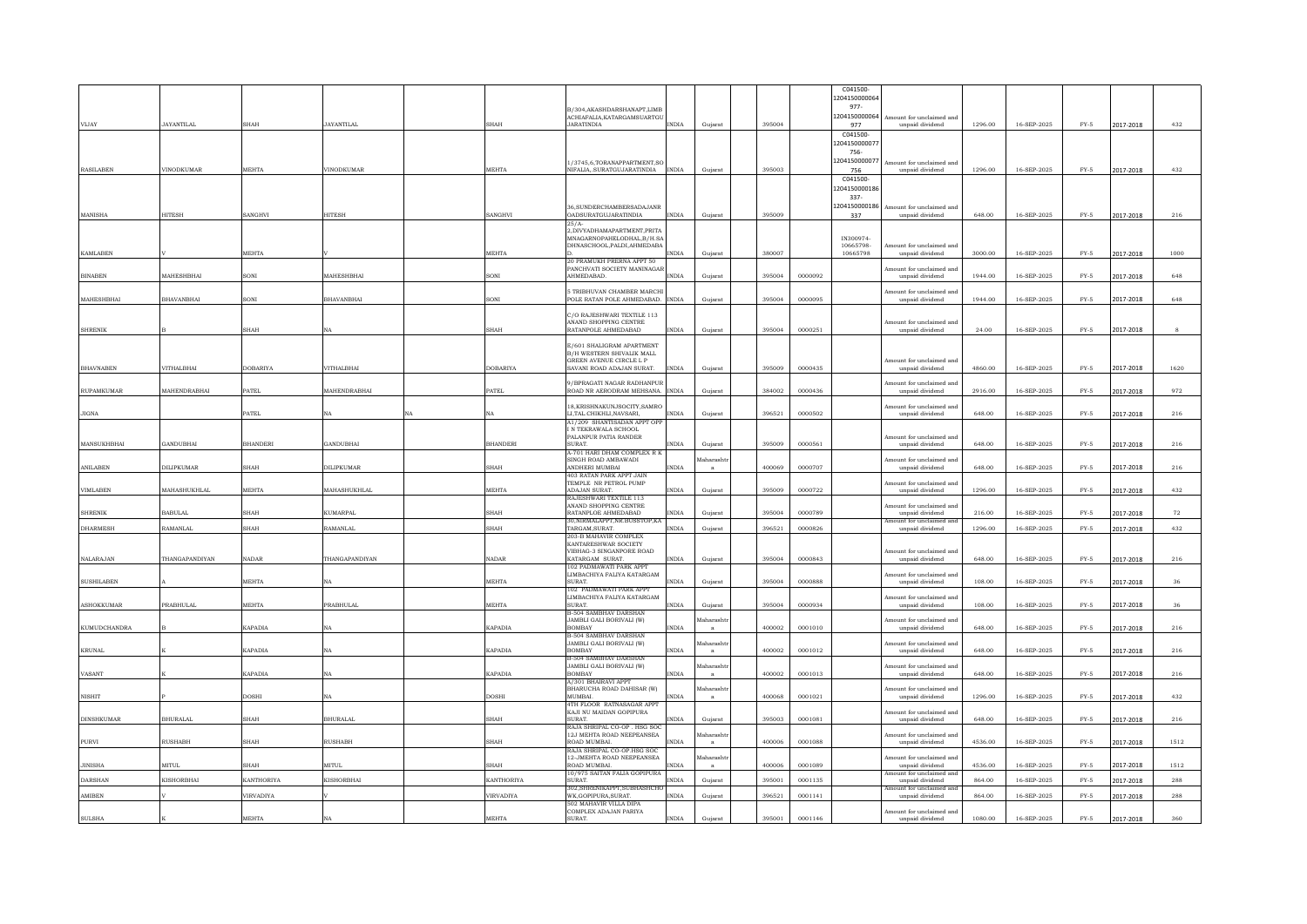|                     |                   |                 |                   |                               |                                                                 |                |                  |        |         | C041500                 |                                             |         |             |        |           |            |
|---------------------|-------------------|-----------------|-------------------|-------------------------------|-----------------------------------------------------------------|----------------|------------------|--------|---------|-------------------------|---------------------------------------------|---------|-------------|--------|-----------|------------|
|                     |                   |                 |                   |                               |                                                                 |                |                  |        |         | 1204150000064<br>977-   |                                             |         |             |        |           |            |
|                     |                   |                 |                   |                               | <b>B/304 AKASHDARSHANAPT LIMB</b><br>ACHIAFALIA.KATARGAMSUARTG  |                |                  |        |         | 1204150000064           | Amount for unclaimed and                    |         |             |        |           |            |
| VLIAY               | JAYANTILAI.       | <b>SHAH</b>     | JAYANTILAL        | <b>SHAH</b>                   | <b>JARATINDIA</b>                                               | <b>INDIA</b>   | Guiarat          | 395004 |         | 977                     | unpaid dividend                             | 1296.00 | 16-SEP-2025 | $FY-5$ | 2017-2018 | 432        |
|                     |                   |                 |                   |                               |                                                                 |                |                  |        |         | C041500<br>120415000007 |                                             |         |             |        |           |            |
|                     |                   |                 |                   |                               |                                                                 |                |                  |        |         | 756-                    |                                             |         |             |        |           |            |
| <b>RASILABEN</b>    | VINODKUMAF        | <b>MEHTA</b>    | <b>VINODKUMAR</b> | <b>MEHTA</b>                  | 1/3745.6.TORANAPPARTMENT,S                                      | <b>INDIA</b>   |                  | 395003 |         | 1204150000077           | Amount for unclaimed and                    | 1296.00 |             |        |           |            |
|                     |                   |                 |                   |                               | NIFALIA, .SURATGUJARATINDIA                                     |                | Gujarat          |        |         | 756<br>C041500-         | unpaid dividend                             |         | 16-SEP-2025 | $FY-5$ | 2017-2018 | 432        |
|                     |                   |                 |                   |                               |                                                                 |                |                  |        |         | 1204150000186           |                                             |         |             |        |           |            |
|                     |                   |                 |                   |                               | 36, SUNDERCHAMBERSADAJANR                                       |                |                  |        |         | 337-<br>1204150000186   | mount for unclaimed and                     |         |             |        |           |            |
| <b>MANISHA</b>      | <b>HITESH</b>     | SANGHVI         | <b>HITESH</b>     | <b>SANGHVI</b>                | <b>OADSURATGUJARATINDIA</b>                                     | <b>INDIA</b>   | Gujarat          | 395009 |         | 337                     | unpaid dividend                             | 648.00  | 16-SEP-2025 | $FY-5$ | 2017-2018 | 216        |
|                     |                   |                 |                   |                               | 2577<br>2, DIVYADHAMAPARTMENT, PRITA                            |                |                  |        |         |                         |                                             |         |             |        |           |            |
|                     |                   |                 |                   |                               | MNAGARNOPAHELODHAL.B/H.SA                                       |                |                  |        |         | IN300974-               |                                             |         |             |        |           |            |
| <b>KAMLABEN</b>     |                   | <b>MEHTA</b>    |                   | MEHTA                         | DHNASCHOOL.PALDI.AHMEDABA                                       | <b>INDIA</b>   | Guiarat          | 380007 |         | 10665798-<br>10665798   | mount for unclaimed and<br>unpaid dividend  | 3000.00 | 16-SEP-2025 | $FY-5$ | 2017-2018 | 1000       |
|                     |                   |                 |                   |                               | 20 PRAMUKH PRERNA APPT 50<br>PANCHVATI SOCIETY MANINAGAR        |                |                  |        |         |                         | Amount for unclaimed and                    |         |             |        |           |            |
| <b>BINABEN</b>      | <b>MAHESHRHAI</b> | SONT            | <b>MAHESHRHAI</b> | SONI                          | <b>AHMEDARAD</b>                                                | <b>INDIA</b>   | Gujarat          | 395004 | 0000092 |                         | unpaid dividend                             | 1944.00 | 16-SEP-2025 | $FY-5$ | 2017-2018 | 648        |
|                     |                   |                 |                   |                               | <b>5 TRIBHUVAN CHAMBER MARCH</b>                                |                |                  |        |         |                         | Amount for unclaimed and                    |         |             |        |           |            |
| MAHESHBHAI          | <b>RHAVANRHAI</b> | SONI            | <b>RHAVANRHA</b>  | SONI                          | POLE RATAN POLE AHMEDABAD.                                      | <b>INDIA</b>   | Gujarat          | 395004 | 0000095 |                         | unpaid dividend                             | 1944.00 | 16-SEP-2025 | $FY-5$ | 2017-2018 | 648        |
|                     |                   |                 |                   |                               | C/O RAJESHWARI TEXTILE 113                                      |                |                  |        |         |                         |                                             |         |             |        |           |            |
| <b>SHRENIK</b>      |                   | SHAH            | NA                | $_{\rm SHAH}$                 | ANAND SHOPPING CENTRE<br>RATANPOLE AHMEDABAD                    | <b>INDIA</b>   | Gujarat          | 395004 | 0000251 |                         | Amount for unclaimed and<br>unpaid dividend | 24.00   | 16-SEP-2025 | $FY-5$ | 2017-2018 | 8          |
|                     |                   |                 |                   |                               | E/601 SHALIGRAM APARTMENT                                       |                |                  |        |         |                         |                                             |         |             |        |           |            |
|                     |                   |                 |                   |                               | <b>B/H WESTERN SHIVALIK MALL</b>                                |                |                  |        |         |                         |                                             |         |             |        |           |            |
| <b>BHAVNABEN</b>    | VITHALBHAI        | <b>DOBARIYA</b> | VITHALBHAI        | <b>DOBARIYA</b>               | GREEN AVENUE CIRCLE L.P.<br>SAVANI ROAD ADAJAN SURAT.           | <b>INDIA</b>   | Gujarat          | 395009 | 0000435 |                         | Amount for unclaimed and<br>unpaid dividend | 4860.00 | 16-SEP-2025 | $FY-5$ | 2017-2018 | 1620       |
|                     |                   |                 |                   |                               | 9/BPRAGATI NAGAR RADHANPUE                                      |                |                  |        |         |                         |                                             |         |             |        |           |            |
| <b>RUPAMKUMAR</b>   | MAHENDRABHAI      | PATEL           | MAHENDRABHAI      | $\ensuremath{\mathsf{PATEL}}$ | ROAD NR AERODRAM MEHSANA. INDIA                                 |                | Gujarat          | 384002 | 0000436 |                         | Amount for unclaimed and<br>unpaid dividend | 2916.00 | 16-SEP-2025 | $FY-5$ | 2017-2018 | 972        |
|                     |                   |                 |                   |                               | 18.KRISHNAKUNJSOCITY.SAMRO                                      |                |                  |        |         |                         | mount for unclaimed and                     |         |             |        |           |            |
| <b>JIGNA</b>        |                   | PATEL           | NA<br>NA          |                               | LI, TAL. CHIKHLI, NAVSARI,                                      | <b>INDIA</b>   | Gujarat          | 396521 | 0000502 |                         | unpaid dividend                             | 648.00  | 16-SEP-2025 | $FY-5$ | 2017-2018 | 216        |
|                     |                   |                 |                   |                               | A1/209 SHANTISADAN APPT OF<br>N TEKRAWALA SCHOOL                |                |                  |        |         |                         |                                             |         |             |        |           |            |
| MANSUKHBHAI         | <b>GANDUBHAI</b>  | <b>BHANDERI</b> | <b>GANDUBHAI</b>  | <b>BHANDERI</b>               | PALANPUR PATIA RANDER<br>SURAT.                                 | <b>INDIA</b>   | Guiarat          | 395009 | 0000561 |                         | Amount for unclaimed and<br>unpaid dividend | 648.00  | 16-SEP-2025 | $FY-5$ | 2017-2018 | 216        |
|                     |                   |                 |                   |                               | A-701 HARI DHAM COMPLEX R I                                     |                |                  |        |         |                         |                                             |         |             |        |           |            |
|                     |                   |                 |                   |                               | SINGH ROAD AMBAWADI                                             |                | <b>faharasht</b> |        |         |                         | Amount for unclaimed and                    |         |             |        |           |            |
| <b>ANILABEN</b>     |                   | <b>SHAH</b>     | DILIPKUMAR        | <b>SHAH</b>                   | ANDHERI MUMBAI                                                  | <b>INDIA</b>   |                  | 400069 |         |                         |                                             | 648.00  | 16-SEP-2025 | $FY-5$ |           |            |
|                     | <b>DILIPKUMAR</b> |                 |                   |                               | <b>403 RATAN PARK APPT JAIN</b>                                 |                |                  |        | 0000707 |                         | unpaid dividend                             |         |             |        | 2017-2018 | 216        |
| <b>VIMLABEN</b>     | MAHASHUKHLAI      | MEHTA           | MAHASHUKHLAI      | MEHTA                         | TEMPLE NR PETROL PUMP<br><b>ADAIAN SURAT</b>                    | INDIA          | Gujarat          | 395009 | 0000722 |                         | Amount for unclaimed and<br>unpaid dividend | 1296.00 | 16-SEP-2025 | $FY-5$ | 2017-2018 | 432        |
|                     |                   |                 |                   |                               | RAJESHWARI TEXTILE 113                                          |                |                  |        |         |                         |                                             |         |             |        |           |            |
| <b>SHRENIK</b>      | <b>BABULAL</b>    | SHAH            | <b>KUMARPAL</b>   | SHAH                          | ANAND SHOPPING CENTRE<br>RATANPLOE AHMEDABAD                    | INDIA          | Gujarat          | 395004 | 0000789 |                         | mount for unclaimed and<br>unpaid dividend  | 216.00  | 16-SEP-2025 | $FY-5$ | 2017-2018 | ${\bf 72}$ |
| DHARMESH            | <b>RAMANLAL</b>   | SHAH            | RAMANLAL          | <b>SHAH</b>                   | 30, NIRMALAPPT, NR. BUSSTOP, KA<br>TARGAM, SURAT.               | <b>INDIA</b>   | Guiarat          | 396521 | 0000826 |                         | Amount for unclaimed and<br>unpaid dividend | 1296.00 | 16-SEP-2025 | $FY-5$ | 2017-2018 | 432        |
|                     |                   |                 |                   |                               | 203-B MAHAVIR COMPLEX                                           |                |                  |        |         |                         |                                             |         |             |        |           |            |
|                     |                   |                 |                   |                               | KANTARESHWAR SOCIETY<br>VIBHAG-3 SINGANPORE ROAD                |                |                  |        |         |                         | Amount for unclaimed and                    |         |             |        |           |            |
| <b>NALARAJAN</b>    | THANGAPANDIYAN    | <b>NADAR</b>    | THANGAPANDIYAN    | <b>NADAR</b>                  | KATARGAM SURAT.<br>102 PADMAWATI PARK APPT                      | <b>INDIA</b>   | Gujarat          | 395004 | 0000843 |                         | unpaid dividend                             | 648.00  | 16-SEP-2025 | $FY-5$ | 2017-2018 | 216        |
|                     |                   |                 |                   |                               | LIMBACHIYA FALIYA KATARGAM                                      |                |                  |        |         |                         | Amount for unclaimed and                    |         |             |        |           |            |
| <b>SUSHILABEN</b>   |                   | <b>MEHTA</b>    | <b>NA</b>         | <b>MEHTA</b>                  | <b>SURAT</b><br>102 PADMAWATI PARK APPT                         | <b>INDIA</b>   | Guiarat          | 395004 | 0000888 |                         | unpaid dividend                             | 108.00  | 16-SEP-2025 | $FY-5$ | 2017-2018 | 36         |
| <b>ASHOKKUMAR</b>   | <b>PRABHULAL</b>  | <b>MEHTA</b>    | PRABHULAL         | MEHTA                         | LIMBACHIYA FALIYA KATARGAM<br>SURAT.                            | INDIA          |                  | 395004 | 0000934 |                         | mount for unclaimed and<br>unpaid dividend  | 108.00  | 16-SEP-2025 | $FY-5$ |           | 36         |
|                     |                   |                 |                   |                               | <b>B-504 SAI</b><br>HAV DARSHAN                                 |                | Gujarat          |        |         |                         |                                             |         |             |        | 2017-2018 |            |
| <b>KUMUDCHANDRA</b> |                   | <b>KAPADIA</b>  | NA                | <b>KAPADIA</b>                | JAMBLI GALI BORIVALI (W)<br><b>BOMBAY</b>                       | INDIA          | aharash          | 400002 | 0001010 |                         | mount for unclaimed and<br>unpaid dividend  | 648.00  | 16-SEP-2025 | $FY-5$ | 2017-2018 | 216        |
|                     |                   |                 |                   |                               | <b>B-504 SAMBHAV DARSHAN</b>                                    |                | faharashi        |        |         |                         | Amount for unclaimed and                    |         |             |        |           |            |
| <b>KRUNAL</b>       |                   | KAPADIA         | NA                | KAPADIA                       | JAMBLI GALI BORIVALI (W)<br><b>BOMBAY</b>                       | $\text{INDIA}$ | a                | 400002 | 0001012 |                         | unpaid dividend                             | 648.00  | 16-SEP-2025 | $FY-5$ | 2017-2018 | 216        |
|                     |                   |                 |                   |                               | <b>B-504 SAMBHAV DARSHAN</b><br><b>JAMBLI GALI BORIVALI (W)</b> |                | faharash         |        |         |                         | mount for unclaimed and                     |         |             |        |           |            |
| VASANT              |                   | <b>KAPADIA</b>  | <b>NA</b>         | <b>KAPADIA</b>                | <b>BOMBAY</b>                                                   | <b>INDIA</b>   | $\mathbf{a}$     | 400002 | 0001013 |                         | unpaid dividend                             | 648.00  | 16-SEP-2025 | $FY-5$ | 2017-2018 | 216        |
|                     |                   |                 |                   |                               | A/301 BHAIRAVI APP1<br>BHARUCHA ROAD DAHISAR (W)                |                | <b>faharash</b>  |        |         |                         | Amount for unclaimed and                    |         |             |        |           |            |
| $_{\rm NISHIT}$     |                   | <b>DOSHI</b>    | <b>NA</b>         | <b>DOSHI</b>                  | <b>MUMBAL</b><br>4TH FLOOR RATNASAGAR APPT                      | <b>INDIA</b>   |                  | 400068 | 0001021 |                         | unpaid dividend                             | 1296.00 | 16-SEP-2025 | $FY-5$ | 2017-2018 | 432        |
|                     | <b>BHURALAL</b>   |                 | <b>BHURALAI</b>   |                               | KAJI NU MAIDAN GOPIPURA<br>SURAT.                               | <b>INDIA</b>   |                  | 395003 |         |                         | mount for unclaimed and                     | 648.00  |             | $FY-5$ |           |            |
| <b>DINSHKUMAR</b>   |                   | SHAH            |                   | SHAH                          | RAJA SHRIPAL CO-OP . HSG SOC                                    |                | Gujarat          |        | 0001081 |                         | unpaid dividend                             |         | 16-SEP-2025 |        | 2017-2018 | 216        |
| PURVI               | <b>RUSHABH</b>    | SHAH            | <b>RUSHABH</b>    | $_{\rm SHAH}$                 | 12J MEHTA ROAD NEEPEANSEA<br>ROAD MUMBAI.                       | INDIA          | <i>Aaharash</i>  | 400006 | 0001088 |                         | Amount for unclaimed and<br>unpaid dividend | 4536.00 | 16-SEP-2025 | $FY-5$ | 2017-2018 | 1512       |
|                     |                   |                 |                   |                               | RAJA SHRIPAL CO-OP HSG SOC                                      |                | faharasht        |        |         |                         | Amount for unclaimed and                    |         |             |        |           |            |
| <b>JINISHA</b>      | <b>MITUL</b>      | <b>SHAH</b>     | <b>MITUL</b>      | <b>SHAH</b>                   | 12-JMEHTA ROAD NEEPEANSEA<br>ROAD MUMBAL                        | <b>INDIA</b>   |                  | 400006 | 0001089 |                         | unpaid dividend                             | 4536.00 | 16-SEP-2025 | $FY-5$ | 2017-2018 | 1512       |
| <b>DARSHAN</b>      | <b>KISHORBHAI</b> | KANTHORIYA      | <b>KISHORBHAI</b> | <b>KANTHORIYA</b>             | 10/975 SAITAN FALIA GOPIPURA<br>SURAT                           | <b>INDIA</b>   | Gujarat          | 395001 | 0001135 |                         | Amount for unclaimed and<br>unpaid dividend | 864.00  | 16-SEP-2025 | $FY-5$ | 2017-2018 | 288        |
| AMIBEN              |                   | VIRVADIYA       |                   | <b>VIRVADIYA</b>              | 302. SHRENIKAPPT. SUBHASHCH<br>WK.GOPIPURA.SURAT.               | <b>INDIA</b>   |                  | 396521 | 0001141 |                         | mount for unclaimed                         | 864.00  | 16-SEP-2025 |        |           |            |
|                     |                   |                 |                   |                               | 502 MAHAVIR VILLA DIP/                                          |                | Gujarat          |        |         |                         | unpaid dividend                             |         |             | $FY-5$ | 2017-2018 | $\bf 288$  |
| <b>SULSHA</b>       |                   | <b>MEHTA</b>    | NA                | MEHTA                         | COMPLEX ADAJAN PARIYA<br>SURAT.                                 | <b>INDIA</b>   | Gujarat          | 395001 | 0001146 |                         | Amount for unclaimed and<br>unpaid dividend | 1080.00 | 16-SEP-2025 | $FY-5$ | 2017-2018 | 360        |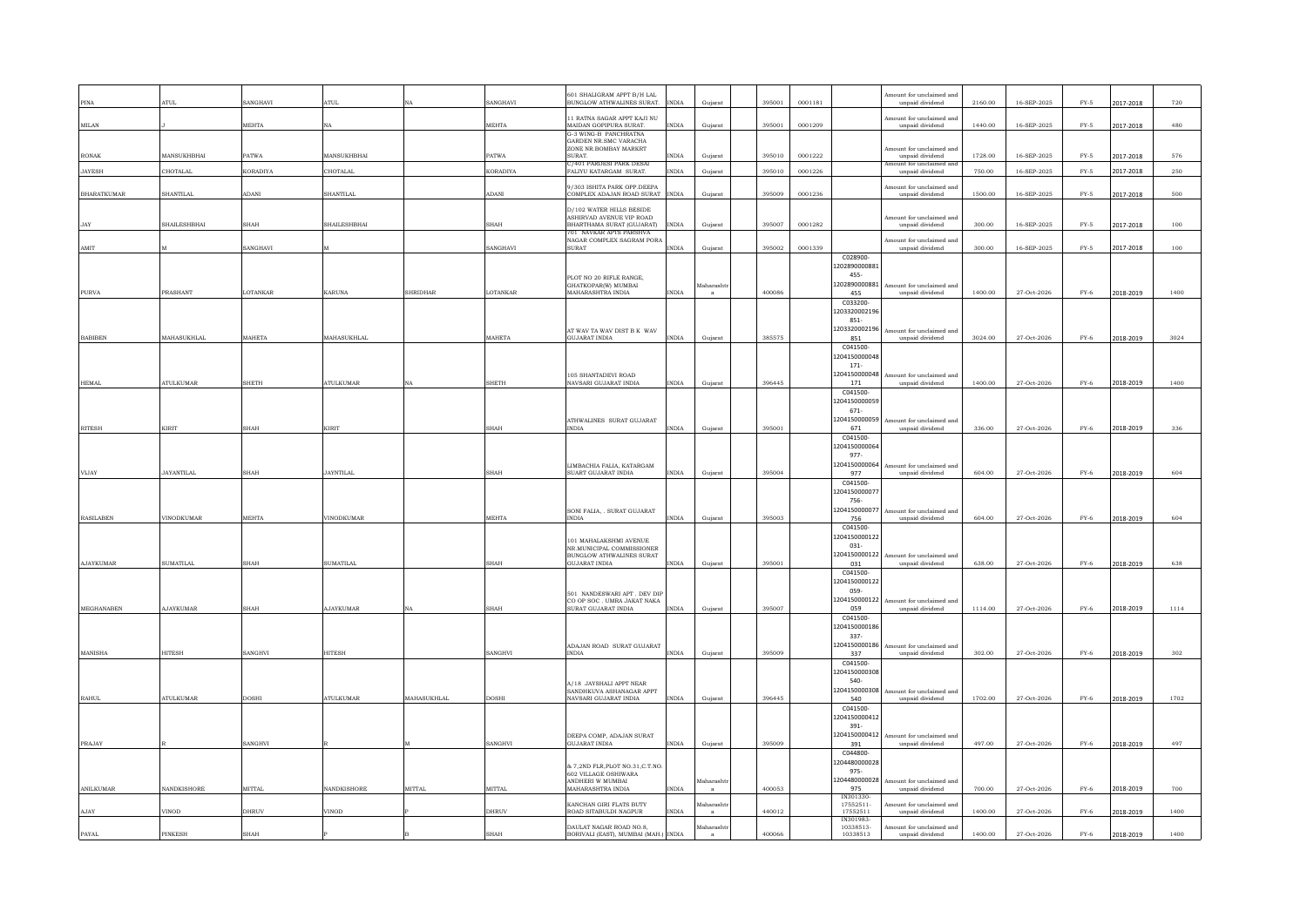| PINA               | <b>ATUL</b>         | SANGHAVI        | <b>ATUL</b>        |                    | SANGHAVI        | 601 SHALIGRAM APPT B/H LAL<br>BUNGLOW ATHWALINES SURAT.         | <b>INDIA</b> | Guiarat          | 395001 | 0001181 |                           | Amount for unclaimed and<br>unpaid dividend | 2160.00 | 16-SEP-2025 | $FY-5$      | 2017-2018 | 720  |
|--------------------|---------------------|-----------------|--------------------|--------------------|-----------------|-----------------------------------------------------------------|--------------|------------------|--------|---------|---------------------------|---------------------------------------------|---------|-------------|-------------|-----------|------|
| MILAN              |                     | <b>MEHTA</b>    | <b>NA</b>          |                    | <b>MEHTA</b>    | 11 RATNA SAGAR APPT KAJI NU<br>MAIDAN GOPIPURA SURAT.           | <b>INDIA</b> | Guiarat          | 395001 | 0001209 |                           | mount for unclaimed and<br>unpaid dividend  | 1440.00 | 16-SEP-2025 | $FY-5$      | 2017-2018 | 480  |
|                    |                     |                 |                    |                    |                 | G-3 WING-B PANCHRATNA<br>GARDEN NR SMC VARACHA                  |              |                  |        |         |                           |                                             |         |             |             |           |      |
| RONAK              | <b>MANSUKHRHAI</b>  | <b>PATWA</b>    | <b>MANSUKHRHAI</b> |                    | <b>PATWA</b>    | ZONE NR. BOMBAY MARKRT<br>SURAT                                 | <b>NDIA</b>  | Guiarat          | 395010 | 0001222 |                           | Amount for unclaimed and<br>unpaid dividend | 1728.00 | 16-SEP-2025 | $FY-5$      | 2017-2018 | 576  |
| <b>JAYESH</b>      | CHOTALAL            | <b>KORADIYA</b> | <b>CHOTALAL</b>    |                    | <b>KORADIYA</b> | C/401 PARDESI PARK DESAI<br>FALIYU KATARGAM SURAT.              | <b>INDIA</b> | Guiarat          | 395010 | 0001226 |                           | mount for unclaimed an<br>unpaid dividend   | 750.00  | 16-SEP-2025 | $FY-5$      | 2017-2018 | 250  |
| <b>BHARATKUMAR</b> | <b>SHANTILAL</b>    | ADANI           | <b>SHANTILAL</b>   |                    | <b>ADANI</b>    | 9/303 ISHITA PARK OPP.DEEPA<br>COMPLEX ADAJAN ROAD SURAT        | <b>INDIA</b> | Gujarat          | 395009 | 0001236 |                           | Amount for unclaimed and<br>unpaid dividend | 1500.00 | 16-SEP-2025 | $FY-5$      | 2017-2018 | 500  |
|                    |                     |                 |                    |                    |                 | D/102 WATER HILLS BESIDE                                        |              |                  |        |         |                           |                                             |         |             |             |           |      |
| <b>JAY</b>         | <b>SHAILESHRHAI</b> | <b>SHAH</b>     | SHAILESHRHA'       |                    | SHAH            | ASHIRVAD AVENUE VIP ROAD<br>BHARTHAMA SURAT (GUJARAT)           | <b>INDIA</b> | Gujarat          | 395007 | 0001282 |                           | mount for unclaimed and<br>unpaid dividend  | 300.00  | 16-SEP-2025 | $FY-5$      | 2017-2018 | 100  |
|                    |                     |                 |                    |                    |                 | 701 NAVKAR APTS PARSHVA<br>NAGAR COMPLEX SAGRAM PORA            |              |                  |        |         |                           | nount for unclaimed and                     |         |             |             |           |      |
| AMIT               |                     | SANGHAVI        |                    |                    | SANGHAVI        | SURAT                                                           | <b>INDIA</b> | Gujarat          | 395002 | 0001339 |                           | unpaid dividend                             | 300.00  | 16-SEP-2025 | $FY-5$      | 2017-2018 | 100  |
|                    |                     |                 |                    |                    |                 |                                                                 |              |                  |        |         | C028900<br>1202890000881  |                                             |         |             |             |           |      |
|                    |                     |                 |                    |                    |                 | PLOT NO 20 RIFLE RANGE.<br>GHATKOPARIWI MUMBAI                  |              | Aaharashtı       |        |         | 455-<br>1202890000881     | Amount for unclaimed and                    |         |             |             |           |      |
| <b>PURVA</b>       | PRASHANT            | LOTANKAR        | <b>KARUNA</b>      | <b>SHRIDHAR</b>    | LOTANKAR        | MAHARASHTRA INDIA                                               | <b>INDIA</b> |                  | 400086 |         | 455<br>C033200-           | unpaid dividend                             | 1400.00 | 27-Oct-2026 | <b>FY-6</b> | 2018-2019 | 1400 |
|                    |                     |                 |                    |                    |                 |                                                                 |              |                  |        |         | 1203320002196             |                                             |         |             |             |           |      |
|                    |                     |                 |                    |                    |                 | AT WAV TA WAV DIST B K WAV                                      |              |                  |        |         | 851-<br>1203320002196     | nount for unclaimed and                     |         |             |             |           |      |
| <b>BABIBEN</b>     | MAHASUKHLAL         | MAHETA          | MAHASUKHLAL        |                    | MAHETA          | <b>GUJARAT INDIA</b>                                            | <b>INDIA</b> | Guiarat          | 385575 |         | 851                       | unpaid dividend                             | 3024.00 | 27-Oct-2026 | $FY-6$      | 2018-2019 | 3024 |
|                    |                     |                 |                    |                    |                 |                                                                 |              |                  |        |         | C041500-<br>1204150000048 |                                             |         |             |             |           |      |
|                    |                     |                 |                    |                    |                 | 105 SHANTADEVI ROAD                                             |              |                  |        |         | $171 -$<br>1204150000048  | tount for unclaimed and                     |         |             |             |           |      |
| <b>HEMAL</b>       | <b>ATULKUMAR</b>    | SHETH           | <b>ATULKUMAR</b>   | NA                 | SHETH           | NAVSARI GUJARAT INDIA                                           | <b>INDIA</b> | Gujarat          | 396445 |         | 171                       | unpaid dividend                             | 1400.00 | 27-Oct-2026 | $FY-6$      | 2018-2019 | 1400 |
|                    |                     |                 |                    |                    |                 |                                                                 |              |                  |        |         | C041500-<br>1204150000059 |                                             |         |             |             |           |      |
|                    |                     |                 |                    |                    |                 | ATHWALINES SURAT GUJARAT                                        |              |                  |        |         | 671-<br>1204150000059     | ount for unclaimed and                      |         |             |             |           |      |
| <b>RITESH</b>      | KIRIT               | SHAH            | KIRIT              |                    | SHAH            | INDIA                                                           | <b>INDIA</b> | Gujarat          | 395001 |         | 671                       | unpaid dividend                             | 336.00  | 27-Oct-2026 | $FY-6$      | 2018-2019 | 336  |
|                    |                     |                 |                    |                    |                 |                                                                 |              |                  |        |         | C041500-<br>1204150000064 |                                             |         |             |             |           |      |
|                    |                     |                 |                    |                    |                 | LIMBACHIA FALIA, KATARGAM                                       |              |                  |        |         | 977-<br>1204150000064     | Amount for unclaimed and                    |         |             |             |           |      |
| VLIAY              | JAYANTILAI.         | SHAH            | JAYNTILAL          |                    | <b>SHAH</b>     | SUART GUJARAT INDIA                                             | <b>INDIA</b> | Gujarat          | 395004 |         | 977                       | unpaid dividend                             | 604.00  | 27-Oct-2026 | $FY-6$      | 2018-2019 | 604  |
|                    |                     |                 |                    |                    |                 |                                                                 |              |                  |        |         | C041500-<br>120415000007  |                                             |         |             |             |           |      |
|                    |                     |                 |                    |                    |                 | SONI FALIA, . SURAT GUJARAT                                     |              |                  |        |         | 756-<br>120415000007      | Amount for unclaimed and                    |         |             |             |           |      |
| <b>RASILABEN</b>   | VINODKUMAR          | <b>MEHTA</b>    | <b>VINODKUMAR</b>  |                    | MEHTA           | <b>INDIA</b>                                                    | <b>INDIA</b> | Gujarat          | 395003 |         | 756                       | unpaid dividend                             | 604.00  | 27-Oct-2026 | $FY-6$      | 2018-2019 | 604  |
|                    |                     |                 |                    |                    |                 | 101 MAHALAKSHMI AVENUE                                          |              |                  |        |         | C041500-<br>1204150000122 |                                             |         |             |             |           |      |
|                    |                     |                 |                    |                    |                 | NR.MUNICIPAL COMMISSIONER<br><b>BUNGLOW ATHWALINES SURAT</b>    |              |                  |        |         | 031-<br>1204150000122     | Amount for unclaimed and                    |         |             |             |           |      |
| <b>AJAYKUMAR</b>   | SUMATILAL           | <b>SHAH</b>     | <b>SUMATILAL</b>   |                    | SHAH            | <b>GUJARAT INDIA</b>                                            | <b>INDIA</b> | Gujarat          | 395001 |         | 031                       | unpaid dividend                             | 638.00  | 27-Oct-2026 | $FY-6$      | 2018-2019 | 638  |
|                    |                     |                 |                    |                    |                 |                                                                 |              |                  |        |         | C041500-<br>1204150000122 |                                             |         |             |             |           |      |
|                    |                     |                 |                    |                    |                 | 501 NANDESWARI APT. DEV DIF<br>CO OP SOC. UMRA JAKAT NAKA       |              |                  |        |         | 059-<br>1204150000122     | mount for unclaimed and                     |         |             |             |           |      |
| MEGHANABEN         | <b>AJAYKUMAR</b>    | SHAH            | <b>AJAYKUMAR</b>   | NA                 | SHAH            | SURAT GUJARAT INDIA                                             | <b>INDIA</b> | Gujarat          | 395007 |         | 059                       | unpaid dividend                             | 1114.00 | 27-Oct-2026 | $FY-6$      | 2018-2019 | 1114 |
|                    |                     |                 |                    |                    |                 |                                                                 |              |                  |        |         | C041500-<br>1204150000186 |                                             |         |             |             |           |      |
|                    |                     |                 |                    |                    |                 | ADAJAN ROAD SURAT GUJARAT                                       |              |                  |        |         | $337-$<br>1204150000186   | Amount for unclaimed and                    |         |             |             |           |      |
| MANISHA            | <b>HITESH</b>       | SANGHVI         | <b>HITESH</b>      |                    | SANGHVI         | <b>INDIA</b>                                                    | <b>INDIA</b> | Gujarat          | 395009 |         | 337<br>C041500-           | unpaid dividend                             | 302.00  | 27-Oct-2026 | $FY-6$      | 2018-2019 | 302  |
|                    |                     |                 |                    |                    |                 |                                                                 |              |                  |        |         | 1204150000308             |                                             |         |             |             |           |      |
|                    |                     |                 |                    |                    |                 | <b>A/18 JAYSHALL APPT NEAR</b><br>SANDHKUVA ASHANAGAR APPT      |              |                  |        |         | 540-<br>1204150000308     | Amount for unclaimed and                    |         |             |             |           |      |
| RAHUL.             | <b>ATULKUMAR</b>    | <b>DOSHI</b>    | <b>ATULKUMAR</b>   | <b>MAHASUKHLAI</b> | <b>DOSHI</b>    | NAVSARI GILIARAT INDIA                                          | <b>INDIA</b> | Gujarat          | 396445 |         | 540                       | unpaid dividend                             | 1702.00 | 27-Oct-2026 | <b>FY-6</b> | 2018-2019 | 1702 |
|                    |                     |                 |                    |                    |                 |                                                                 |              |                  |        |         | C041500-<br>1204150000412 |                                             |         |             |             |           |      |
|                    |                     |                 |                    |                    |                 | DEEPA COMP, ADAJAN SURAT                                        |              |                  |        |         | 391-<br>1204150000412     | nount for unclaimed and                     |         |             |             |           |      |
| PRAJAY             |                     | SANGHVI         |                    |                    | SANGHVI         | <b>GUJARAT INDIA</b>                                            | <b>INDIA</b> | Gujarat          | 395009 |         | 391                       | unpaid dividend                             | 497.00  | 27-Oct-2026 | $FY-6$      | 2018-2019 | 497  |
|                    |                     |                 |                    |                    |                 | & 7,2ND FLR, PLOT NO.31, C.T. NO                                |              |                  |        |         | C044800-<br>1204480000028 |                                             |         |             |             |           |      |
|                    |                     |                 |                    |                    |                 | 602 VILLAGE OSHIWARA<br>ANDHERI W MUMBAI                        |              | Iaharasht        |        |         | 975-<br>1204480000028     | tount for unclaimed and                     |         |             |             |           |      |
| ANILKUMAR          | NANDKISHORE         | <b>MITTAL</b>   | NANDKISHORE        | <b>MITTAL</b>      | <b>MITTAL</b>   | MAHARASHTRA INDIA                                               | <b>INDIA</b> |                  | 400053 |         | 975<br>IN301330           | unpaid dividend                             | 700.00  | 27-Oct-2026 | $FY-6$      | 2018-2019 | 700  |
|                    | VINOD               | DHRUV           | VINOD              |                    | DHRUV           | KANCHAN GIRI FLATS BUTY<br>ROAD SITABULDI NAGPUR                | <b>INDIA</b> | faharashtı       | 440012 |         | 17552511                  | tount for unclaimed and                     | 1400.00 |             | $FY-6$      |           | 1400 |
| AJAY               |                     |                 |                    |                    |                 |                                                                 |              |                  |        |         | 17552511<br>IN301983-     | unpaid dividend                             |         | 27-Oct-2026 |             | 2018-2019 |      |
| <b>PAYAL</b>       | PINKESH             | $_{\rm SHAH}$   |                    |                    | $_{\rm SHAH}$   | DAULAT NAGAR ROAD NO.8,<br>BORIVALI (EAST), MUMBAI (MAH.) INDIA |              | <b>Aaharasht</b> | 400066 |         | 10338513-<br>10338513     | nount for unclaimed and<br>unpaid dividend  | 1400.00 | 27-Oct-2026 | $FY-6$      | 2018-2019 | 1400 |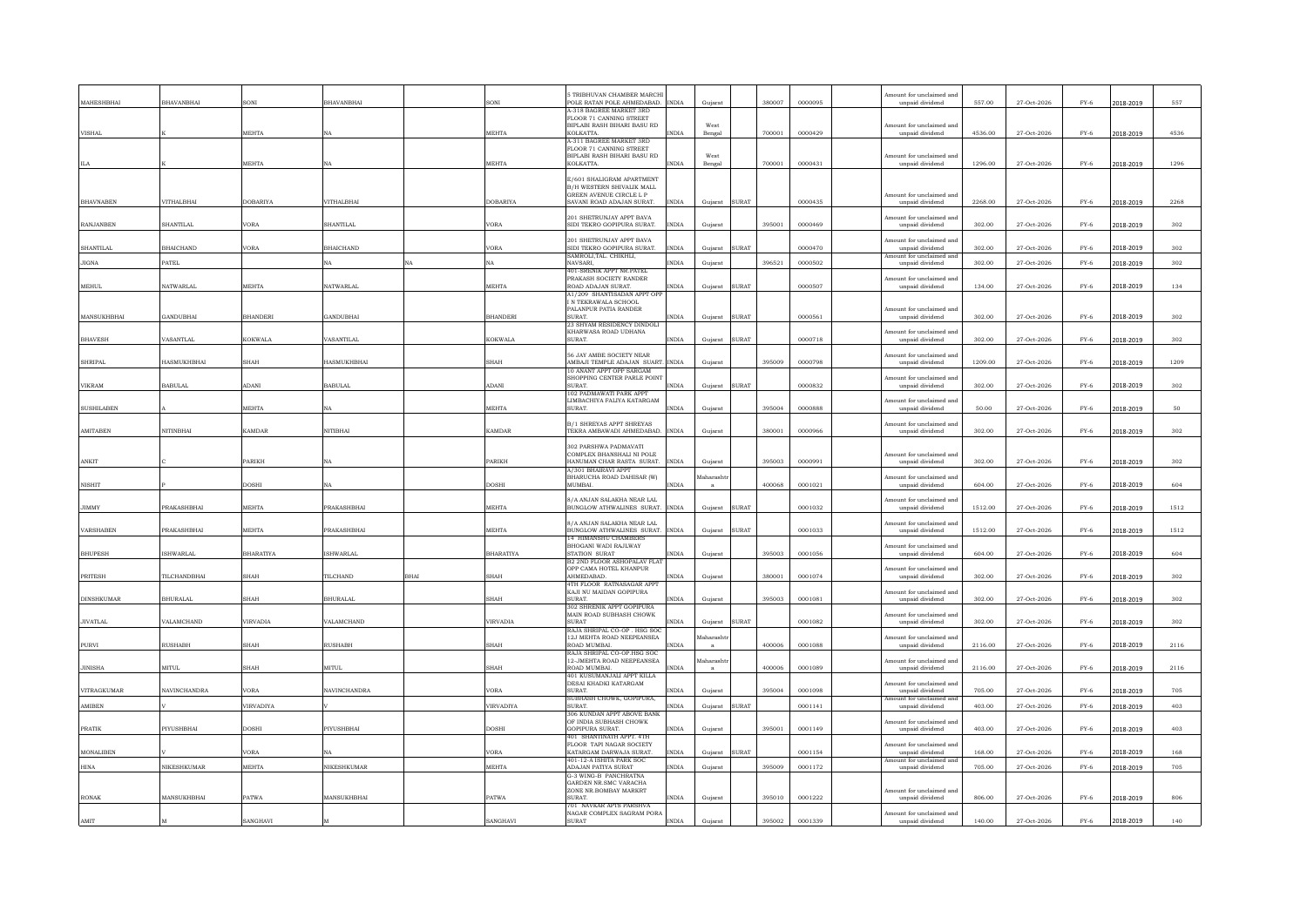| MAHESHBHAI        | BHAVANBHAI        |                  | <b>BHAVANBHAI</b>       | SONI             | <b>5 TRIBHUVAN CHAMBER MARCHI</b><br>POLE RATAN POLE AHMEDABAD. INDIA |              | Gujarat    |              | 380007 | 0000095 | Amount for unclaimed and<br>unpaid dividend | 557.00  | 27-Oct-2026 | $FY-6$        | 2018-2019 | 557  |
|-------------------|-------------------|------------------|-------------------------|------------------|-----------------------------------------------------------------------|--------------|------------|--------------|--------|---------|---------------------------------------------|---------|-------------|---------------|-----------|------|
|                   |                   |                  |                         |                  | A-318 BAGREE MARKET 3RD                                               |              |            |              |        |         |                                             |         |             |               |           |      |
|                   |                   |                  |                         |                  | FLOOR 71 CANNING STREET<br>BIPLABI RASH BIHARI BASU RD                |              | West       |              |        |         | Amount for unclaimed and                    |         |             |               |           |      |
| VISHAL            |                   | <b>MEHTA</b>     |                         | <b>MEHTA</b>     | <b>KOLKATTA</b>                                                       | <b>INDIA</b> | Bengal     |              | 700001 | 0000429 | unpaid dividend                             | 4536.00 | 27-Oct-2026 | $FY-6$        | 2018-2019 | 4536 |
|                   |                   |                  |                         |                  | A-311 BAGREE MARKET 3RD                                               |              |            |              |        |         |                                             |         |             |               |           |      |
|                   |                   |                  |                         |                  | FLOOR 71 CANNING STREET<br>BIPLABI RASH BIHARI BASU RD                |              | West       |              |        |         | Amount for unclaimed and                    |         |             |               |           |      |
|                   |                   | MEHTA            |                         | MEHTA            | KOLKATTA.                                                             | INDIA        | Bengal     |              | 700001 | 0000431 | unpaid dividend                             | 1296.00 | 27-Oct-2026 | $FY-6$        | 2018-2019 | 1296 |
|                   |                   |                  |                         |                  |                                                                       |              |            |              |        |         |                                             |         |             |               |           |      |
|                   |                   |                  |                         |                  | E/601 SHALIGRAM APARTMENT<br>B/H WESTERN SHIVALIK MALL                |              |            |              |        |         |                                             |         |             |               |           |      |
|                   |                   |                  |                         |                  | GREEN AVENUE CIRCLE L P                                               |              |            |              |        |         | Amount for unclaimed and                    |         |             |               |           |      |
| <b>BHAVNABEN</b>  | VITHALBHAI        | <b>OBARIYA</b>   | VITHALBHAI              | <b>DOBARIYA</b>  | SAVANI ROAD ADAJAN SURAT.                                             | <b>INDIA</b> | Gujarat    | <b>SURAT</b> |        | 0000435 | unpaid dividend                             | 2268.00 | 27-Oct-2026 | $FY-6$        | 2018-2019 | 2268 |
|                   |                   |                  |                         |                  | 201 SHETRUNJAY APPT BAVA                                              |              |            |              |        |         | Amount for unclaimed and                    |         |             |               |           |      |
| <b>RANJANBEN</b>  | SHANTILAI         | /ORA             | <b>SHANTILAI</b>        | VORA             | SIDI TEKRO GOPIPURA SURAT.                                            | <b>INDIA</b> | Guiarat    |              | 395001 | 0000469 | unpaid dividend                             | 302.00  | 27-Oct-2026 | $FY-6$        | 2018-2019 | 302  |
|                   |                   |                  |                         |                  | 201 SHETRUNJAY APPT BAVA                                              |              |            |              |        |         | Amount for unclaimed and                    |         |             |               |           |      |
| <b>SHANTILAL</b>  | <b>BHAICHAND</b>  | /ORA             | <b>BHAICHAND</b>        | VORA             | SIDI TEKRO GOPIPURA SURAT.                                            | <b>INDIA</b> | Gujarat    | <b>SURAT</b> |        | 0000470 | unpaid dividend                             | 302.00  | 27-Oct-2026 | $FY-6$        | 2018-2019 | 302  |
|                   |                   |                  |                         |                  | SAMROLI.TAL. CHIKHLI.                                                 |              |            |              |        |         | nount for unclaimed ar                      |         |             |               |           |      |
| <b>JIGNA</b>      | PATEL             |                  | ŃА                      | NA               | NAVSARI<br>401-SRENIK APPT NR.PATEL                                   | <b>INDIA</b> | Gujarat    |              | 396521 | 0000502 | unpaid dividend                             | 302.00  | 27-Oct-2026 | $FY-6$        | 2018-2019 | 302  |
|                   |                   |                  |                         |                  | PRAKASH SOCIETY RANDER                                                |              |            |              |        |         | Amount for unclaimed and                    |         |             |               |           |      |
| <b>MEHUL</b>      | <b>NATWARLAL</b>  | MEHTA            | <b>NATWARLAL</b>        | MEHTA            | ROAD ADAJAN SURAT.                                                    | INDIA        | Gujarat    | <b>SURAT</b> |        | 0000507 | unpaid dividend                             | 134.00  | 27-Oct-2026 | $FY-6$        | 2018-2019 | 134  |
|                   |                   |                  |                         |                  | A1/209 SHANTISADAN APPT OPI                                           |              |            |              |        |         |                                             |         |             |               |           |      |
|                   |                   |                  |                         |                  | IN TEKRAWALA SCHOOL<br>PALANPUR PATIA RANDER                          |              |            |              |        |         | Amount for unclaimed and                    |         |             |               |           |      |
| MANSUKHBHAI       | GANDUBHAI         | <b>BHANDERI</b>  | <b>GANDUBHAI</b>        | <b>BHANDERI</b>  | SURAT.                                                                | <b>INDIA</b> | Guiarat    | <b>SURAT</b> |        | 0000561 | unpaid dividend                             | 302.00  | 27-Oct-2026 | $FY-6$        | 2018-2019 | 302  |
|                   |                   |                  |                         |                  | 23 SHYAM RESIDENCY DINDOLI                                            |              |            |              |        |         |                                             |         |             |               |           |      |
| <b>BHAVESH</b>    | VASANTLAI         | KOKWALA          | VASANTILAL              | KOKWALA          | KHARWASA ROAD UDHANA<br>SURAT.                                        | INDIA        | Gujarat    | SURAT        |        | 0000718 | Amount for unclaimed and<br>unpaid dividend | 302.00  | 27-Oct-2026 | $_{\rm FY-6}$ | 2018-2019 | 302  |
|                   |                   |                  |                         |                  |                                                                       |              |            |              |        |         |                                             |         |             |               |           |      |
|                   |                   |                  |                         |                  | 56 JAY AMBE SOCIETY NEAR                                              |              |            |              |        |         | mount for unclaimed and                     |         |             |               |           |      |
| <b>SHRIPAL</b>    | HASMUKHBHAI       | SHAH             | <b>HASMUKHBHAI</b>      | <b>SHAH</b>      | AMBAJI TEMPLE ADAJAN SUART. INDIA<br>10 ANANT APPT OPP SARGAM         |              | Gujarat    |              | 395009 | 0000798 | unpaid dividend                             | 1209.00 | 27-Oct-2026 | $FY-6$        | 2018-2019 | 1209 |
|                   |                   |                  |                         |                  | SHOPPING CENTER PARLE POIN'                                           |              |            |              |        |         | Amount for unclaimed and                    |         |             |               |           |      |
| VIKRAM            | <b>BABULAL</b>    | <b>IMAQ</b>      | <b>BABULAL</b>          | ADANI            | <b>SURAT</b>                                                          | <b>INDIA</b> | Gujarat    | <b>SURAT</b> |        | 0000832 | unpaid dividend                             | 302.00  | 27-Oct-2026 | $FY-6$        | 2018-2019 | 302  |
|                   |                   |                  |                         |                  | 102 PADMAWATI PARK APPT<br>LIMBACHIYA FALIYA KATARGAM                 |              |            |              |        |         | Amount for unclaimed and                    |         |             |               |           |      |
| <b>SUSHILABEN</b> |                   | <b>MEHTA</b>     | NA                      | <b>MEHTA</b>     | SURAT.                                                                | <b>INDIA</b> | Guiarat    |              | 395004 | 0000888 | unpaid dividend                             | 50.00   | 27-Oct-2026 | $FY-6$        | 2018-2019 | 50   |
|                   |                   |                  |                         |                  | <b>B/1 SHREYAS APPT SHREYAS</b>                                       |              |            |              |        |         | Amount for unclaimed and                    |         |             |               |           |      |
| <b>AMITABEN</b>   | <b>NITINRHAI</b>  | KAMDAR           | <b>NITIBHAI</b>         | <b>KAMDAR</b>    | TEKRA AMBAWADI AHMEDABAD                                              | <b>INDIA</b> | Gujarat    |              | 380001 | 0000966 | unpaid dividend                             | 302.00  | 27-Oct-2026 | $FY-6$        | 2018-2019 | 302  |
|                   |                   |                  |                         |                  |                                                                       |              |            |              |        |         |                                             |         |             |               |           |      |
|                   |                   |                  |                         |                  | 302 PARSHWA PADMAVATI<br>COMPLEX BHANSHALI NI POLE                    |              |            |              |        |         | mount for unclaimed and                     |         |             |               |           |      |
| ANKIT             |                   | <b>ARIKH</b>     |                         | PARIKH           | HANUMAN CHAR RASTA SURAT.                                             | <b>INDIA</b> | Gujarat    |              | 395003 | 0000991 | unpaid dividend                             | 302.00  | 27-Oct-2026 | $FY-6$        | 2018-2019 | 302  |
|                   |                   |                  |                         |                  | A/301 BHAIRAVI APPT                                                   |              |            |              |        |         |                                             |         |             |               |           |      |
| <b>NISHIT</b>     |                   | <b>H</b> 2OC     | NA                      | <b>DOSHI</b>     | BHARUCHA ROAD DAHISAR (W)<br>MUMBAI                                   | INDIA        | faharashtı |              | 400068 | 0001021 | Amount for unclaimed and<br>unpaid dividend | 604.00  | 27-Oct-2026 | $FY-6$        | 2018-2019 | 604  |
|                   |                   |                  |                         |                  |                                                                       |              |            |              |        |         |                                             |         |             |               |           |      |
| <b>JIMMY</b>      | PRAKASHBHAI       | <b>MEHTA</b>     | PRAKASHBHAI             | MEHTA            | 8/A ANJAN SALAKHA NEAR LAL<br>BUNGLOW ATHWALINES SURAT. INDIA         |              | Guiarat    | <b>SURAT</b> |        | 0001032 | Amount for unclaimed and<br>unpaid dividend | 1512.00 | 27-Oct-2026 | $FY-6$        | 2018-2019 | 1512 |
|                   |                   |                  |                         |                  |                                                                       |              |            |              |        |         |                                             |         |             |               |           |      |
|                   |                   |                  |                         |                  | 8/A ANJAN SALAKHA NEAR LAL                                            |              |            |              |        |         | Amount for unclaimed and                    |         |             |               |           |      |
| <b>VARSHABEN</b>  | PRAKASHBHAI       | <b>MEHTA</b>     | <b>PRAKASHRHAI</b>      | <b>MEHTA</b>     | BUNGLOW ATHWALINES SURAT. INDIA                                       |              | Gujarat    | <b>SURAT</b> |        | 0001033 | unpaid dividend                             | 1512.00 | 27-Oct-2026 | $FY-6$        | 2018-2019 | 1512 |
|                   |                   |                  |                         |                  | 14 HIMANSHU CHAMBERS<br>BHOGANI WADI RAJLWAY                          |              |            |              |        |         | Amount for unclaimed and                    |         |             |               |           |      |
| <b>BHUPESH</b>    | <b>ISHWARLAL</b>  | <b>BHARATIYA</b> | <b>ISHWARLAL</b>        | <b>BHARATIYA</b> | STATION SURAT                                                         | <b>INDIA</b> | Gujarat    |              | 395003 | 0001056 | $\it unpaid$ dividend                       | 604.00  | 27-Oct-2026 | $FY-6$        | 2018-2019 | 604  |
|                   |                   |                  |                         |                  | B2 2ND FLOOR ASHOPALAV FLA<br>OPP CAMA HOTEL KHANPUR                  |              |            |              |        |         | mount for unclaimed and                     |         |             |               |           |      |
| <b>PRITESH</b>    | TILCHANDBHAI      | SHAH             | TILCHAND<br><b>BHAI</b> | SHAH             | AHMEDABAD.                                                            | <b>INDIA</b> | Gujarat    |              | 380001 | 0001074 | unpaid dividend                             | 302.00  | 27-Oct-2026 | $FY-6$        | 2018-2019 | 302  |
|                   |                   |                  |                         |                  | 4TH FLOOR RATNASAGAR APPY                                             |              |            |              |        |         |                                             |         |             |               |           |      |
| <b>DINSHKUMAR</b> | <b>BHURALAL</b>   | HAH              | <b>BHURALAL</b>         | <b>SHAH</b>      | KAJI NU MAIDAN GOPIPURA<br>SURAT.                                     | <b>INDIA</b> | Guiarat    |              | 395003 | 0001081 | Amount for unclaimed and<br>unpaid dividend | 302.00  | 27-Oct-2026 | $FY-6$        | 2018-2019 | 302  |
|                   |                   |                  |                         |                  | 302 SHRENIK APPT GOPIPURA                                             |              |            |              |        |         |                                             |         |             |               |           |      |
|                   |                   |                  |                         |                  | MAIN ROAD SUBHASH CHOWK                                               |              |            |              |        |         | Amount for unclaimed and                    |         |             |               |           |      |
| <b>JIVATLAL</b>   | VALAMCHAND        | VIRVADIA         | VALAMCHAND              | VIRVADIA         | <b>SURAT</b><br>RAJA SHRIPAL CO-OP HSG SOC                            | <b>INDIA</b> | Guiarat    | <b>SURAT</b> |        | 0001082 | unpaid dividend                             | 302.00  | 27-Oct-2026 | $FY-6$        | 2018-2019 | 302  |
|                   |                   |                  |                         |                  | 12J MEHTA ROAD NEEPEANSEA                                             |              | faharash   |              |        |         | mount for unclaimed and                     |         |             |               |           |      |
| PURVI             | <b>RUSHABH</b>    | HAH              | <b>RUSHABH</b>          | SHAH             | ROAD MUMBAI                                                           | <b>INDIA</b> |            |              | 400006 | 0001088 | unpaid dividend                             | 2116.00 | 27-Oct-2026 | $FY-6$        | 2018-2019 | 2116 |
|                   |                   |                  |                         |                  | RAJA SHRIPAL CO-OP.HSG SOC<br>12-JMEHTA ROAD NEEPEANSEA               |              | faharasht  |              |        |         | Amount for unclaimed and                    |         |             |               |           |      |
| <b>JINISHA</b>    | MITUL             | HAH              | <b>MITUL</b>            | <b>SHAH</b>      | ROAD MUMBAI.                                                          | INDIA        |            |              | 400006 | 0001089 | unpaid dividend                             | 2116.00 | 27-Oct-2026 | $FY-6$        | 2018-2019 | 2116 |
|                   |                   |                  |                         |                  | 401 KUSUMANJALI APPT KILLA                                            |              |            |              |        |         |                                             |         |             |               |           |      |
| VITRAGKUMAR       | NAVINCHANDRA      | /ORA             | NAVINCHANDRA            | <b>VORA</b>      | DESAI KHADKI KATARGAM<br>SURAT.                                       | <b>INDIA</b> | Guiarat    |              | 395004 | 0001098 | Amount for unclaimed and<br>unpaid dividend | 705.00  | 27-Oct-2026 | $FY-6$        | 2018-2019 | 705  |
|                   |                   |                  |                         |                  | SUBHASH CHOWK, GOPIPURA,                                              |              |            |              |        |         | mount for unclaimed an                      |         |             |               |           |      |
| AMIBEN            |                   | VIRVADIYA        |                         | <b>VIRVADIYA</b> | SURAT.                                                                | <b>INDIA</b> | Guiarat    | <b>SURAT</b> |        | 0001141 | unpaid dividend                             | 403.00  | 27-Oct-2026 | $FY-6$        | 2018-2019 | 403  |
|                   |                   |                  |                         |                  | 306 KUNDAN APPT ABOVE BANK<br>OF INDIA SUBHASH CHOWK                  |              |            |              |        |         | Amount for unclaimed and                    |         |             |               |           |      |
| <b>PRATIK</b>     | <b>PIVUSHRHAI</b> | DOSHI            | PIYUSHBHAI              | <b>DOSHI</b>     | <b>GOPIPURA SURAT</b>                                                 | <b>INDIA</b> | Gujarat    |              | 395001 | 0001149 | unpaid dividend                             | 403.00  | 27-Oct-2026 | $FY-6$        | 2018-2019 | 403  |
|                   |                   |                  |                         |                  | 401 SHANTINATH APPT. 4TH                                              |              |            |              |        |         |                                             |         |             |               |           |      |
| MONALIBEN         |                   | /ORA             | NA                      | <b>VORA</b>      | FLOOR TAPI NAGAR SOCIETY<br>KATARGAM DARWAJA SURAT.                   | INDIA        | Gujarat    | <b>SURAT</b> |        | 0001154 | mount for unclaimed and<br>unpaid dividend  | 168.00  | 27-Oct-2026 | $FY-6$        | 2018-2019 | 168  |
|                   |                   |                  |                         |                  | 401-12-A ISHITA PARK SOC                                              |              |            |              |        |         | mount for unclaimed and                     |         |             |               |           |      |
| <b>HINA</b>       | NIKESHKUMAR       | MEHTA            | NIKESHKUMAR             | MEHTA            | <b>ADAJAN PATIYA SURAT</b>                                            | <b>INDIA</b> | Guiarat    |              | 395009 | 0001172 | unpaid dividend                             | 705.00  | 27-Oct-2026 | $FY-6$        | 2018-2019 | 705  |
|                   |                   |                  |                         |                  | G-3 WING-B PANCHRATNA<br><b>GARDEN NR.SMC VARACHA</b>                 |              |            |              |        |         |                                             |         |             |               |           |      |
|                   |                   |                  |                         |                  | ZONE NR. BOMBAY MARKRT                                                |              |            |              |        |         | Amount for unclaimed and                    |         |             |               |           |      |
| $\mbox{RONAK}$    | MANSUKHBHAI       | <b>ATWA</b>      | MANSUKHBHAI             | PATWA            | SURAT.                                                                | <b>INDIA</b> | Gujarat    |              | 395010 | 0001222 | unpaid dividend                             | 806.00  | 27-Oct-2026 | $FY-6$        | 2018-2019 | 806  |
|                   |                   |                  |                         |                  | 701 NAVKAR APTS PARSHVA<br>NAGAR COMPLEX SAGRAM PORA                  |              |            |              |        |         | Amount for unclaimed and                    |         |             |               |           |      |
| AMIT              |                   | SANGHAVI         |                         | SANGHAVI         | SURAT                                                                 | <b>INDIA</b> | Guiarat    |              | 395002 | 0001339 | unpaid dividend                             | 140.00  | 27-Oct-2026 | $FY-6$        | 2018-2019 | 140  |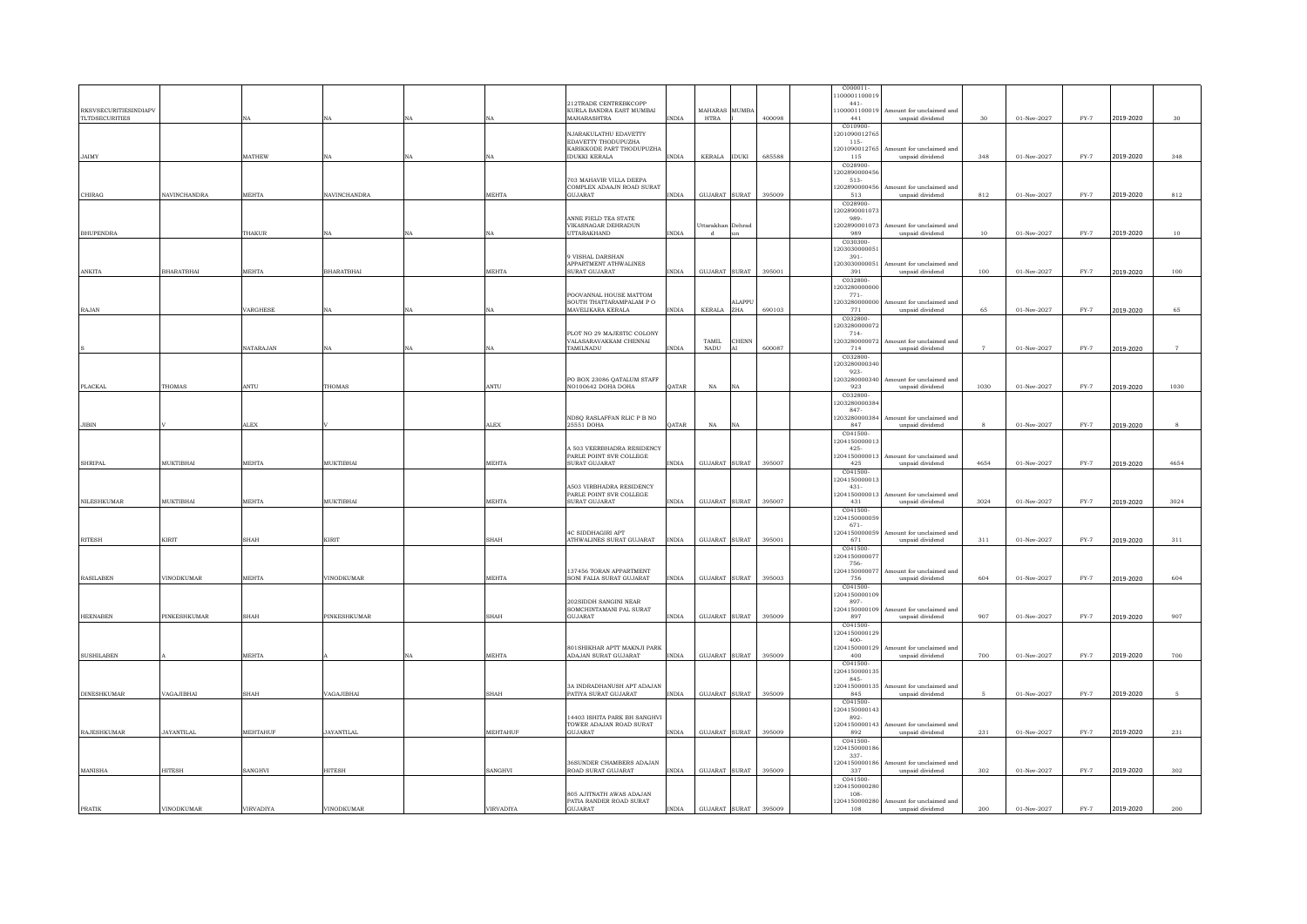|                              |                   |                        |                     |            |              |                                                         |                |                   |                     |        | C000011                  |                                             |                 |             |               |           |                        |
|------------------------------|-------------------|------------------------|---------------------|------------|--------------|---------------------------------------------------------|----------------|-------------------|---------------------|--------|--------------------------|---------------------------------------------|-----------------|-------------|---------------|-----------|------------------------|
|                              |                   |                        |                     |            |              | 212TRADE CENTREBKCOPP                                   |                |                   |                     |        | 10000110001<br>$441 -$   |                                             |                 |             |               |           |                        |
| <b>RKSVSECURITIESINDIAPV</b> |                   |                        |                     |            |              | KURLA BANDRA EAST MUMBAI                                |                | MAHARAS MUMB/     |                     |        | 100001100019             | mount for unclaimed and                     |                 |             |               |           |                        |
| <b>TLTDSECURITIES</b>        |                   |                        | NA                  | <b>NA</b>  |              | MAHARASHTRA                                             | $\text{INDIA}$ | <b>HTRA</b>       |                     | 400098 | 441<br>C010900           | unpaid dividend                             | 30 <sup>°</sup> | 01-Nov-2027 | $FY-7$        | 2019-2020 | $30\,$                 |
|                              |                   |                        |                     |            |              | NJARAKULATHU EDAVETTY                                   |                |                   |                     |        | 20109001276              |                                             |                 |             |               |           |                        |
|                              |                   |                        |                     |            |              | <b>EDAVETTY THODUPUZHA</b><br>KARIKKODE PART THODUPUZHA |                |                   |                     |        | $115 -$<br>1201090012765 | Amount for unclaimed and                    |                 |             |               |           |                        |
| <b>JAIMY</b>                 |                   | MATHEW                 | NA                  | NA         |              | <b>IDUKKI KERALA</b>                                    | <b>INDIA</b>   | KERALA IDUKI      |                     | 685588 | 115                      | unpaid dividend                             | 348             | 01-Nov-2027 | $FY-7$        | 2019-2020 | 348                    |
|                              |                   |                        |                     |            |              |                                                         |                |                   |                     |        | C028900-<br>20289000045  |                                             |                 |             |               |           |                        |
|                              |                   |                        |                     |            |              | 703 MAHAVIR VILLA DEEPA                                 |                |                   |                     |        | $513-$                   |                                             |                 |             |               |           |                        |
| CHIRAG                       | NAVINCHANDRA      | <b>MEHTA</b>           | <b>NAVINCHANDRA</b> |            | <b>MEHTA</b> | COMPLEX ADAAJN ROAD SURAT<br><b>GILIARAT</b>            | <b>INDIA</b>   | GUJARAT SURAT     |                     | 395009 | 202890000456<br>513      | Amount for unclaimed and<br>unpaid dividend | 812             | 01-Nov-2027 | $FY-7$        | 2019-2020 | 812                    |
|                              |                   |                        |                     |            |              |                                                         |                |                   |                     |        | C028900                  |                                             |                 |             |               |           |                        |
|                              |                   |                        |                     |            |              | ANNE FIELD TEA STATE                                    |                |                   |                     |        | 20289000107<br>989-      |                                             |                 |             |               |           |                        |
|                              |                   |                        |                     |            |              | VIKASNAGAR DEHRADUN                                     |                | Uttarakhan Dehrad |                     |        | 202890001073             | Amount for unclaimed and                    |                 |             |               |           |                        |
| <b>BHUPENDRA</b>             |                   | THAKUR                 |                     | NA         |              | <b>UTTARAKHAND</b>                                      | INDIA          | d                 | m                   |        | 989<br>C030300           | unpaid dividend                             | $10\,$          | 01-Nov-2027 | $FY-7$        | 2019-2020 | $10\,$                 |
|                              |                   |                        |                     |            |              |                                                         |                |                   |                     |        | 120303000005             |                                             |                 |             |               |           |                        |
|                              |                   |                        |                     |            |              | 9 VISHAL DARSHAN<br>APPARTMENT ATHWALINES               |                |                   |                     |        | $391 -$<br>20303000005   | Amount for unclaimed and                    |                 |             |               |           |                        |
| ANKITA                       | <b>BHARATBHAI</b> | MEHTA                  | <b>BHARATBHAI</b>   |            | MEHTA        | <b>SURAT GUJARAT</b>                                    | <b>INDIA</b>   | GUJARAT SURAT     |                     | 395001 | 391                      | unpaid dividend                             | 100             | 01-Nov-2027 | $FY-7$        | 2019-2020 | 100                    |
|                              |                   |                        |                     |            |              |                                                         |                |                   |                     |        | C032800<br>20328000000   |                                             |                 |             |               |           |                        |
|                              |                   |                        |                     |            |              | POOVANNAL HOUSE MATTOM                                  |                |                   |                     |        | $771-$                   |                                             |                 |             |               |           |                        |
| RAJAN                        |                   | VARGHESE               |                     | $N \Delta$ |              | SOUTH THATTARAMPALAM PO<br>MAVELIKARA KERALA            | <b>INDIA</b>   | <b>KERALA</b>     | <b>MAPPL</b><br>ZHA | 690103 | 1203280000000<br>771     | Amount for unclaimed and                    | 65              | 01-Nov-2027 | $FY-7$        |           | 65                     |
|                              |                   |                        |                     |            |              |                                                         |                |                   |                     |        | C032800                  | unpaid dividend                             |                 |             |               | 2019-2020 |                        |
|                              |                   |                        |                     |            |              |                                                         |                |                   |                     |        | 20328000007              |                                             |                 |             |               |           |                        |
|                              |                   |                        |                     |            |              | PLOT NO 29 MAJESTIC COLONY<br>VALASARAVAKKAM CHENNAI    |                | TAMIL             | CHENN               |        | $714-$<br>203280000      | mount for unclaimed and                     |                 |             |               |           |                        |
|                              |                   | <b>NATARAJAN</b>       | NA                  | NA         |              | TAMILNADU                                               | $\text{INDIA}$ | NADU              |                     | 600087 | 714                      | unpaid dividend                             | $\overline{7}$  | 01-Nov-2027 | $FY-7$        | 2019-2020 | $\overline{7}$         |
|                              |                   |                        |                     |            |              |                                                         |                |                   |                     |        | C032800<br>20328000034   |                                             |                 |             |               |           |                        |
|                              |                   |                        |                     |            |              |                                                         |                |                   |                     |        | $923 -$                  |                                             |                 |             |               |           |                        |
| <b>PLACKAL</b>               | THOMAS            | ANTU                   | THOMAS              |            | ANTU         | PO BOX 23086 QATALUM STAFF<br>NO100642 DOHA DOHA        | QATAR          | $_{\rm NA}$       | NA                  |        | 203280000<br>923         | nount for unclaimed and<br>unpaid dividend  | 1030            | 01-Nov-2027 | $FY-7$        | 2019-2020 | 1030                   |
|                              |                   |                        |                     |            |              |                                                         |                |                   |                     |        | C032800                  |                                             |                 |             |               |           |                        |
|                              |                   |                        |                     |            |              |                                                         |                |                   |                     |        | 203280000384<br>847-     |                                             |                 |             |               |           |                        |
|                              |                   |                        |                     |            |              | NDSQ RASLAFFAN RLIC P B NO                              |                |                   |                     |        | 20328000038              | Amount for unclaimed and                    |                 |             |               |           |                        |
| <b>JIBIN</b>                 |                   | <b>ALEX</b>            |                     |            | <b>ALEX</b>  | 25551 DOHA                                              | <b>DATAR</b>   | NA                | NA                  |        | 847<br>C041500           | unpaid dividend                             | $\mathcal{R}$   | 01-Nov-2027 | $FY-7$        | 2019-2020 | $\mathbf{\mathcal{R}}$ |
|                              |                   |                        |                     |            |              |                                                         |                |                   |                     |        | 1204150000013            |                                             |                 |             |               |           |                        |
|                              |                   |                        |                     |            |              | A 503 VEERBHADRA RESIDENCY<br>PARLE POINT SVR COLLEGE   |                |                   |                     |        | $425 -$<br>204150000013  | Amount for unclaimed and                    |                 |             |               |           |                        |
| <b>SHRIPAL</b>               | MUKTIBHAI         | <b>MEHTA</b>           | MUKTIBHAI           |            | MEHTA        | SURAT GUJARAT                                           | $\text{INDIA}$ | GUJARAT SURAT     |                     | 395007 | 425                      | unpaid dividend                             | 4654            | 01-Nov-2027 | $FY-7$        | 2019-2020 | 4654                   |
|                              |                   |                        |                     |            |              |                                                         |                |                   |                     |        | C041500<br>120415000001  |                                             |                 |             |               |           |                        |
|                              |                   |                        |                     |            |              | A503 VIRBHADRA RESIDENCY                                |                |                   |                     |        | $431 -$                  |                                             |                 |             |               |           |                        |
| NILESHKUMAR                  | MUKTIBHAI         | MEHTA                  | MUKTIBHAI           |            | MEHTA        | PARLE POINT SVR COLLEGE<br>SURAT GUJARAT                | INDIA          | GUJARAT SURAT     |                     | 395007 | 20415000001<br>431       | Amount for unclaimed and<br>unpaid dividend | 3024            | 01-Nov-2027 | $FY-7$        | 2019-2020 | 3024                   |
|                              |                   |                        |                     |            |              |                                                         |                |                   |                     |        | C041500                  |                                             |                 |             |               |           |                        |
|                              |                   |                        |                     |            |              |                                                         |                |                   |                     |        | 120415000005<br>671-     |                                             |                 |             |               |           |                        |
|                              |                   |                        |                     |            |              | <b>4C SIDDHAGIRI APT</b>                                |                |                   |                     |        | 12041500000              | mount for unclaimed and                     |                 |             |               |           |                        |
| <b>RITESH</b>                | <b>KIRIT</b>      | SHAH                   | KIRIT               |            | <b>SHAH</b>  | ATHWALINES SURAT GUJARAT                                | <b>INDIA</b>   | GUJARAT SURAT     |                     | 395001 | 671<br>C041500           | unpaid dividend                             | 311             | 01-Nov-2027 | $FY-7$        | 2019-2020 | 311                    |
|                              |                   |                        |                     |            |              |                                                         |                |                   |                     |        | 120415000007             |                                             |                 |             |               |           |                        |
|                              |                   |                        |                     |            |              | 137456 TORAN APPARTMENT                                 |                |                   |                     |        | 756-<br>20415000007      | mount for unclaimed and                     |                 |             |               |           |                        |
| <b>RASILABEN</b>             | VINODKUMAR        | MEHTA                  | VINODKUMAR          |            | MEHTA        | SONI FALIA SURAT GUJARAT                                | <b>INDIA</b>   | GUJARAT SURAT     |                     | 395003 | 756                      | unpaid dividend                             | 604             | 01-Nov-2027 | $FY-7$        | 2019-2020 | 604                    |
|                              |                   |                        |                     |            |              |                                                         |                |                   |                     |        | C041500<br>120415000010  |                                             |                 |             |               |           |                        |
|                              |                   |                        |                     |            |              | 202SIDDH SANGINI NEAR                                   |                |                   |                     |        | 897-                     |                                             |                 |             |               |           |                        |
| <b>HEENABEN</b>              | PINKESHKUMAR      | SHAH                   | PINKESHKUMAR        |            | <b>SHAH</b>  | SOMCHINTAMANI PAL SURAT<br><b>GUJARAT</b>               | <b>INDIA</b>   | GUJARAT SURAT     |                     | 395009 | 2041500001<br>897        | tount for unclaimed and<br>unpaid dividend  | 907             | 01-Nov-2027 | $FY-7$        | 2019-2020 | 907                    |
|                              |                   |                        |                     |            |              |                                                         |                |                   |                     |        | C041500                  |                                             |                 |             |               |           |                        |
|                              |                   |                        |                     |            |              |                                                         |                |                   |                     |        | 120415000012<br>$400 -$  |                                             |                 |             |               |           |                        |
|                              |                   |                        |                     |            |              | 801SHIKHAR APTT MAKNJI PARK                             |                |                   |                     |        | 1204150000129            | Amount for unclaimed and                    |                 |             |               |           |                        |
| <b>SUSHILABEN</b>            |                   | <b>MEHTA</b>           |                     | NA         | MEHTA        | ADAJAN SURAT GUJARAT                                    | <b>INDIA</b>   | GUJARAT SURAT     |                     | 395009 | 400                      | unpaid dividend                             | 700             | 01-Nov-2027 | $FY-7$        | 2019-2020 | 700                    |
|                              |                   |                        |                     |            |              |                                                         |                |                   |                     |        | C041500<br>120415000013  |                                             |                 |             |               |           |                        |
|                              |                   |                        |                     |            |              | 3A INDRADHANUSH APT ADAJAN                              |                |                   |                     |        | 845-<br>204150000135     | Amount for unclaimed and                    |                 |             |               |           |                        |
| <b>DINESHKUMAR</b>           | VAGAJIBHAI        | HAH                    | VAGAJIBHAI          |            | SHAH         | PATIYA SURAT GUJARAT                                    | <b>INDIA</b>   | GUJARAT           | <b>SURAT</b>        | 395009 | 845                      | unpaid dividend                             |                 | 01-Nov-2027 | $FY-7$        | 2019-2020 | -5                     |
|                              |                   |                        |                     |            |              |                                                         |                |                   |                     |        | C041500<br>1204150000143 |                                             |                 |             |               |           |                        |
|                              |                   |                        |                     |            |              | 14403 ISHITA PARK BH SANGHVI                            |                |                   |                     |        | 892-                     |                                             |                 |             |               |           |                        |
| <b>RAJESHKUMAR</b>           | <b>JAYANTILAL</b> | MEHTAHUF               | <b>JAYANTILAL</b>   |            | MEHTAHUF     | TOWER ADAJAN ROAD SURAT<br>GILIARAT                     | <b>INDIA</b>   | GUJARAT SURAT     |                     | 395009 | 204150000143<br>892      | Amount for unclaimed and<br>unpaid dividend | 231             | 01-Nov-2027 | $_{\rm FY-7}$ | 2019-2020 | 231                    |
|                              |                   |                        |                     |            |              |                                                         |                |                   |                     |        | C041500                  |                                             |                 |             |               |           |                        |
|                              |                   |                        |                     |            |              |                                                         |                |                   |                     |        | 120415000018             |                                             |                 |             |               |           |                        |
|                              |                   |                        |                     |            |              | 36SUNDER CHAMBERS ADAJAN                                |                |                   |                     |        | $337 -$<br>1204150000186 | Amount for unclaimed and                    |                 |             |               |           |                        |
| MANISHA                      | <b>HITESH</b>     | SANGHVI                | <b>HITESH</b>       |            | SANGHVI      | ROAD SURAT GUJARAT                                      | <b>INDIA</b>   | GUJARAT SURAT     |                     | 395009 | 337                      | unpaid dividend                             | 302             | 01-Nov-2027 | $FY-7$        | 2019-2020 | 302                    |
|                              |                   |                        |                     |            |              |                                                         |                |                   |                     |        | C041500<br>20415000028   |                                             |                 |             |               |           |                        |
|                              |                   |                        |                     |            |              | 805 AJITNATH AWAS ADAJAN<br>PATIA RANDER ROAD SURAT     |                |                   |                     |        | 108<br>1204150000280     | Amount for unclaimed and                    |                 |             |               |           |                        |
| <b>PRATIK</b>                | VINODKUMAR        | <b><i>IRVADIYA</i></b> | <b>VINODKUMAR</b>   |            | VIRVADIYA    | <b>GUJARAT</b>                                          | <b>INDIA</b>   | GUJARAT SURAT     |                     | 395009 | 108                      | unpaid dividend                             | 200             | 01-Nov-2027 | $FY-7$        | 2019-2020 | 200                    |
|                              |                   |                        |                     |            |              |                                                         |                |                   |                     |        |                          |                                             |                 |             |               |           |                        |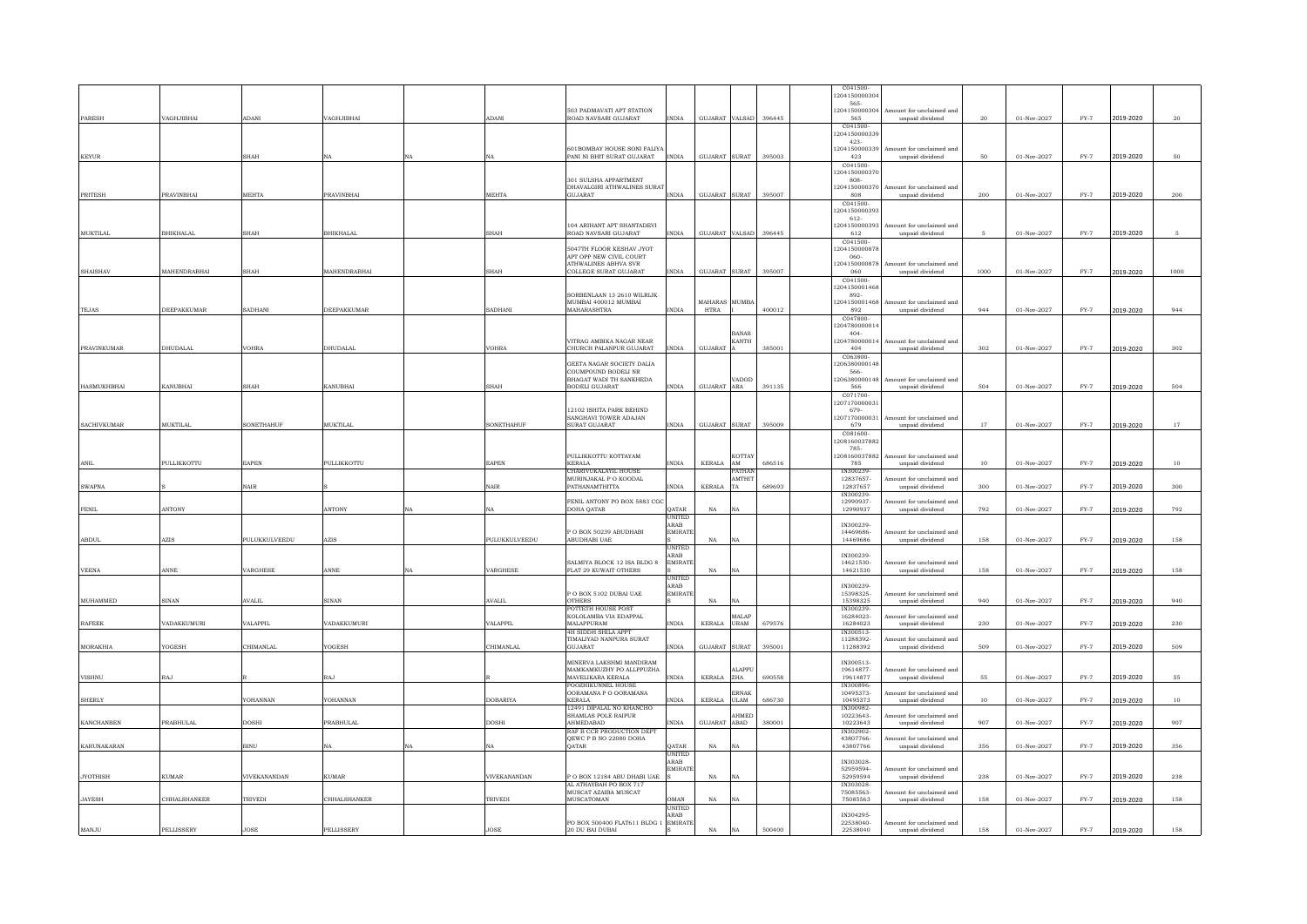|                    |                       |               |                     |                 |                                                      |                        |                |                                  |        | C041500                            |                                                         |        |                     |        |           |                    |
|--------------------|-----------------------|---------------|---------------------|-----------------|------------------------------------------------------|------------------------|----------------|----------------------------------|--------|------------------------------------|---------------------------------------------------------|--------|---------------------|--------|-----------|--------------------|
|                    |                       |               |                     |                 |                                                      |                        |                |                                  |        | 20415000030<br>565-                |                                                         |        |                     |        |           |                    |
|                    |                       |               |                     |                 | 503 PADMAVATI APT STATION                            |                        |                |                                  |        | 120415000030                       | Amount for unclaimed and                                |        |                     |        |           |                    |
| PARESH             | VAGHJIBHAI            | <b>ADANI</b>  | VAGHJIBHAI          | ADANI           | ROAD NAVSARI GUJARAT                                 | <b>INDIA</b>           | GUJARAT VALSAD |                                  | 396445 | 565                                | unpaid dividend                                         | 20     | $01$ -Nov-2027 $\,$ | $FY-7$ | 2019-2020 | $\bf{20}$          |
|                    |                       |               |                     |                 |                                                      |                        |                |                                  |        | C041500<br>20415000033             |                                                         |        |                     |        |           |                    |
|                    |                       |               |                     |                 | 601BOMBAY HOUSE SONI FALIYA                          |                        |                |                                  |        | $423 -$<br>204150000339            | Amount for unclaimed and                                |        |                     |        |           |                    |
| <b>KEYUR</b>       |                       | <b>SHAH</b>   |                     |                 | PANI NI BHIT SURAT GUJARAT                           | <b>INDIA</b>           | GUJARAT SURAT  |                                  | 395003 | 423                                | unpaid dividend                                         | 50     | 01-Nov-2027         | $FY-7$ | 2019-2020 | 50                 |
|                    |                       |               |                     |                 |                                                      |                        |                |                                  |        | C041500                            |                                                         |        |                     |        |           |                    |
|                    |                       |               |                     |                 | 301 SULSHA APPARTMENT                                |                        |                |                                  |        | 20415000037<br>808                 |                                                         |        |                     |        |           |                    |
|                    |                       |               |                     |                 | DHAVALGIRI ATHWALINES SURA'                          |                        |                |                                  |        | 20415000037                        | Amount for unclaimed and                                |        |                     |        |           |                    |
| PRITESH            | PRAVINBHAI            | <b>MEHTA</b>  | PRAVINBHAI          | MEHTA           | GUJARAT                                              | <b>INDIA</b>           | GUJARAT SURAT  |                                  | 395007 | 808<br>C041500                     | unpaid dividend                                         | 200    | 01-Nov-2027         | $FY-7$ | 2019-2020 | 200                |
|                    |                       |               |                     |                 |                                                      |                        |                |                                  |        | 20415000039                        |                                                         |        |                     |        |           |                    |
|                    |                       |               |                     |                 | 104 ARIHANT APT SHANTADEVI                           |                        |                |                                  |        | 612-<br>1204150000393              | Amount for unclaimed and                                |        |                     |        |           |                    |
| MUKTILAI           | BHIKHALAL             | <b>SHAH</b>   | <b>BHIKHALAL</b>    | SHAH            | ROAD NAVSARI GUJARAT                                 | <b>INDIA</b>           | GUJARAT VALSAD |                                  | 396445 | 612                                | unpaid dividend                                         | 5      | 01-Nov-2027         | $FY-7$ | 2019-2020 | -5                 |
|                    |                       |               |                     |                 | 5047TH FLOOR KESHAV JYOT                             |                        |                |                                  |        | C041500<br>120415000087            |                                                         |        |                     |        |           |                    |
|                    |                       |               |                     |                 | APT OPP NEW CIVIL COURT                              |                        |                |                                  |        | 060-                               |                                                         |        |                     |        |           |                    |
| <b>SHAISHAV</b>    | MAHENDRABHAI          | <b>SHAH</b>   | <b>MAHENDRABHAI</b> | <b>SHAH</b>     | <b>ATHWALINES ABHVA SVR</b><br>COLLEGE SURAT GUJARAT | <b>INDIA</b>           | GUJARAT SURAT  |                                  | 395007 | 120415000087<br>060                | Amount for unclaimed and<br>$\it unpaid$ $\it dividend$ | 1000   | 01-Nov-2027         | $FY-7$ | 2019-2020 | 1000               |
|                    |                       |               |                     |                 |                                                      |                        |                |                                  |        | C041500                            |                                                         |        |                     |        |           |                    |
|                    |                       |               |                     |                 | SORBENLAAN 13 2610 WILRIJK                           |                        |                |                                  |        | 120415000146<br>892                |                                                         |        |                     |        |           |                    |
|                    |                       |               |                     |                 | MUMBAI 400012 MUMBAI                                 |                        | MAHARAS MUMBA  |                                  |        | 1204150001468                      | mount for unclaimed and                                 |        |                     |        |           |                    |
| <b>TEJAS</b>       | DEEPAKKUMAR           | SADHANI       | DEEPAKKUMAR         | SADHANI         | MAHARASHTRA                                          | <b>INDIA</b>           | <b>HTRA</b>    |                                  | 400012 | 892<br>C047800                     | unpaid dividend                                         | 944    | 01-Nov-2027         | $FY-7$ | 2019-2020 | 944                |
|                    |                       |               |                     |                 |                                                      |                        |                |                                  |        | 120478000001                       |                                                         |        |                     |        |           |                    |
|                    |                       |               |                     |                 |                                                      |                        |                | BANAS                            |        | 404                                |                                                         |        |                     |        |           |                    |
| PRAVINKUMAR        | DHUDALAL              | <b>VOHRA</b>  | DHUDALAL            | <b>JOHRA</b>    | VITRAG AMBIKA NAGAR NEAR<br>CHURCH PALANPUR GUJARAT  | INDIA                  | GUJARAT        | <b>KANTH</b>                     | 385001 | 204780000014<br>404                | Amount for unclaimed and<br>unpaid dividend             | 302    | 01-Nov-2027         | $FY-7$ | 2019-2020 | 302                |
|                    |                       |               |                     |                 |                                                      |                        |                |                                  |        | C063800                            |                                                         |        |                     |        |           |                    |
|                    |                       |               |                     |                 | GEETA NAGAR SOCIETY DALIA<br>COUMPOUND BODELI NR     |                        |                |                                  |        | 20638000014<br>566-                |                                                         |        |                     |        |           |                    |
|                    |                       |               |                     |                 | BHAGAT WADI TH SANKHEDA                              |                        |                | <b>ADOD</b>                      |        | 206380000148                       | Amount for unclaimed and                                |        |                     |        |           |                    |
| <b>HASMUKHBHAI</b> | <b>KANUBHAI</b>       | <b>SHAH</b>   | KANUBHAI            | <b>SHAH</b>     | <b>BODELI GUJARAT</b>                                | <b>INDIA</b>           | GUJARAT ARA    |                                  | 391135 | 566<br>C071700                     | unpaid dividend                                         | 504    | 01-Nov-2027         | $FY-7$ | 2019-2020 | 504                |
|                    |                       |               |                     |                 |                                                      |                        |                |                                  |        | 120717000003                       |                                                         |        |                     |        |           |                    |
|                    |                       |               |                     |                 | 12102 ISHITA PARK BEHIND<br>SANGHAVI TOWER ADAJAN    |                        |                |                                  |        | 679-<br>120717000003               | Amount for unclaimed and                                |        |                     |        |           |                    |
| <b>SACHIVKUMAR</b> | <b>MUKTILAL</b>       | SONETHAHUF    | <b>MUKTILAL</b>     | SONETHAHUF      | <b>SURAT GUJARAT</b>                                 | <b>INDIA</b>           | GUJARAT SURAT  |                                  | 395009 | 679                                | unpaid dividend                                         | 17     | $01$ -Nov-2027 $\,$ | $FY-7$ | 2019-2020 | $17\,$             |
|                    |                       |               |                     |                 |                                                      |                        |                |                                  |        | C081600<br>1208160037882           |                                                         |        |                     |        |           |                    |
|                    |                       |               |                     |                 |                                                      |                        |                |                                  |        | 785-                               |                                                         |        |                     |        |           |                    |
| ANIL               | PULLIKKOTTU           | EAPEN         | PULLIKKOTTU         | EAPEN           | PULLIKKOTTU KOTTAYAM<br><b>KERALA</b>                | <b>INDIA</b>           | KERALA         | KOTTA'<br>$\mathbf{A}\mathbf{M}$ | 686516 | 1208160037882<br>785               | Amount for unclaimed and<br>unpaid dividend             | $10\,$ | 01-Nov-2027         | $FY-7$ | 2019-2020 | $10\,$             |
|                    |                       |               |                     |                 | CHARIVUKALAYIL HOUSI                                 |                        |                | <b>ATHA</b>                      |        | N300239                            |                                                         |        |                     |        |           |                    |
| <b>SWAPNA</b>      |                       | NAIR          |                     | <b>NAIR</b>     | MURINJAKAL P O KOODAL<br>PATHANAMTHITTA              | <b>INDIA</b>           | KERALA         | <b>AMTHIT</b><br>TA              | 689693 | 12837657-<br>12837657              | ount for unclaimed and                                  | 300    | 01-Nov-2027         | $FY-7$ |           | 300                |
|                    |                       |               |                     |                 |                                                      |                        |                |                                  |        | IN300239-                          | unpaid dividend                                         |        |                     |        | 2019-2020 |                    |
| <b>FENIL</b>       | ANTONY                |               | ANTONY              |                 | FENIL ANTONY PO BOX 5883 CG<br>DOHA QATAR            | QATAR                  | $_{\rm NA}$    |                                  |        | 12990937-<br>12990937              | nount for unclaimed and<br>$\it unpaid$ dividend        | 792    | 01-Nov-2027         | $FY-7$ | 2019-2020 | $\boldsymbol{792}$ |
|                    |                       |               |                     |                 |                                                      | <b>UNITED</b>          |                |                                  |        |                                    |                                                         |        |                     |        |           |                    |
|                    |                       |               |                     |                 | P O BOX 50239 ABUDHABI                               | ARAB<br>EMIRATE        |                |                                  |        | IN300239-<br>14469686-             | mount for unclaimed and                                 |        |                     |        |           |                    |
| <b>ABDUL</b>       | $\operatorname{AZIS}$ | PULUKKULVEEDU | AZIS                | PULUKKULVEEDU   | ABUDHABI UAE                                         |                        | $_{\rm NA}$    | NA                               |        | 14469686                           | unpaid dividend                                         | 158    | 01-Nov-2027         | $FY-7$ | 2019-2020 | 158                |
|                    |                       |               |                     |                 |                                                      | UNITEL<br><b>RAB</b>   |                |                                  |        | IN300239-                          |                                                         |        |                     |        |           |                    |
|                    |                       |               |                     |                 | SALMIYA BLOCK 12 ISA BLDG 8                          | <b>EMIRATI</b>         |                |                                  |        | 14621530-                          | mount for unclaimed and                                 |        |                     |        |           |                    |
| <b>VEENA</b>       | ANNE                  | VARGHESE      | ANNE                | <b>ARGHESE</b>  | FLAT 29 KUWAIT OTHERS                                |                        | $_{\rm NA}$    | ٧A                               |        | 14621530                           | unpaid dividend                                         | 158    | 01-Nov-2027         | $FY-7$ | 2019-2020 | 158                |
|                    |                       |               |                     |                 |                                                      | JNITEL<br>ARAB         |                |                                  |        | IN300239-                          |                                                         |        |                     |        |           |                    |
| MUHAMMED           | <b>SINAN</b>          | <b>AVALIL</b> | <b>SINAN</b>        | <b>AVALIL</b>   | P O BOX 5102 DUBAI UAE<br><b>OTHERS</b>              | <b>EMIRATI</b>         | NA             | NA                               |        | 15398325-<br>15398325              | mount for unclaimed and<br>unpaid dividend              | 940    | 01-Nov-2027         | $FY-7$ |           | 940                |
|                    |                       |               |                     |                 | POTTETH HOUSE POST                                   |                        |                |                                  |        | TN300239                           |                                                         |        |                     |        | 2019-2020 |                    |
|                    |                       |               |                     |                 | KOLOLAMBA VIA EDAPPAL                                |                        |                | <b>ALAF</b>                      |        | 16284023-                          | mount for unclaimed and                                 |        |                     |        |           |                    |
| <b>RAFEEK</b>      | VADAKKUMURI           | VALAPPIL      | VADAKKUMURI         | VALAPPII        | <b>MALAPPURAM</b><br><b>4H SIDDH SHILA APPT</b>      | <b>INDIA</b>           | KERALA         | <b>URAM</b>                      | 679576 | 16284023<br>IN300513-              | unpaid dividend                                         | 230    | 01-Nov-2027         | $FY-7$ | 2019-2020 | 230                |
|                    |                       |               |                     |                 | TIMALIYAD NANPURA SURAT                              |                        |                |                                  |        | 11288392-                          | nount for unclaimed and                                 |        |                     |        |           |                    |
| <b>MORAKHIA</b>    | YOGESH                | CHIMANLAL     | YOGESH              | CHIMANLAL       | GUJARAT                                              | <b>INDIA</b>           | GUJARAT SURAT  |                                  | 395001 | 11288392                           | unpaid dividend                                         | 509    | $01-Nov-2027$       | $FY-7$ | 2019-2020 | 509                |
|                    |                       |               |                     |                 | MINERVA LAKSHMI MANDIRAM                             |                        |                | <b>ALAPPI</b>                    |        | IN300513-<br>19614877-             | mount for unclaimed and                                 |        |                     |        |           |                    |
| <b>VISHNU</b>      | <b>RAJ</b>            |               | RAJ                 |                 | MAMKAMKUZHY PO ALLPPUZHA<br>MAVELIKARA KERALA        | <b>INDIA</b>           | KERALA ZHA     |                                  | 690558 | 19614877                           | unpaid dividend                                         | 55     | $01$ -Nov-2027 $\,$ | $FY-7$ | 2019-2020 | 55                 |
|                    |                       |               |                     |                 | POOZHIKUNNEL HOUS                                    |                        |                |                                  |        | IN300896                           |                                                         |        |                     |        |           |                    |
| <b>SHERLY</b>      |                       | YOHANNAN      | YOHANNAN            | <b>DOBARIYA</b> | OORAMANA P O OORAMANA<br><b>KERALA</b>               | <b>INDIA</b>           | KERALA         | <b>RNAF</b><br><b>ULAM</b>       | 686730 | 10495373-<br>10495373              | ount for unclaimed and<br>$\it unpaid$ $\it dividend$   | $10\,$ | 01-Nov-2027         | $FY-7$ | 2019-2020 | $10\,$             |
|                    |                       |               |                     |                 | 12491 DIPALAL NO KHANCHO                             |                        |                |                                  |        | IN300982                           |                                                         |        |                     |        |           |                    |
| <b>KANCHANBEN</b>  | <b>PRABHULAL</b>      | DOSHI         | <b>PRABHULAL</b>    | DOSHI           | SHAMLAS POLE RAIPUR<br>AHMEDABAD                     | <b>INDIA</b>           | GUJARAT ABAD   | <b>HMEL</b>                      | 380001 | 10223643-<br>10223643              | ount for unclaimed and<br>unpaid dividend               | 907    | 01-Nov-2027         | $FY-7$ | 2019-2020 | 907                |
|                    |                       |               |                     |                 | RAF B CCR PRODUCTION DEPT                            |                        |                |                                  |        | IN302902-                          |                                                         |        |                     |        |           |                    |
| KARUNAKARAN        |                       | BINU          | NA                  | NA              | QEWC P B NO 22080 DOHA<br>QATAR                      | <b>JATAR</b>           | $_{\rm NA}$    | NA                               |        | 43807766-<br>43807766              | nount for unclaimed and<br>unpaid dividend              | 356    | 01-Nov-2027         | $FY-7$ | 2019-2020 | 356                |
|                    |                       |               |                     |                 |                                                      | <b>UNITED</b>          |                |                                  |        |                                    |                                                         |        |                     |        |           |                    |
|                    |                       |               |                     |                 |                                                      | ARAB<br><b>EMIRATI</b> |                |                                  |        | IN303028-<br>52959594-             | mount for unclaimed and                                 |        |                     |        |           |                    |
| <b>JYOTHISH</b>    |                       |               |                     |                 |                                                      |                        |                |                                  |        |                                    |                                                         |        |                     |        |           |                    |
|                    | KUMAR                 | VIVEKANANDAN  | <b>KUMAR</b>        | VIVEKANANDAN    | P O BOX 12184 ABU DHABI UAE                          |                        | $_{\rm NA}$    | NA                               |        | 52959594                           | unpaid dividend                                         | 238    | 01-Nov-2027         | $FY-7$ | 2019-2020 | 238                |
|                    |                       |               |                     |                 | AL ATHAYBAH PO BOX 717                               |                        |                |                                  |        | IN303028                           |                                                         |        |                     |        |           |                    |
| <b>JAYESH</b>      | CHHALSHANKER          | TRIVEDI       | CHHALSHANKER        | TRIVEDI         | MUSCAT AZAIBA MUSCAT<br><b>MUSCATOMAN</b>            | OMAN                   | $_{\rm NA}$    | <b>NA</b>                        |        | 75085563-<br>75085563              | nount for unclaimed and<br>unpaid dividend              | 158    | 01-Nov-2027         | $FY-7$ | 2019-2020 | 158                |
|                    |                       |               |                     |                 |                                                      | UNITED                 |                |                                  |        |                                    |                                                         |        |                     |        |           |                    |
| MANJU              | PELLISSERY            | <b>JOSE</b>   | PELLISSERY          | <b>JOSE</b>     | PO BOX 500400 FLAT611 BLDG 1<br>20 DU BAI DUBAI      | ARAB<br>EMIRAT         | NA             |                                  | 500400 | IN304295-<br>22538040-<br>22538040 | Amount for unclaimed and                                | 158    | 01-Nov-2027         | $FY-7$ | 2019-2020 | 158                |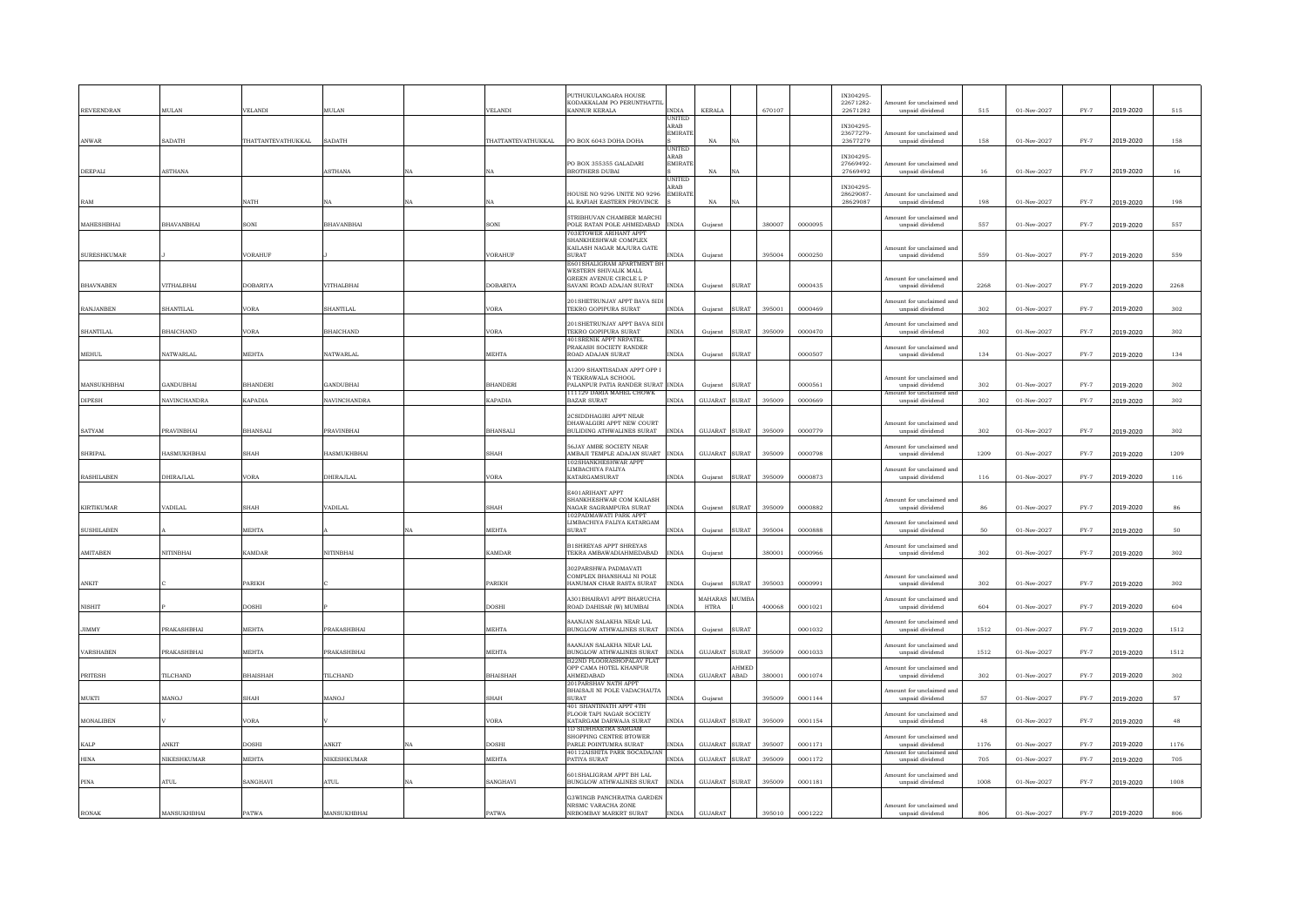| <b>REVEENDRAN</b>  | <b>MIT.AN</b>       | <b>VELANDI</b>           | MULAN               |    | <b>VELANDI</b>     | PUTHUKULANGARA HOUSE<br>KODAKKALAM PO PERUNTHATTI<br>KANNUR KERALA                  | <b>INDIA</b>                     | <b>KERALA</b>          |              | 670107 |         | IN304295-<br>22671282-<br>22671282 | mount for unclaimed and<br>unpaid dividend  | 515  | 01-Nov-2027   | $FY-7$        | 2019-2020 | 515  |
|--------------------|---------------------|--------------------------|---------------------|----|--------------------|-------------------------------------------------------------------------------------|----------------------------------|------------------------|--------------|--------|---------|------------------------------------|---------------------------------------------|------|---------------|---------------|-----------|------|
|                    |                     |                          |                     |    |                    |                                                                                     | JNITEL<br>ARAB<br>EMIRATE        |                        |              |        |         | IN304295-<br>23677279-             | Amount for unclaimed and                    |      |               |               |           |      |
| ANWAR              | SADATH              | <b>HATTANTEVATHUKKAL</b> | SADATH              |    | THATTANTEVATHUKKAL | PO BOX 6043 DOHA DOHA                                                               | <b>UNITED</b>                    | NA                     | NΑ           |        |         | 23677279                           | unpaid dividend                             | 158  | 01-Nov-2027   | $FY-7$        | 2019-2020 | 158  |
| <b>DEEPALI</b>     | <b>ASTHANA</b>      |                          | <b>ASTHANA</b>      |    |                    | PO BOX 355355 GALADARI<br><b>BROTHERS DUBAL</b>                                     | ARAB<br><b>EMIRAT</b>            | NA                     | NA           |        |         | IN304295-<br>27669492-<br>27669492 | mount for unclaimed and<br>unpaid dividend  | 16   | 01-Nov-2027   | $FY-7$        | 2019-2020 | 16   |
| RAM                |                     | NATH                     |                     |    |                    | HOUSE NO 9296 UNITE NO 9296<br>AL RAFIAH EASTERN PROVINCE                           | UNITED<br>ARAB<br><b>EMIRATI</b> | NA                     | NA           |        |         | IN304295-<br>28629087-<br>28629087 | tount for unclaimed and<br>unpaid dividend  | 198  | 01-Nov-2027   | $FY-7$        | 2019-2020 | 198  |
| MAHESHBHAI         | <b>BHAVANBHAI</b>   | SONI                     | BHAVANBHAI          |    | SONI               | <b>5TRIBHUVAN CHAMBER MARCHI</b><br>POLE RATAN POLE AHMEDABAD                       | <b>INDIA</b>                     | Guiarat                |              | 380007 | 0000095 |                                    | Amount for unclaimed and<br>unpaid dividend | 557  | 01-Nov-2027   | $FY-7$        | 2019-2020 | 557  |
|                    |                     |                          |                     |    |                    | <b>703ETOWER ARIHANT APPT</b><br>SHANKHESHWAR COMPLEX                               |                                  |                        |              |        |         |                                    |                                             |      |               |               |           |      |
|                    |                     |                          |                     |    | <b>VORAHUF</b>     | KAILASH NAGAR MAJURA GATE<br><b>TAGITS</b>                                          | <b>INDIA</b>                     |                        |              | 395004 |         |                                    | Amount for unclaimed and                    | 559  |               | $FY-7$        |           |      |
| <b>SURESHKUMAR</b> |                     | /ORAHUF                  |                     |    |                    | E601SHALIGRAM APARTMENT BI                                                          |                                  | Gujarat                |              |        | 0000250 |                                    | unpaid dividend                             |      | 01-Nov-2027   |               | 2019-2020 | 559  |
|                    |                     |                          |                     |    |                    | WESTERN SHIVALIK MALL<br>GREEN AVENUE CIRCLE L P                                    |                                  |                        |              |        |         |                                    | Amount for unclaimed and                    |      |               |               |           |      |
| <b>BHAVNABEN</b>   | VITHALBHAI          | DOBARIYA                 | VITHALBHAI          |    | <b>DOBARIYA</b>    | SAVANI ROAD ADAJAN SURAT                                                            | <b>INDIA</b>                     | Gujarat                | <b>SURAT</b> |        | 0000435 |                                    | unpaid dividend                             | 2268 | 01-Nov-2027   | $FY-7$        | 2019-2020 | 2268 |
| <b>RANJANBEN</b>   | SHANTILAI           | <b>JORA</b>              | <b>SHANTILAI</b>    |    | VORA               | 201SHETRUNJAY APPT BAVA SID<br>TEKRO GOPIPURA SURAT                                 | <b>INDIA</b>                     | Guiarat                | SURAT        | 395001 | 0000469 |                                    | Amount for unclaimed and<br>unpaid dividend | 302  | 01-Nov-2027   | $FY-7$        | 2019-2020 | 302  |
|                    |                     |                          |                     |    |                    | 201SHETRUNJAY APPT BAVA SIL                                                         |                                  |                        |              |        |         |                                    | Amount for unclaimed and                    |      |               |               |           |      |
| <b>SHANTILAL</b>   | <b>BHAICHAND</b>    | /ORA                     | <b>BHAICHAND</b>    |    | <b>VORA</b>        | TEKRO GOPIPURA SURAT<br><b>401SRENIK APPT NRPATEL</b>                               | INDIA                            | Gujarat                | <b>SURAT</b> | 395009 | 0000470 |                                    | unpaid dividend                             | 302  | 01-Nov-2027   | $FY-7$        | 2019-2020 | 302  |
| <b>MEHUL</b>       | <b>NATWARLAL</b>    | MEHTA                    | <b>NATWARLAL</b>    |    | MEHTA              | PRAKASH SOCIETY RANDER<br>ROAD ADAJAN SURAT                                         | <b>INDIA</b>                     | Gujarat                | <b>SURAT</b> |        | 0000507 |                                    | mount for unclaimed and<br>unpaid dividend  | 134  | 01-Nov-2027   | $FY-7$        | 2019-2020 | 134  |
|                    |                     |                          |                     |    |                    | A1209 SHANTISADAN APPT OPP I<br>N TEKRAWALA SCHOOL                                  |                                  |                        |              |        |         |                                    | Amount for unclaimed and                    |      |               |               |           |      |
| MANSUKHRHAI        | GANDURHAI           | <b>RHANDERI</b>          | GANDURHAI           |    | <b>BHANDERI</b>    | PALANPUR PATIA RANDER SURAT INDIA                                                   |                                  | Guiarat                | SURAT        |        | 0000561 |                                    | unnaid dividend                             | 302  | 01-Nov-2027   | $FY-7$        | 2019-2020 | 302  |
| <b>DIPESH</b>      | <b>NAVINCHANDRA</b> | KAPADIA                  | <b>NAVINCHANDRA</b> |    | <b>KAPADIA</b>     | 111129 DARIA MAHEL CHOWK<br><b>BAZAR SURAT</b>                                      | <b>INDIA</b>                     | GILIARAT SURAT         |              | 395009 | 0000669 |                                    | Amount for unclaimed and<br>unpaid dividend | 302  | 01-Nov-2027   | $FY-7$        | 2019-2020 | 302  |
|                    |                     |                          |                     |    |                    | 2CSIDDHAGIRI APPT NEAR<br>DHAWALGIRI APPT NEW COURT                                 |                                  |                        |              |        |         |                                    | Amount for unclaimed and                    |      |               |               |           |      |
| <b>SATYAM</b>      | PRAVINBHAI          | <b>BHANSALI</b>          | <b>PRAVINBHAI</b>   |    | <b>BHANSALI</b>    | BULIDING ATHWALINES SURAT                                                           | <b>INDIA</b>                     | GUJARAT                | <b>SURAT</b> | 395009 | 0000779 |                                    | unpaid dividend                             | 302  | 01-Nov-2027   | $FY-7$        | 2019-2020 | 302  |
| <b>SHRIPAL</b>     | HASMUKHBHAI         | <b>SHAH</b>              | HASMUKHBHAI         |    | <b>SHAH</b>        | 56JAY AMBE SOCIETY NEAR<br>AMBAJI TEMPLE ADAJAN SUART INDIA<br>102SHANKHESHWAR APPT |                                  | GUJARAT SURAT          |              | 395009 | 0000798 |                                    | Amount for unclaimed and<br>unpaid dividend | 1209 | 01-Nov-2027   | $FY-7$        | 2019-2020 | 1209 |
| <b>RASHILABEN</b>  | DHIRAJLAL           | ORA                      | DHIRAJLAL           |    | VORA               | LIMBACHIYA FALIYA<br>KATARGAMSURAT                                                  | <b>INDIA</b>                     | Gujarat SURAT          |              | 395009 | 0000873 |                                    | Amount for unclaimed and<br>unpaid dividend | 116  | 01-Nov-2027   | $FY-7$        | 2019-2020 | 116  |
|                    |                     |                          |                     |    |                    | E401ARIHANT APPT                                                                    |                                  |                        |              |        |         |                                    |                                             |      |               |               |           |      |
| <b>KIRTIKUMAR</b>  | VADILAL             | <b>SHAH</b>              | VADILAL             |    | SHAH               | SHANKHESHWAR COM KAILASH<br>NAGAR SAGRAMPURA SURAT                                  | <b>INDIA</b>                     | Gujarat                | <b>SURAT</b> | 395009 | 0000882 |                                    | mount for unclaimed and<br>unpaid dividend  | 86   | 01-Nov-2027   | $FY-7$        | 2019-2020 | 86   |
|                    |                     |                          |                     |    |                    | 102PADMAWATI PARK APPT<br>LIMBACHIYA FALIYA KATARGAM                                |                                  |                        |              |        |         |                                    | Amount for unclaimed and                    |      |               |               |           |      |
| <b>SUSHILAREN</b>  |                     | <b>MEHTA</b>             |                     |    | <b>MEHTA</b>       | <b>SURAT</b>                                                                        | <b>INDIA</b>                     | Gujarat                | SURAT        | 395004 | 0000888 |                                    | unpaid dividend                             | 50   | 01-Nov-2027   | $FY-7$        | 2019-2020 | 50   |
|                    | NITINBHAI           | KAMDAR                   |                     |    | <b>KAMDAR</b>      | <b>BISHREYAS APPT SHREYAS</b><br>TEKRA AMBAWADIAHMEDABAD                            | <b>INDIA</b>                     |                        |              | 380001 |         |                                    | Amount for unclaimed and                    | 302  |               |               |           |      |
| AMITABEN           |                     |                          | NITINBHAI           |    |                    |                                                                                     |                                  | Gujarat                |              |        | 0000966 |                                    | unpaid dividend                             |      | 01-Nov-2027   | $_{\rm FY-7}$ | 2019-2020 | 302  |
|                    |                     |                          |                     |    |                    | 302PARSHWA PADMAVATI<br>COMPLEX BHANSHALI NI POLE                                   |                                  |                        |              |        |         |                                    | Amount for unclaimed and                    |      |               |               |           |      |
| ANKIT              |                     | <b>ARIKH</b>             |                     |    | PARIKH             | HANUMAN CHAR RASTA SURAT                                                            | <b>INDIA</b>                     | Gujarat                | <b>SURAT</b> | 395003 | 0000991 |                                    | unpaid dividend                             | 302  | 01-Nov-2027   | $FY-7$        | 2019-2020 | 302  |
| <b>NISHIT</b>      |                     | DOSHI                    |                     |    | <b>DOSHI</b>       | <b>A301BHAIRAVI APPT BHARUCHA</b><br>ROAD DAHISAR (W) MUMBAI                        | <b>INDIA</b>                     | MAHARAS<br><b>HTRA</b> | MUMB.        | 400068 | 0001021 |                                    | Amount for unclaimed and<br>unpaid dividend | 604  | $01-Nov-2027$ | $FY-7$        | 2019-2020 | 604  |
|                    |                     |                          |                     |    |                    | <b>SAANJAN SALAKHA NEAR LAL</b>                                                     |                                  |                        |              |        |         |                                    | Amount for unclaimed and                    |      |               |               |           |      |
| JIMMY              | PRAKASHBHAI         | MEHTA                    | PRAKASHBHAI         |    | MEHTA              | BUNGLOW ATHWALINES SURAT                                                            | <b>INDIA</b>                     | Gujarat                | <b>SURAT</b> |        | 0001032 |                                    | unpaid dividend                             | 1512 | $01-Nov-2027$ | $_{\rm FY-7}$ | 2019-2020 | 1512 |
| VARSHABEN          | PRAKASHBHAI         | <b>MEHTA</b>             | PRAKASHBHAI         |    | MEHTA              | BAANJAN SALAKHA NEAR LAL<br>BUNGLOW ATHWALINES SURAT<br>B22ND FLOORASHOPALAV FLAT   | <b>INDIA</b>                     | GUJARAT                | <b>SURAT</b> | 395009 | 0001033 |                                    | Amount for unclaimed and<br>unpaid dividend | 1512 | 01-Nov-2027   | $FY-7$        | 2019-2020 | 1512 |
| <b>PRITESH</b>     | TILCHAND            | <b>BHAISHAH</b>          | TILCHAND            |    | <b>BHAISHAH</b>    | OPP CAMA HOTEL KHANPUR<br>AHMEDABAD                                                 | <b>INDIA</b>                     | GUJARAT ABAD           | HMEI         | 380001 | 0001074 |                                    | Amount for unclaimed and                    | 302  | 01-Nov-2027   | $FY-7$        | 2019-2020 | 302  |
|                    |                     |                          |                     |    |                    | 201PARSHAV NATH APPT                                                                |                                  |                        |              |        |         |                                    | unpaid dividend                             |      |               |               |           |      |
| <b>MUKTI</b>       | MANO.I              | SHAH                     | MANOJ I             |    | <b>SHAH</b>        | BHAISAJI NI POLE VADACHAUTA<br><b>SURAT</b><br>401 SHANTINATH APPT 4TH              | <b>INDIA</b>                     | Gujarat                |              | 395009 | 0001144 |                                    | Amount for unclaimed and<br>unpaid dividend | 57   | 01-Nov-2027   | $FY-7$        | 2019-2020 | 57   |
| <b>MONALIBEN</b>   |                     | /ORA                     |                     |    | <b>VORA</b>        | FLOOR TAPI NAGAR SOCIETY<br>KATARGAM DARWAJA SURAT                                  | <b>INDIA</b>                     | GUJARAT SURAT          |              | 395009 | 0001154 |                                    | Amount for unclaimed and<br>unpaid dividend | 48   | 01-Nov-2027   | $FY-7$        | 2019-2020 | 48   |
| KALP               | ANKIT               | DOSHI                    | ANKIT               |    | DOSHI              | <b>1D SIDHHXETRA SARGAM</b><br>SHOPPING CENTRE BTOWER<br>PARLE POINTUMRA SURAT      | <b>INDIA</b>                     | GUJARAT SURAT          |              | 395007 | 0001171 |                                    | Amount for unclaimed and<br>unpaid dividend | 1176 | 01-Nov-2027   | $FY-7$        | 2019-2020 | 1176 |
| <b>HINA</b>        | NIKESHKUMAR         | <b>MEHTA</b>             | NIKESHKUMAR         |    | <b>MEHTA</b>       | 40112AISHITA PARK SOCADAJAI<br>PATIYA SURAT                                         | <b>INDIA</b>                     | GUJARAT SURAT          |              | 395009 | 0001172 |                                    | Amount for unclaimed and<br>unpaid dividend | 705  | 01-Nov-2027   | $FY-7$        | 2019-2020 | 705  |
|                    |                     |                          |                     |    |                    |                                                                                     |                                  |                        |              |        |         |                                    |                                             |      |               |               |           |      |
| PINA               | ATUL                | SANGHAVI                 | ATUL                | NA | SANGHAVI           | 601SHALIGRAM APPT BH LAL<br>BUNGLOW ATHWALINES SURAT                                | <b>INDIA</b>                     | GUJARAT SURAT          |              | 395009 | 0001181 |                                    | Amount for unclaimed and<br>unpaid dividend | 1008 | 01-Nov-2027   | $FY-7$        | 2019-2020 | 1008 |
|                    |                     |                          |                     |    |                    | <b>G3WINGB PANCHRATNA GARDEN</b>                                                    |                                  |                        |              |        |         |                                    |                                             |      |               |               |           |      |
| <b>RONAK</b>       | MANSUKHBHAI         | PATWA                    | MANSUKHBHAI         |    | PATWA              | NRSMC VARACHA ZONE<br>NRBOMBAY MARKRT SURAT                                         | <b>INDIA</b>                     | GUJARAT                |              | 395010 | 0001222 |                                    | Amount for unclaimed and<br>unpaid dividend | 806  | 01-Nov-2027   | $FY-7$        | 2019-2020 | 806  |
|                    |                     |                          |                     |    |                    |                                                                                     |                                  |                        |              |        |         |                                    |                                             |      |               |               |           |      |